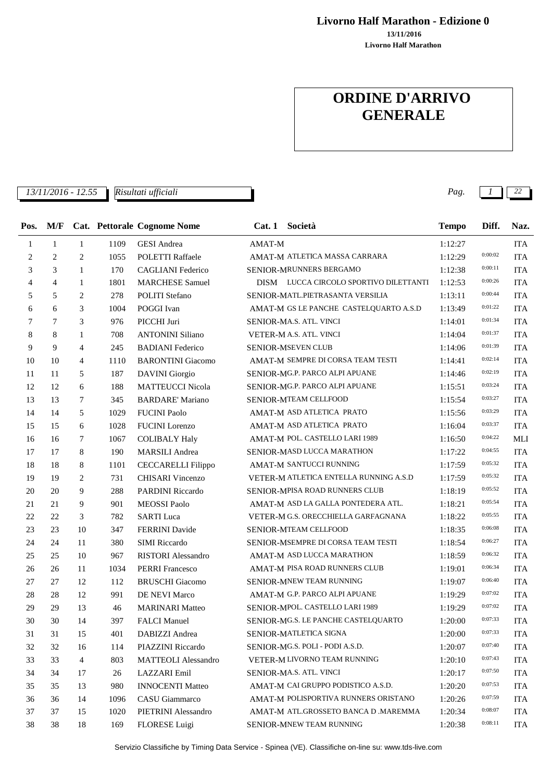**Livorno Half Marathon - Edizione 0**

**Livorno Half Marathon 13/11/2016**

# **ORDINE D'ARRIVO GENERALE**

*13/11/2016 - 12.55 Pag. 1 22 Risultati ufficiali*

| Pos.           | M/F            |                |      | <b>Cat. Pettorale Cognome Nome</b> |        | Cat. 1 Società                         | <b>Tempo</b> | Diff.   | Naz.       |
|----------------|----------------|----------------|------|------------------------------------|--------|----------------------------------------|--------------|---------|------------|
| $\mathbf{1}$   | $\mathbf{1}$   | $\mathbf{1}$   | 1109 | <b>GESI</b> Andrea                 | AMAT-M |                                        | 1:12:27      |         | <b>ITA</b> |
| $\overline{c}$ | 2              | 2              | 1055 | POLETTI Raffaele                   |        | AMAT-M ATLETICA MASSA CARRARA          | 1:12:29      | 0:00:02 | <b>ITA</b> |
| 3              | 3              | $\mathbf{1}$   | 170  | <b>CAGLIANI</b> Federico           |        | SENIOR-MRUNNERS BERGAMO                | 1:12:38      | 0:00:11 | <b>ITA</b> |
| $\overline{4}$ | $\overline{4}$ | $\mathbf{1}$   | 1801 | <b>MARCHESE Samuel</b>             |        | DISM LUCCA CIRCOLO SPORTIVO DILETTANTI | 1:12:53      | 0:00:26 | <b>ITA</b> |
| 5              | 5              | 2              | 278  | <b>POLITI</b> Stefano              |        | SENIOR-MATL.PIETRASANTA VERSILIA       | 1:13:11      | 0:00:44 | <b>ITA</b> |
| 6              | 6              | 3              | 1004 | POGGI Ivan                         |        | AMAT-M GS LE PANCHE CASTELQUARTO A.S.D | 1:13:49      | 0:01:22 | <b>ITA</b> |
| 7              | 7              | 3              | 976  | PICCHI Juri                        |        | SENIOR-MA.S. ATL. VINCI                | 1:14:01      | 0:01:34 | <b>ITA</b> |
| 8              | 8              | $\mathbf{1}$   | 708  | <b>ANTONINI Siliano</b>            |        | VETER-M A.S. ATL. VINCI                | 1:14:04      | 0:01:37 | <b>ITA</b> |
| 9              | 9              | $\overline{4}$ | 245  | <b>BADIANI</b> Federico            |        | SENIOR-MSEVEN CLUB                     | 1:14:06      | 0:01:39 | <b>ITA</b> |
| 10             | 10             | $\overline{4}$ | 1110 | <b>BARONTINI</b> Giacomo           |        | AMAT-M SEMPRE DI CORSA TEAM TESTI      | 1:14:41      | 0:02:14 | <b>ITA</b> |
| 11             | 11             | 5              | 187  | <b>DAVINI</b> Giorgio              |        | SENIOR-MG.P. PARCO ALPI APUANE         | 1:14:46      | 0:02:19 | <b>ITA</b> |
| 12             | 12             | 6              | 188  | <b>MATTEUCCI Nicola</b>            |        | SENIOR-MG.P. PARCO ALPI APUANE         | 1:15:51      | 0:03:24 | <b>ITA</b> |
| 13             | 13             | 7              | 345  | <b>BARDARE' Mariano</b>            |        | SENIOR-MTEAM CELLFOOD                  | 1:15:54      | 0:03:27 | <b>ITA</b> |
| 14             | 14             | 5              | 1029 | <b>FUCINI Paolo</b>                |        | AMAT-M ASD ATLETICA PRATO              | 1:15:56      | 0:03:29 | <b>ITA</b> |
| 15             | 15             | 6              | 1028 | <b>FUCINI</b> Lorenzo              |        | AMAT-M ASD ATLETICA PRATO              | 1:16:04      | 0:03:37 | <b>ITA</b> |
| 16             | 16             | 7              | 1067 | <b>COLIBALY Haly</b>               |        | AMAT-M POL. CASTELLO LARI 1989         | 1:16:50      | 0:04:22 | MLI        |
| 17             | 17             | 8              | 190  | <b>MARSILI</b> Andrea              |        | SENIOR-MASD LUCCA MARATHON             | 1:17:22      | 0:04:55 | <b>ITA</b> |
| 18             | 18             | 8              | 1101 | <b>CECCARELLI Filippo</b>          |        | AMAT-M SANTUCCI RUNNING                | 1:17:59      | 0:05:32 | <b>ITA</b> |
| 19             | 19             | 2              | 731  | CHISARI Vincenzo                   |        | VETER-M ATLETICA ENTELLA RUNNING A.S.D | 1:17:59      | 0:05:32 | <b>ITA</b> |
| $20\,$         | 20             | 9              | 288  | PARDINI Riccardo                   |        | SENIOR-MPISA ROAD RUNNERS CLUB         | 1:18:19      | 0:05:52 | <b>ITA</b> |
| 21             | 21             | 9              | 901  | <b>MEOSSI</b> Paolo                |        | AMAT-M ASD LA GALLA PONTEDERA ATL.     | 1:18:21      | 0:05:54 | <b>ITA</b> |
| $22\,$         | 22             | 3              | 782  | <b>SARTI Luca</b>                  |        | VETER-M G.S. ORECCHIELLA GARFAGNANA    | 1:18:22      | 0:05:55 | <b>ITA</b> |
| $23\,$         | 23             | 10             | 347  | <b>FERRINI</b> Davide              |        | SENIOR-MTEAM CELLFOOD                  | 1:18:35      | 0:06:08 | <b>ITA</b> |
| 24             | 24             | 11             | 380  | <b>SIMI</b> Riccardo               |        | SENIOR-MSEMPRE DI CORSA TEAM TESTI     | 1:18:54      | 0:06:27 | <b>ITA</b> |
| $25\,$         | 25             | 10             | 967  | <b>RISTORI</b> Alessandro          |        | AMAT-M ASD LUCCA MARATHON              | 1:18:59      | 0:06:32 | <b>ITA</b> |
| 26             | 26             | 11             | 1034 | <b>PERRI Francesco</b>             |        | AMAT-M PISA ROAD RUNNERS CLUB          | 1:19:01      | 0:06:34 | <b>ITA</b> |
| 27             | 27             | 12             | 112  | <b>BRUSCHI</b> Giacomo             |        | SENIOR-MNEW TEAM RUNNING               | 1:19:07      | 0:06:40 | <b>ITA</b> |
| $28\,$         | 28             | 12             | 991  | DE NEVI Marco                      |        | AMAT-M G.P. PARCO ALPI APUANE          | 1:19:29      | 0:07:02 | <b>ITA</b> |
| 29             | 29             | 13             | 46   | <b>MARINARI Matteo</b>             |        | SENIOR-MPOL. CASTELLO LARI 1989        | 1:19:29      | 0:07:02 | <b>ITA</b> |
| 30             | 30             | 14             | 397  | <b>FALCI</b> Manuel                |        | SENIOR-MG.S. LE PANCHE CASTELQUARTO    | 1:20:00      | 0:07:33 | <b>ITA</b> |
| 31             | 31             | 15             | 401  | DABIZZI Andrea                     |        | SENIOR-MATLETICA SIGNA                 | 1:20:00      | 0:07:33 | <b>ITA</b> |
| 32             | 32             | 16             | 114  | PIAZZINI Riccardo                  |        | SENIOR-MG.S. POLI - PODI A.S.D.        | 1:20:07      | 0:07:40 | <b>ITA</b> |
| 33             | 33             | 4              | 803  | <b>MATTEOLI</b> Alessandro         |        | VETER-M LIVORNO TEAM RUNNING           | 1:20:10      | 0:07:43 | <b>ITA</b> |
| 34             | 34             | 17             | 26   | <b>LAZZARI</b> Emil                |        | SENIOR-MA.S. ATL. VINCI                | 1:20:17      | 0:07:50 | <b>ITA</b> |
| 35             | 35             | 13             | 980  | <b>INNOCENTI Matteo</b>            |        | AMAT-M CAI GRUPPO PODISTICO A.S.D.     | 1:20:20      | 0:07:53 | <b>ITA</b> |
| 36             | 36             | 14             | 1096 | CASU Giammarco                     |        | AMAT-M POLISPORTIVA RUNNERS ORISTANO   | 1:20:26      | 0:07:59 | <b>ITA</b> |
| 37             | 37             | 15             | 1020 | PIETRINI Alessandro                |        | AMAT-M ATL.GROSSETO BANCA D .MAREMMA   | 1:20:34      | 0:08:07 | <b>ITA</b> |
| 38             | 38             | 18             | 169  | FLORESE Luigi                      |        | SENIOR-MNEW TEAM RUNNING               | 1:20:38      | 0:08:11 | <b>ITA</b> |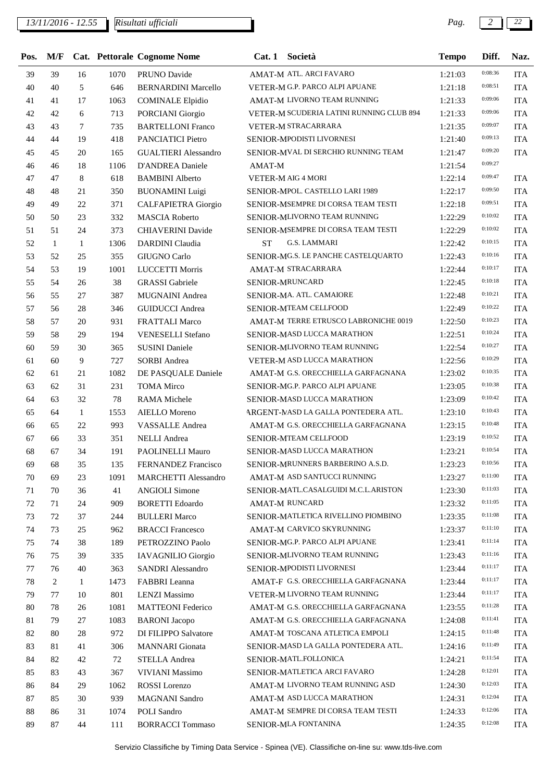*13/11/2016 - 12.55 Pag. 2 22*

| Pos.   | M/F          |              |      | <b>Cat. Pettorale Cognome Nome</b> | Cat.1     | Società                                  | <b>Tempo</b> | Diff.   | Naz.       |
|--------|--------------|--------------|------|------------------------------------|-----------|------------------------------------------|--------------|---------|------------|
| 39     | 39           | 16           | 1070 | PRUNO Davide                       |           | AMAT-M ATL. ARCI FAVARO                  | 1:21:03      | 0:08:36 | <b>ITA</b> |
| 40     | 40           | 5            | 646  | <b>BERNARDINI Marcello</b>         |           | VETER-M G.P. PARCO ALPI APUANE           | 1:21:18      | 0:08:51 | <b>ITA</b> |
| 41     | 41           | 17           | 1063 | <b>COMINALE Elpidio</b>            |           | AMAT-M LIVORNO TEAM RUNNING              | 1:21:33      | 0:09:06 | <b>ITA</b> |
| 42     | 42           | 6            | 713  | PORCIANI Giorgio                   |           | VETER-M SCUDERIA LATINI RUNNING CLUB 894 | 1:21:33      | 0:09:06 | <b>ITA</b> |
| 43     | 43           | 7            | 735  | <b>BARTELLONI Franco</b>           |           | VETER-M STRACARRARA                      | 1:21:35      | 0:09:07 | <b>ITA</b> |
| 44     | 44           | 19           | 418  | PANCIATICI Pietro                  |           | SENIOR-MPODISTI LIVORNESI                | 1:21:40      | 0:09:13 | <b>ITA</b> |
| 45     | 45           | 20           | 165  | <b>GUALTIERI</b> Alessandro        |           | SENIOR-MVAL DI SERCHIO RUNNING TEAM      | 1:21:47      | 0:09:20 | <b>ITA</b> |
| 46     | 46           | 18           | 1106 | D'ANDREA Daniele                   | AMAT-M    |                                          | 1:21:54      | 0:09:27 |            |
| 47     | 47           | 8            | 618  | <b>BAMBINI</b> Alberto             |           | VETER-M AIG 4 MORI                       | 1:22:14      | 0:09:47 | <b>ITA</b> |
| 48     | 48           | 21           | 350  | <b>BUONAMINI</b> Luigi             |           | SENIOR-MPOL. CASTELLO LARI 1989          | 1:22:17      | 0:09:50 | <b>ITA</b> |
| 49     | 49           | 22           | 371  | CALFAPIETRA Giorgio                |           | SENIOR-MSEMPRE DI CORSA TEAM TESTI       | 1:22:18      | 0:09:51 | <b>ITA</b> |
| 50     | 50           | 23           | 332  | <b>MASCIA Roberto</b>              |           | SENIOR-MLIVORNO TEAM RUNNING             | 1:22:29      | 0:10:02 | <b>ITA</b> |
| 51     | 51           | 24           | 373  | <b>CHIAVERINI Davide</b>           |           | SENIOR-MSEMPRE DI CORSA TEAM TESTI       | 1:22:29      | 0:10:02 | <b>ITA</b> |
| 52     | $\mathbf{1}$ | 1            | 1306 | <b>DARDINI</b> Claudia             | <b>ST</b> | G.S. LAMMARI                             | 1:22:42      | 0:10:15 | <b>ITA</b> |
| 53     | 52           | 25           | 355  | GIUGNO Carlo                       |           | SENIOR-MG.S. LE PANCHE CASTELQUARTO      | 1:22:43      | 0:10:16 | <b>ITA</b> |
| 54     | 53           | 19           | 1001 | <b>LUCCETTI Morris</b>             |           | AMAT-M STRACARRARA                       | 1:22:44      | 0:10:17 | <b>ITA</b> |
| 55     | 54           | 26           | 38   | <b>GRASSI</b> Gabriele             |           | SENIOR-MRUNCARD                          | 1:22:45      | 0:10:18 | <b>ITA</b> |
| 56     | 55           | 27           | 387  | MUGNAINI Andrea                    |           | SENIOR-MA. ATL. CAMAIORE                 | 1:22:48      | 0:10:21 | <b>ITA</b> |
| 57     | 56           | 28           | 346  | <b>GUIDUCCI</b> Andrea             |           | SENIOR-MTEAM CELLFOOD                    | 1:22:49      | 0:10:22 | <b>ITA</b> |
| 58     | 57           | 20           | 931  | <b>FRATTALI Marco</b>              |           | AMAT-M TERRE ETRUSCO LABRONICHE 0019     | 1:22:50      | 0:10:23 | <b>ITA</b> |
| 59     | 58           | 29           | 194  | VENESELLI Stefano                  |           | SENIOR-MASD LUCCA MARATHON               | 1:22:51      | 0:10:24 | <b>ITA</b> |
| 60     | 59           | 30           | 365  | <b>SUSINI Daniele</b>              |           | SENIOR-MLIVORNO TEAM RUNNING             | 1:22:54      | 0:10:27 | <b>ITA</b> |
| 61     | 60           | 9            | 727  | <b>SORBI</b> Andrea                |           | VETER-M ASD LUCCA MARATHON               | 1:22:56      | 0:10:29 | <b>ITA</b> |
| 62     | 61           | 21           | 1082 | DE PASQUALE Daniele                |           | AMAT-M G.S. ORECCHIELLA GARFAGNANA       | 1:23:02      | 0:10:35 | <b>ITA</b> |
| 63     | 62           | 31           | 231  | <b>TOMA</b> Mirco                  |           | SENIOR-MG.P. PARCO ALPI APUANE           | 1:23:05      | 0:10:38 | <b>ITA</b> |
| 64     | 63           | 32           | 78   | <b>RAMA</b> Michele                |           | SENIOR-MASD LUCCA MARATHON               | 1:23:09      | 0:10:42 | <b>ITA</b> |
| 65     | 64           | 1            | 1553 | <b>AIELLO Moreno</b>               |           | ARGENT-MASD LA GALLA PONTEDERA ATL.      | 1:23:10      | 0:10:43 | <b>ITA</b> |
| 66     | 65           | 22           | 993  | VASSALLE Andrea                    |           | AMAT-M G.S. ORECCHIELLA GARFAGNANA       | 1:23:15      | 0:10:48 | <b>ITA</b> |
| 67     | 66           | 33           | 351  | <b>NELLI</b> Andrea                |           | SENIOR-MTEAM CELLFOOD                    | 1:23:19      | 0:10:52 | <b>ITA</b> |
| 68     | 67           | 34           | 191  | PAOLINELLI Mauro                   |           | SENIOR-MASD LUCCA MARATHON               | 1:23:21      | 0:10:54 | <b>ITA</b> |
| 69     | 68           | 35           | 135  | FERNANDEZ Francisco                |           | SENIOR-MRUNNERS BARBERINO A.S.D.         | 1:23:23      | 0:10:56 | <b>ITA</b> |
| 70     | 69           | 23           | 1091 | <b>MARCHETTI Alessandro</b>        |           | AMAT-M ASD SANTUCCI RUNNING              | 1:23:27      | 0:11:00 | <b>ITA</b> |
| 71     | 70           | 36           | 41   | <b>ANGIOLI Simone</b>              |           | SENIOR-MATL.CASALGUIDI M.C.L.ARISTON     | 1:23:30      | 0:11:03 | <b>ITA</b> |
| 72     | 71           | 24           | 909  | <b>BORETTI</b> Edoardo             |           | <b>AMAT-M RUNCARD</b>                    | 1:23:32      | 0:11:05 | <b>ITA</b> |
| 73     | 72           | 37           | 244  | <b>BULLERI</b> Marco               |           | SENIOR-MATLETICA RIVELLINO PIOMBINO      | 1:23:35      | 0:11:08 | <b>ITA</b> |
| 74     | 73           | 25           | 962  | <b>BRACCI</b> Francesco            |           | AMAT-M CARVICO SKYRUNNING                | 1:23:37      | 0:11:10 | <b>ITA</b> |
| 75     | 74           | 38           | 189  | PETROZZINO Paolo                   |           | SENIOR-MG.P. PARCO ALPI APUANE           | 1:23:41      | 0:11:14 | <b>ITA</b> |
| 76     | 75           | 39           | 335  | IAVAGNILIO Giorgio                 |           | SENIOR-MLIVORNO TEAM RUNNING             | 1:23:43      | 0:11:16 | <b>ITA</b> |
| 77     | 76           | 40           | 363  | SANDRI Alessandro                  |           | SENIOR-MPODISTI LIVORNESI                | 1:23:44      | 0:11:17 | ITA        |
| $78\,$ | 2            | $\mathbf{1}$ | 1473 | FABBRI Leanna                      |           | AMAT-F G.S. ORECCHIELLA GARFAGNANA       | 1:23:44      | 0:11:17 | <b>ITA</b> |
| 79     | 77           | 10           | 801  | <b>LENZI Massimo</b>               |           | VETER-M LIVORNO TEAM RUNNING             | 1:23:44      | 0:11:17 | <b>ITA</b> |
| 80     | 78           | 26           | 1081 | <b>MATTEONI</b> Federico           |           | AMAT-M G.S. ORECCHIELLA GARFAGNANA       | 1:23:55      | 0:11:28 | <b>ITA</b> |
| 81     | 79           | 27           | 1083 | <b>BARONI</b> Jacopo               |           | AMAT-M G.S. ORECCHIELLA GARFAGNANA       | 1:24:08      | 0:11:41 | <b>ITA</b> |
| 82     | 80           | 28           | 972  | DI FILIPPO Salvatore               |           | AMAT-M TOSCANA ATLETICA EMPOLI           | 1:24:15      | 0:11:48 | <b>ITA</b> |
| 83     | 81           | 41           | 306  | <b>MANNARI</b> Gionata             |           | SENIOR-MASD LA GALLA PONTEDERA ATL.      | 1:24:16      | 0:11:49 | ITA        |
| 84     | 82           | 42           | 72   | STELLA Andrea                      |           | SENIOR-MATL.FOLLONICA                    | 1:24:21      | 0:11:54 | <b>ITA</b> |
| 85     | 83           | 43           | 367  | VIVIANI Massimo                    |           | <b>SENIOR-MATLETICA ARCI FAVARO</b>      | 1:24:28      | 0:12:01 | <b>ITA</b> |
| 86     | 84           | 29           | 1062 | ROSSI Lorenzo                      |           | AMAT-M LIVORNO TEAM RUNNING ASD          | 1:24:30      | 0:12:03 | <b>ITA</b> |
| 87     | 85           | 30           | 939  | <b>MAGNANI</b> Sandro              |           | AMAT-M ASD LUCCA MARATHON                | 1:24:31      | 0:12:04 | <b>ITA</b> |
| 88     | 86           | 31           | 1074 | POLI Sandro                        |           | AMAT-M SEMPRE DI CORSA TEAM TESTI        | 1:24:33      | 0:12:06 | <b>ITA</b> |
| 89     | 87           | 44           | 111  | <b>BORRACCI Tommaso</b>            |           | SENIOR-MLA FONTANINA                     | 1:24:35      | 0:12:08 | ITA        |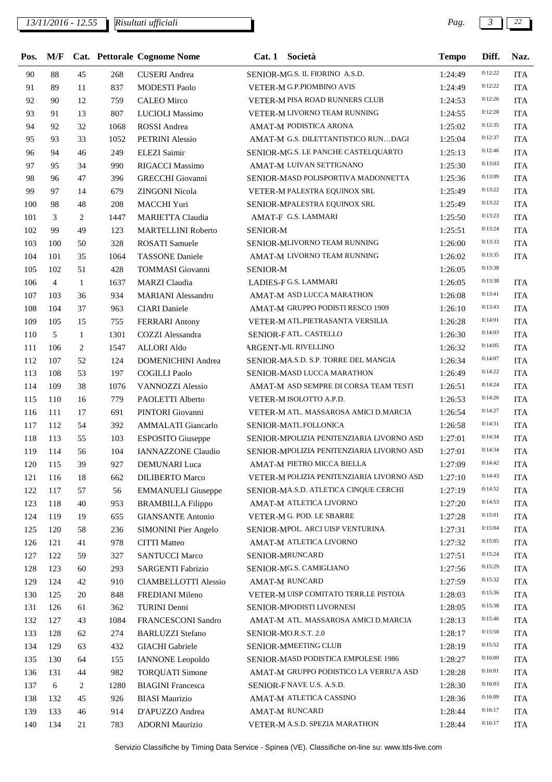| Pos. | M/F            |              |      | <b>Cat. Pettorale Cognome Nome</b> | Cat.1           | Società                                   | <b>Tempo</b> | Diff.   | Naz.       |
|------|----------------|--------------|------|------------------------------------|-----------------|-------------------------------------------|--------------|---------|------------|
| 90   | 88             | 45           | 268  | <b>CUSERI</b> Andrea               |                 | SENIOR-MG.S. IL FIORINO A.S.D.            | 1:24:49      | 0:12:22 | <b>ITA</b> |
| 91   | 89             | 11           | 837  | <b>MODESTI Paolo</b>               |                 | VETER-M G.P.PIOMBINO AVIS                 | 1:24:49      | 0:12:22 | <b>ITA</b> |
| 92   | 90             | 12           | 759  | <b>CALEO</b> Mirco                 |                 | VETER-M PISA ROAD RUNNERS CLUB            | 1:24:53      | 0:12:26 | <b>ITA</b> |
| 93   | 91             | 13           | 807  | LUCIOLI Massimo                    |                 | VETER-M LIVORNO TEAM RUNNING              | 1:24:55      | 0:12:28 | <b>ITA</b> |
| 94   | 92             | 32           | 1068 | ROSSI Andrea                       |                 | AMAT-M PODISTICA ARONA                    | 1:25:02      | 0:12:35 | <b>ITA</b> |
| 95   | 93             | 33           | 1052 | PETRINI Alessio                    |                 | AMAT-M G.S. DILETTANTISTICO RUNDAGI       | 1:25:04      | 0:12:37 | <b>ITA</b> |
| 96   | 94             | 46           | 249  | ELEZI Saimir                       |                 | SENIOR-MG.S. LE PANCHE CASTELQUARTO       | 1:25:13      | 0:12:46 | <b>ITA</b> |
| 97   | 95             | 34           | 990  | <b>RIGACCI Massimo</b>             |                 | AMAT-M LUIVAN SETTIGNANO                  | 1:25:30      | 0:13:03 | <b>ITA</b> |
| 98   | 96             | 47           | 396  | <b>GRECCHI</b> Giovanni            |                 | SENIOR-MASD POLISPORTIVA MADONNETTA       | 1:25:36      | 0:13:09 | <b>ITA</b> |
| 99   | 97             | 14           | 679  | <b>ZINGONI Nicola</b>              |                 | VETER-M PALESTRA EQUINOX SRL              | 1:25:49      | 0:13:22 | <b>ITA</b> |
| 100  | 98             | 48           | 208  | MACCHI Yuri                        |                 | SENIOR-MPALESTRA EQUINOX SRL              | 1:25:49      | 0:13:22 | <b>ITA</b> |
| 101  | 3              | 2            | 1447 | <b>MARIETTA Claudia</b>            |                 | AMAT-F G.S. LAMMARI                       | 1:25:50      | 0:13:23 | <b>ITA</b> |
| 102  | 99             | 49           | 123  | <b>MARTELLINI Roberto</b>          | <b>SENIOR-M</b> |                                           | 1:25:51      | 0:13:24 | <b>ITA</b> |
| 103  | 100            | 50           | 328  | <b>ROSATI</b> Samuele              |                 | SENIOR-MLIVORNO TEAM RUNNING              | 1:26:00      | 0:13:33 | <b>ITA</b> |
| 104  | 101            | 35           | 1064 | <b>TASSONE</b> Daniele             |                 | AMAT-M LIVORNO TEAM RUNNING               | 1:26:02      | 0:13:35 | <b>ITA</b> |
| 105  | 102            | 51           | 428  | TOMMASI Giovanni                   | <b>SENIOR-M</b> |                                           | 1:26:05      | 0:13:38 |            |
| 106  | $\overline{4}$ | $\mathbf{1}$ | 1637 | <b>MARZI</b> Claudia               |                 | LADIES-F G.S. LAMMARI                     | 1:26:05      | 0:13:38 | <b>ITA</b> |
| 107  | 103            | 36           | 934  | <b>MARIANI</b> Alessandro          |                 | AMAT-M ASD LUCCA MARATHON                 | 1:26:08      | 0:13:41 | <b>ITA</b> |
| 108  | 104            | 37           | 963  | <b>CIARI</b> Daniele               |                 | AMAT-M GRUPPO PODISTI RESCO 1909          | 1:26:10      | 0:13:43 | <b>ITA</b> |
| 109  | 105            | 15           | 755  | <b>FERRARI</b> Antony              |                 | VETER-M ATL.PIETRASANTA VERSILIA          | 1:26:28      | 0:14:01 | <b>ITA</b> |
| 110  | 5              | $\mathbf{1}$ | 1301 | COZZI Alessandra                   |                 | SENIOR-FATL. CASTELLO                     | 1:26:30      | 0:14:03 | <b>ITA</b> |
| 111  | 106            | 2            | 1547 | <b>ALLORI Aldo</b>                 |                 | <b>ARGENT-ML RIVELLINO</b>                | 1:26:32      | 0:14:05 | <b>ITA</b> |
| 112  | 107            | 52           | 124  | <b>DOMENICHINI Andrea</b>          |                 | SENIOR-MA.S.D. S.P. TORRE DEL MANGIA      | 1:26:34      | 0:14:07 | <b>ITA</b> |
| 113  | 108            | 53           | 197  | <b>COGILLI</b> Paolo               |                 | SENIOR-MASD LUCCA MARATHON                | 1:26:49      | 0:14:22 | <b>ITA</b> |
| 114  | 109            | 38           | 1076 | <b>VANNOZZI Alessio</b>            |                 | AMAT-M ASD SEMPRE DI CORSA TEAM TESTI     | 1:26:51      | 0:14:24 | <b>ITA</b> |
| 115  | 110            | 16           | 779  | PAOLETTI Alberto                   |                 | VETER-M ISOLOTTO A.P.D.                   | 1:26:53      | 0:14:26 | <b>ITA</b> |
| 116  | 111            | 17           | 691  | PINTORI Giovanni                   |                 | VETER-M ATL. MASSAROSA AMICI D.MARCIA     | 1:26:54      | 0:14:27 | <b>ITA</b> |
| 117  | 112            | 54           | 392  | AMMALATI Giancarlo                 |                 | SENIOR-MATL.FOLLONICA                     | 1:26:58      | 0:14:31 | <b>ITA</b> |
| 118  | 113            | 55           | 103  | <b>ESPOSITO Giuseppe</b>           |                 | SENIOR-MPOLIZIA PENITENZIARIA LIVORNO ASD | 1:27:01      | 0:14:34 | <b>ITA</b> |
| 119  | 114            | 56           | 104  | <b>IANNAZZONE Claudio</b>          |                 | SENIOR-MPOLIZIA PENITENZIARIA LIVORNO ASD | 1:27:01      | 0:14:34 | <b>ITA</b> |
| 120  | 115            | 39           | 927  | <b>DEMUNARI</b> Luca               |                 | AMAT-M PIETRO MICCA BIELLA                | 1:27:09      | 0:14:42 | ITA        |
| 121  | 116            | 18           | 662  | <b>DILIBERTO Marco</b>             |                 | VETER-M POLIZIA PENITENZIARIA LIVORNO ASD | 1:27:10      | 0:14:43 | <b>ITA</b> |
| 122  | 117            | 57           | 56   | <b>EMMANUELI</b> Giuseppe          |                 | SENIOR-MA.S.D. ATLETICA CINQUE CERCHI     | 1:27:19      | 0:14:52 | <b>ITA</b> |
| 123  | 118            | 40           | 953  | <b>BRAMBILLA Filippo</b>           |                 | AMAT-M ATLETICA LIVORNO                   | 1:27:20      | 0:14:53 | <b>ITA</b> |
| 124  | 119            | 19           | 655  | <b>GIANSANTE Antonio</b>           |                 | VETER-M G. POD. LE SBARRE                 | 1:27:28      | 0:15:01 | <b>ITA</b> |
| 125  | 120            | 58           | 236  | <b>SIMONINI Pier Angelo</b>        |                 | SENIOR-MPOL. ARCI UISP VENTURINA          | 1:27:31      | 0:15:04 | <b>ITA</b> |
| 126  | 121            | 41           | 978  | <b>CITTI</b> Matteo                |                 | AMAT-M ATLETICA LIVORNO                   | 1:27:32      | 0:15:05 | <b>ITA</b> |
| 127  | 122            | 59           | 327  | <b>SANTUCCI Marco</b>              |                 | SENIOR-MRUNCARD                           | 1:27:51      | 0:15:24 | <b>ITA</b> |
| 128  | 123            | 60           | 293  | SARGENTI Fabrizio                  |                 | SENIOR-MG.S. CAMIGLIANO                   | 1:27:56      | 0:15:29 | <b>ITA</b> |
| 129  | 124            | 42           | 910  | <b>CIAMBELLOTTI Alessio</b>        |                 | <b>AMAT-M RUNCARD</b>                     | 1:27:59      | 0:15:32 | <b>ITA</b> |
| 130  | 125            | 20           | 848  | FREDIANI Mileno                    |                 | VETER-M UISP COMITATO TERR.LE PISTOIA     | 1:28:03      | 0:15:36 | <b>ITA</b> |
| 131  | 126            | 61           | 362  | <b>TURINI</b> Denni                |                 | SENIOR-MPODISTI LIVORNESI                 | 1:28:05      | 0:15:38 | <b>ITA</b> |
| 132  | 127            | 43           | 1084 | FRANCESCONI Sandro                 |                 | AMAT-M ATL. MASSAROSA AMICI D.MARCIA      | 1:28:13      | 0:15:46 | <b>ITA</b> |
| 133  | 128            | 62           | 274  | <b>BARLUZZI</b> Stefano            |                 | SENIOR-MO.R.S.T. 2.0                      | 1:28:17      | 0:15:50 | <b>ITA</b> |
| 134  | 129            | 63           | 432  | <b>GIACHI</b> Gabriele             |                 | SENIOR-MMEETING CLUB                      | 1:28:19      | 0:15:52 | <b>ITA</b> |
| 135  | 130            | 64           | 155  | <b>IANNONE</b> Leopoldo            |                 | SENIOR-MASD PODISTICA EMPOLESE 1986       | 1:28:27      | 0:16:00 | <b>ITA</b> |
| 136  | 131            | 44           | 982  | <b>TORQUATI Simone</b>             |                 | AMAT-M GRUPPO PODISTICO LA VERRU'A ASD    | 1:28:28      | 0:16:01 | <b>ITA</b> |
| 137  | 6              | 2            | 1280 | <b>BIAGINI</b> Francesca           |                 | SENIOR-FNAVE U.S. A.S.D.                  | 1:28:30      | 0:16:03 | <b>ITA</b> |
| 138  | 132            | 45           | 926  | <b>BIASI Maurizio</b>              |                 | AMAT-M ATLETICA CASSINO                   | 1:28:36      | 0:16:09 | <b>ITA</b> |
| 139  | 133            | 46           | 914  | D'APUZZO Andrea                    |                 | <b>AMAT-M RUNCARD</b>                     | 1:28:44      | 0:16:17 | <b>ITA</b> |
| 140  | 134            | 21           | 783  | <b>ADORNI Maurizio</b>             |                 | VETER-M A.S.D. SPEZIA MARATHON            | 1:28:44      | 0:16:17 | <b>ITA</b> |
|      |                |              |      |                                    |                 |                                           |              |         |            |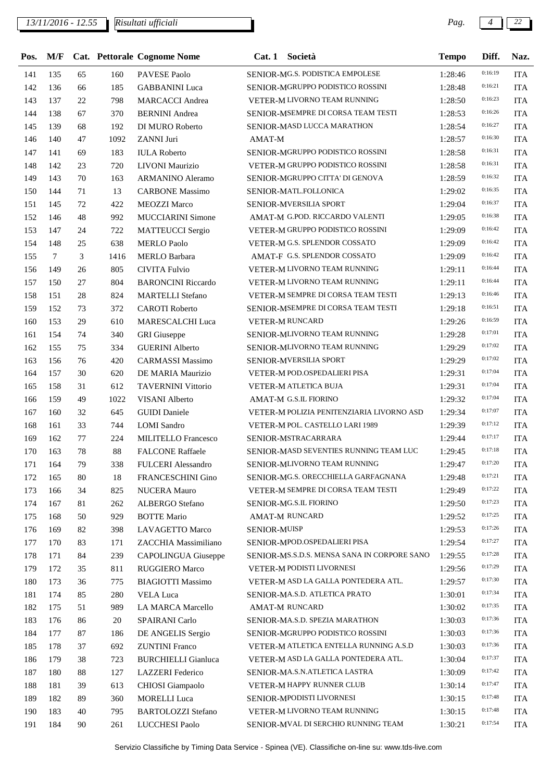| Pos. | M/F        |    |      | Cat. Pettorale Cognome Nome | Cat.1               | Società                                     | <b>Tempo</b> | Diff.              | Naz.       |
|------|------------|----|------|-----------------------------|---------------------|---------------------------------------------|--------------|--------------------|------------|
| 141  | 135        | 65 | 160  | PAVESE Paolo                |                     | SENIOR-MG.S. PODISTICA EMPOLESE             | 1:28:46      | 0:16:19            | <b>ITA</b> |
| 142  | 136        | 66 | 185  | <b>GABBANINI</b> Luca       |                     | SENIOR-MGRUPPO PODISTICO ROSSINI            | 1:28:48      | 0:16:21            | <b>ITA</b> |
| 143  | 137        | 22 | 798  | <b>MARCACCI</b> Andrea      |                     | VETER-M LIVORNO TEAM RUNNING                | 1:28:50      | 0:16:23            | <b>ITA</b> |
| 144  | 138        | 67 | 370  | <b>BERNINI</b> Andrea       |                     | SENIOR-MSEMPRE DI CORSA TEAM TESTI          | 1:28:53      | 0:16:26            | <b>ITA</b> |
| 145  | 139        | 68 | 192  | DI MURO Roberto             |                     | SENIOR-MASD LUCCA MARATHON                  | 1:28:54      | 0:16:27            | <b>ITA</b> |
| 146  | 140        | 47 | 1092 | ZANNI Juri                  | AMAT-M              |                                             | 1:28:57      | 0:16:30            | <b>ITA</b> |
| 147  | 141        | 69 | 183  | <b>IULA Roberto</b>         |                     | SENIOR-MGRUPPO PODISTICO ROSSINI            | 1:28:58      | 0:16:31            | <b>ITA</b> |
| 148  | 142        | 23 | 720  | LIVONI Maurizio             |                     | VETER-M GRUPPO PODISTICO ROSSINI            | 1:28:58      | 0:16:31            | <b>ITA</b> |
| 149  | 143        | 70 | 163  | <b>ARMANINO Aleramo</b>     |                     | SENIOR-MGRUPPO CITTA' DI GENOVA             | 1:28:59      | 0:16:32            | <b>ITA</b> |
| 150  | 144        | 71 | 13   | <b>CARBONE Massimo</b>      |                     | SENIOR-MATL.FOLLONICA                       | 1:29:02      | 0:16:35            | <b>ITA</b> |
| 151  | 145        | 72 | 422  | <b>MEOZZI Marco</b>         |                     | SENIOR-MVERSILIA SPORT                      | 1:29:04      | 0:16:37            | <b>ITA</b> |
| 152  | 146        | 48 | 992  | <b>MUCCIARINI Simone</b>    |                     | AMAT-M G.POD. RICCARDO VALENTI              | 1:29:05      | 0:16:38            | <b>ITA</b> |
| 153  | 147        | 24 | 722  | <b>MATTEUCCI</b> Sergio     |                     | VETER-M GRUPPO PODISTICO ROSSINI            | 1:29:09      | 0:16:42            | <b>ITA</b> |
| 154  | 148        | 25 | 638  | <b>MERLO Paolo</b>          |                     | VETER-M G.S. SPLENDOR COSSATO               | 1:29:09      | 0:16:42            | <b>ITA</b> |
| 155  | $\tau$     | 3  | 1416 | <b>MERLO Barbara</b>        |                     | AMAT-F G.S. SPLENDOR COSSATO                | 1:29:09      | 0:16:42            | <b>ITA</b> |
| 156  | 149        | 26 | 805  | <b>CIVITA Fulvio</b>        |                     | VETER-M LIVORNO TEAM RUNNING                | 1:29:11      | 0:16:44            | <b>ITA</b> |
| 157  | 150        | 27 | 804  | <b>BARONCINI Riccardo</b>   |                     | VETER-M LIVORNO TEAM RUNNING                | 1:29:11      | 0:16:44            | <b>ITA</b> |
| 158  | 151        | 28 | 824  | <b>MARTELLI Stefano</b>     |                     | VETER-M SEMPRE DI CORSA TEAM TESTI          | 1:29:13      | 0:16:46            | <b>ITA</b> |
| 159  | 152        | 73 | 372  | <b>CAROTI</b> Roberto       |                     | SENIOR-MSEMPRE DI CORSA TEAM TESTI          | 1:29:18      | 0:16:51            | <b>ITA</b> |
| 160  | 153        | 29 | 610  | MARESCALCHI Luca            |                     | <b>VETER-M RUNCARD</b>                      | 1:29:26      | 0:16:59            | <b>ITA</b> |
| 161  | 154        | 74 | 340  | <b>GRI</b> Giuseppe         |                     | SENIOR-MLIVORNO TEAM RUNNING                | 1:29:28      | 0:17:01            | <b>ITA</b> |
| 162  | 155        | 75 | 334  | <b>GUERINI</b> Alberto      |                     | SENIOR-MLIVORNO TEAM RUNNING                | 1:29:29      | 0:17:02            | <b>ITA</b> |
| 163  | 156        | 76 | 420  | <b>CARMASSI Massimo</b>     |                     | SENIOR-MVERSILIA SPORT                      | 1:29:29      | 0:17:02            | <b>ITA</b> |
| 164  | 157        | 30 | 620  | DE MARIA Maurizio           |                     | VETER-M POD.OSPEDALIERI PISA                | 1:29:31      | 0:17:04            | <b>ITA</b> |
| 165  | 158        | 31 | 612  | <b>TAVERNINI Vittorio</b>   |                     | VETER-M ATLETICA BUJA                       | 1:29:31      | 0:17:04            | <b>ITA</b> |
| 166  | 159        | 49 | 1022 | <b>VISANI</b> Alberto       |                     | AMAT-M G.S.IL FIORINO                       | 1:29:32      | 0:17:04            | <b>ITA</b> |
| 167  | 160        | 32 | 645  | <b>GUIDI</b> Daniele        |                     | VETER-M POLIZIA PENITENZIARIA LIVORNO ASD   | 1:29:34      | 0:17:07            | <b>ITA</b> |
| 168  | 161        | 33 | 744  | <b>LOMI</b> Sandro          |                     | VETER-M POL. CASTELLO LARI 1989             | 1:29:39      | 0:17:12            | <b>ITA</b> |
| 169  | 162        | 77 | 224  | MILITELLO Francesco         |                     | SENIOR-MSTRACARRARA                         | 1:29:44      | 0:17:17            | <b>ITA</b> |
| 170  | 163        | 78 | 88   | <b>FALCONE Raffaele</b>     |                     | SENIOR-MASD SEVENTIES RUNNING TEAM LUC      | 1:29:45      | 0:17:18            | <b>ITA</b> |
| 171  | 164        | 79 | 338  | <b>FULCERI Alessandro</b>   |                     | SENIOR-MLIVORNO TEAM RUNNING                | 1:29:47      | 0:17:20            | <b>ITA</b> |
| 172  |            | 80 | 18   | <b>FRANCESCHINI Gino</b>    |                     | SENIOR-MG.S. ORECCHIELLA GARFAGNANA         | 1:29:48      | 0:17:21            | <b>ITA</b> |
| 173  | 165<br>166 | 34 | 825  | <b>NUCERA</b> Mauro         |                     | VETER-M SEMPRE DI CORSA TEAM TESTI          | 1:29:49      | 0:17:22            | <b>ITA</b> |
|      |            | 81 |      | ALBERGO Stefano             |                     | SENIOR-MG.S.IL FIORINO                      | 1:29:50      | 0:17:23            |            |
| 174  | 167        |    | 262  | <b>BOTTE Mario</b>          |                     | <b>AMAT-M RUNCARD</b>                       |              | 0:17:25            | <b>ITA</b> |
| 175  | 168<br>169 | 50 | 929  |                             |                     |                                             | 1:29:52      | 0:17:26            | <b>ITA</b> |
| 176  |            | 82 | 398  | LAVAGETTO Marco             | <b>SENIOR-MUISP</b> | SENIOR-MPOD.OSPEDALIERI PISA                | 1:29:53      | 0:17:27            | <b>ITA</b> |
| 177  | 170        | 83 | 171  | ZACCHIA Massimiliano        |                     | SENIOR-MS.S.D.S. MENSA SANA IN CORPORE SANO | 1:29:54      | 0:17:28            | <b>ITA</b> |
| 178  | 171        | 84 | 239  | CAPOLINGUA Giuseppe         |                     |                                             | 1:29:55      | 0:17:29            | <b>ITA</b> |
| 179  | 172        | 35 | 811  | RUGGIERO Marco              |                     | VETER-M PODISTI LIVORNESI                   | 1:29:56      | 0:17:30            | <b>ITA</b> |
| 180  | 173        | 36 | 775  | <b>BIAGIOTTI Massimo</b>    |                     | VETER-M ASD LA GALLA PONTEDERA ATL.         | 1:29:57      | 0:17:34            | <b>ITA</b> |
| 181  | 174        | 85 | 280  | <b>VELA Luca</b>            |                     | SENIOR-MA.S.D. ATLETICA PRATO               | 1:30:01      | 0:17:35            | <b>ITA</b> |
| 182  | 175        | 51 | 989  | LA MARCA Marcello           |                     | AMAT-M RUNCARD                              | 1:30:02      |                    | <b>ITA</b> |
| 183  | 176        | 86 | 20   | SPAIRANI Carlo              |                     | SENIOR-MA.S.D. SPEZIA MARATHON              | 1:30:03      | 0:17:36<br>0:17:36 | <b>ITA</b> |
| 184  | 177        | 87 | 186  | DE ANGELIS Sergio           |                     | SENIOR-MGRUPPO PODISTICO ROSSINI            | 1:30:03      |                    | <b>ITA</b> |
| 185  | 178        | 37 | 692  | <b>ZUNTINI Franco</b>       |                     | VETER-M ATLETICA ENTELLA RUNNING A.S.D      | 1:30:03      | 0:17:36            | <b>ITA</b> |
| 186  | 179        | 38 | 723  | <b>BURCHIELLI Gianluca</b>  |                     | VETER-M ASD LA GALLA PONTEDERA ATL.         | 1:30:04      | 0:17:37            | <b>ITA</b> |
| 187  | 180        | 88 | 127  | <b>LAZZERI</b> Federico     |                     | SENIOR-MA.S.N.ATLETICA LASTRA               | 1:30:09      | 0:17:42            | <b>ITA</b> |
| 188  | 181        | 39 | 613  | CHIOSI Giampaolo            |                     | VETER-M HAPPY RUNNER CLUB                   | 1:30:14      | 0:17:47            | <b>ITA</b> |
| 189  | 182        | 89 | 360  | <b>MORELLI</b> Luca         |                     | SENIOR-MPODISTI LIVORNESI                   | 1:30:15      | 0:17:48            | <b>ITA</b> |
| 190  | 183        | 40 | 795  | <b>BARTOLOZZI Stefano</b>   |                     | VETER-M LIVORNO TEAM RUNNING                | 1:30:15      | 0:17:48            | <b>ITA</b> |
| 191  | 184        | 90 | 261  | <b>LUCCHESI Paolo</b>       |                     | SENIOR-MVAL DI SERCHIO RUNNING TEAM         | 1:30:21      | 0:17:54            | <b>ITA</b> |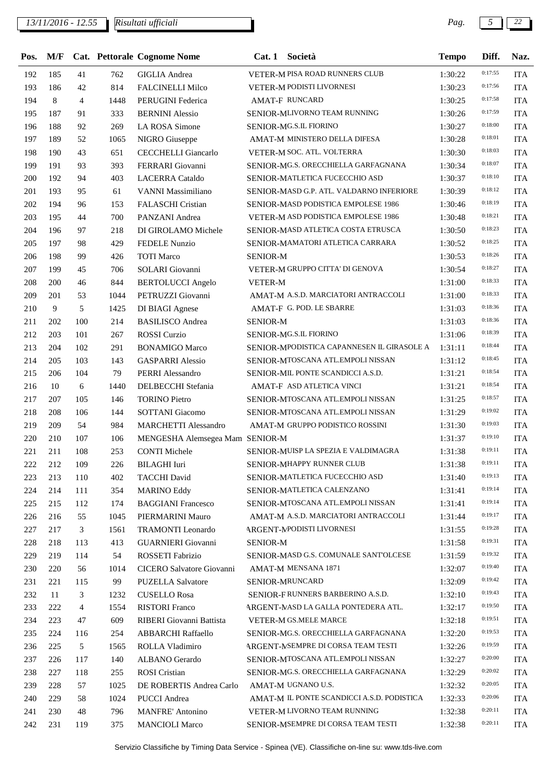*13/11/2016 - 12.55 Pag. 5 22*

| Pos. | M/F |                |      | <b>Cat. Pettorale Cognome Nome</b> | Cat.1           | Società                                    | <b>Tempo</b> | Diff.   | Naz.       |
|------|-----|----------------|------|------------------------------------|-----------------|--------------------------------------------|--------------|---------|------------|
| 192  | 185 | 41             | 762  | <b>GIGLIA</b> Andrea               |                 | VETER-M PISA ROAD RUNNERS CLUB             | 1:30:22      | 0:17:55 | <b>ITA</b> |
| 193  | 186 | 42             | 814  | <b>FALCINELLI Milco</b>            |                 | VETER-M PODISTI LIVORNESI                  | 1:30:23      | 0:17:56 | <b>ITA</b> |
| 194  | 8   | $\overline{4}$ | 1448 | <b>PERUGINI</b> Federica           |                 | <b>AMAT-F RUNCARD</b>                      | 1:30:25      | 0:17:58 | <b>ITA</b> |
| 195  | 187 | 91             | 333  | <b>BERNINI</b> Alessio             |                 | SENIOR-MLIVORNO TEAM RUNNING               | 1:30:26      | 0:17:59 | <b>ITA</b> |
| 196  | 188 | 92             | 269  | LA ROSA Simone                     |                 | SENIOR-MG.S.IL FIORINO                     | 1:30:27      | 0:18:00 | <b>ITA</b> |
| 197  | 189 | 52             | 1065 | NIGRO Giuseppe                     |                 | AMAT-M MINISTERO DELLA DIFESA              | 1:30:28      | 0:18:01 | <b>ITA</b> |
| 198  | 190 | 43             | 651  | CECCHELLI Giancarlo                |                 | VETER-M SOC. ATL. VOLTERRA                 | 1:30:30      | 0:18:03 | <b>ITA</b> |
| 199  | 191 | 93             | 393  | FERRARI Giovanni                   |                 | SENIOR-MG.S. ORECCHIELLA GARFAGNANA        | 1:30:34      | 0:18:07 | <b>ITA</b> |
| 200  | 192 | 94             | 403  | <b>LACERRA</b> Cataldo             |                 | SENIOR-MATLETICA FUCECCHIO ASD             | 1:30:37      | 0:18:10 | <b>ITA</b> |
| 201  | 193 | 95             | 61   | VANNI Massimiliano                 |                 | SENIOR-MASD G.P. ATL. VALDARNO INFERIORE   | 1:30:39      | 0:18:12 | <b>ITA</b> |
| 202  | 194 | 96             | 153  | FALASCHI Cristian                  |                 | SENIOR-MASD PODISTICA EMPOLESE 1986        | 1:30:46      | 0:18:19 | <b>ITA</b> |
| 203  | 195 | 44             | 700  | PANZANI Andrea                     |                 | VETER-M ASD PODISTICA EMPOLESE 1986        | 1:30:48      | 0:18:21 | <b>ITA</b> |
| 204  | 196 | 97             | 218  | DI GIROLAMO Michele                |                 | SENIOR-MASD ATLETICA COSTA ETRUSCA         | 1:30:50      | 0:18:23 | <b>ITA</b> |
| 205  | 197 | 98             | 429  | <b>FEDELE Nunzio</b>               |                 | SENIOR-MAMATORI ATLETICA CARRARA           | 1:30:52      | 0:18:25 | <b>ITA</b> |
| 206  | 198 | 99             | 426  | <b>TOTI</b> Marco                  | <b>SENIOR-M</b> |                                            | 1:30:53      | 0:18:26 | <b>ITA</b> |
| 207  | 199 | 45             | 706  | <b>SOLARI</b> Giovanni             |                 | VETER-M GRUPPO CITTA' DI GENOVA            | 1:30:54      | 0:18:27 | <b>ITA</b> |
| 208  | 200 | 46             | 844  | <b>BERTOLUCCI</b> Angelo           | <b>VETER-M</b>  |                                            | 1:31:00      | 0:18:33 | <b>ITA</b> |
| 209  | 201 | 53             | 1044 | PETRUZZI Giovanni                  |                 | AMAT-M A.S.D. MARCIATORI ANTRACCOLI        | 1:31:00      | 0:18:33 | <b>ITA</b> |
| 210  | 9   | 5              | 1425 | DI BIAGI Agnese                    |                 | AMAT-F G. POD. LE SBARRE                   | 1:31:03      | 0:18:36 | <b>ITA</b> |
| 211  | 202 | 100            | 214  | <b>BASILISCO</b> Andrea            | <b>SENIOR-M</b> |                                            | 1:31:03      | 0:18:36 | <b>ITA</b> |
| 212  | 203 | 101            | 267  | <b>ROSSI</b> Curzio                |                 | SENIOR-MG.S.IL FIORINO                     | 1:31:06      | 0:18:39 | <b>ITA</b> |
| 213  | 204 | 102            | 291  | <b>BONAMIGO Marco</b>              |                 | SENIOR-MPODISTICA CAPANNESEN IL GIRASOLE A | 1:31:11      | 0:18:44 | <b>ITA</b> |
| 214  | 205 | 103            | 143  | <b>GASPARRI Alessio</b>            |                 | SENIOR-MTOSCANA ATL.EMPOLI NISSAN          | 1:31:12      | 0:18:45 | <b>ITA</b> |
| 215  | 206 | 104            | 79   | PERRI Alessandro                   |                 | SENIOR-MIL PONTE SCANDICCI A.S.D.          | 1:31:21      | 0:18:54 | <b>ITA</b> |
| 216  | 10  | 6              | 1440 | DELBECCHI Stefania                 |                 | AMAT-F ASD ATLETICA VINCI                  | 1:31:21      | 0:18:54 | <b>ITA</b> |
| 217  | 207 | 105            | 146  | <b>TORINO Pietro</b>               |                 | SENIOR-MTOSCANA ATL.EMPOLI NISSAN          | 1:31:25      | 0:18:57 | <b>ITA</b> |
| 218  | 208 | 106            | 144  | SOTTANI Giacomo                    |                 | SENIOR-MTOSCANA ATL.EMPOLI NISSAN          | 1:31:29      | 0:19:02 | <b>ITA</b> |
| 219  | 209 | 54             | 984  | <b>MARCHETTI Alessandro</b>        |                 | AMAT-M GRUPPO PODISTICO ROSSINI            | 1:31:30      | 0:19:03 | <b>ITA</b> |
| 220  | 210 | 107            | 106  | MENGESHA Alemsegea Mam SENIOR-M    |                 |                                            | 1:31:37      | 0:19:10 | <b>ITA</b> |
| 221  | 211 | 108            | 253  | <b>CONTI Michele</b>               |                 | SENIOR-MUISP LA SPEZIA E VALDIMAGRA        | 1:31:38      | 0:19:11 | <b>ITA</b> |
| 222  | 212 | 109            | 226  | BILAGHI Iuri                       |                 | SENIOR-MHAPPY RUNNER CLUB                  | 1:31:38      | 0:19:11 | <b>ITA</b> |
| 223  | 213 | 110            | 402  | <b>TACCHI</b> David                |                 | SENIOR-MATLETICA FUCECCHIO ASD             | 1:31:40      | 0:19:13 | <b>ITA</b> |
| 224  | 214 | 111            | 354  | <b>MARINO Eddy</b>                 |                 | SENIOR-MATLETICA CALENZANO                 | 1:31:41      | 0:19:14 | <b>ITA</b> |
| 225  | 215 | 112            | 174  | <b>BAGGIANI Francesco</b>          |                 | SENIOR-MTOSCANA ATL.EMPOLI NISSAN          | 1:31:41      | 0:19:14 | <b>ITA</b> |
| 226  | 216 | 55             | 1045 | PIERMARINI Mauro                   |                 | AMAT-M A.S.D. MARCIATORI ANTRACCOLI        | 1:31:44      | 0:19:17 | <b>ITA</b> |
| 227  | 217 | 3              | 1561 | <b>TRAMONTI</b> Leonardo           |                 | <b>ARGENT-MPODISTI LIVORNESI</b>           | 1:31:55      | 0:19:28 | <b>ITA</b> |
| 228  | 218 | 113            | 413  | <b>GUARNIERI</b> Giovanni          | <b>SENIOR-M</b> |                                            | 1:31:58      | 0:19:31 | <b>ITA</b> |
| 229  | 219 | 114            | 54   | ROSSETI Fabrizio                   |                 | SENIOR-MASD G.S. COMUNALE SANT'OLCESE      | 1:31:59      | 0:19:32 | <b>ITA</b> |
| 230  | 220 | 56             | 1014 | CICERO Salvatore Giovanni          |                 | AMAT-M MENSANA 1871                        | 1:32:07      | 0:19:40 | <b>ITA</b> |
| 231  | 221 | 115            | 99   | <b>PUZELLA Salvatore</b>           |                 | SENIOR-MRUNCARD                            | 1:32:09      | 0:19:42 | <b>ITA</b> |
| 232  | 11  | 3              | 1232 | <b>CUSELLO Rosa</b>                |                 | SENIOR-FRUNNERS BARBERINO A.S.D.           | 1:32:10      | 0:19:43 | <b>ITA</b> |
| 233  | 222 | $\overline{4}$ | 1554 | <b>RISTORI</b> Franco              |                 | ARGENT-MASD LA GALLA PONTEDERA ATL.        | 1:32:17      | 0:19:50 | <b>ITA</b> |
| 234  | 223 | 47             | 609  | RIBERI Giovanni Battista           |                 | VETER-M GS.MELE MARCE                      | 1:32:18      | 0:19:51 | <b>ITA</b> |
| 235  | 224 | 116            | 254  | <b>ABBARCHI Raffaello</b>          |                 | SENIOR-MG.S. ORECCHIELLA GARFAGNANA        | 1:32:20      | 0:19:53 | <b>ITA</b> |
| 236  | 225 | 5              | 1565 | ROLLA Vladimiro                    |                 | ARGENT-MSEMPRE DI CORSA TEAM TESTI         | 1:32:26      | 0:19:59 | <b>ITA</b> |
| 237  | 226 | 117            | 140  | ALBANO Gerardo                     |                 | SENIOR-MTOSCANA ATL.EMPOLI NISSAN          | 1:32:27      | 0:20:00 | <b>ITA</b> |
| 238  | 227 | 118            | 255  | <b>ROSI</b> Cristian               |                 | SENIOR-MG.S. ORECCHIELLA GARFAGNANA        | 1:32:29      | 0:20:02 | <b>ITA</b> |
| 239  | 228 | 57             | 1025 | DE ROBERTIS Andrea Carlo           |                 | AMAT-M UGNANO U.S.                         | 1:32:32      | 0:20:05 | <b>ITA</b> |
| 240  | 229 | 58             | 1024 | <b>PUCCI</b> Andrea                |                 | AMAT-M IL PONTE SCANDICCI A.S.D. PODISTICA | 1:32:33      | 0:20:06 | <b>ITA</b> |
| 241  | 230 | 48             | 796  | <b>MANFRE' Antonino</b>            |                 | VETER-M LIVORNO TEAM RUNNING               | 1:32:38      | 0:20:11 | <b>ITA</b> |
| 242  | 231 | 119            | 375  | <b>MANCIOLI Marco</b>              |                 | SENIOR-MSEMPRE DI CORSA TEAM TESTI         | 1:32:38      | 0:20:11 | <b>ITA</b> |
|      |     |                |      |                                    |                 |                                            |              |         |            |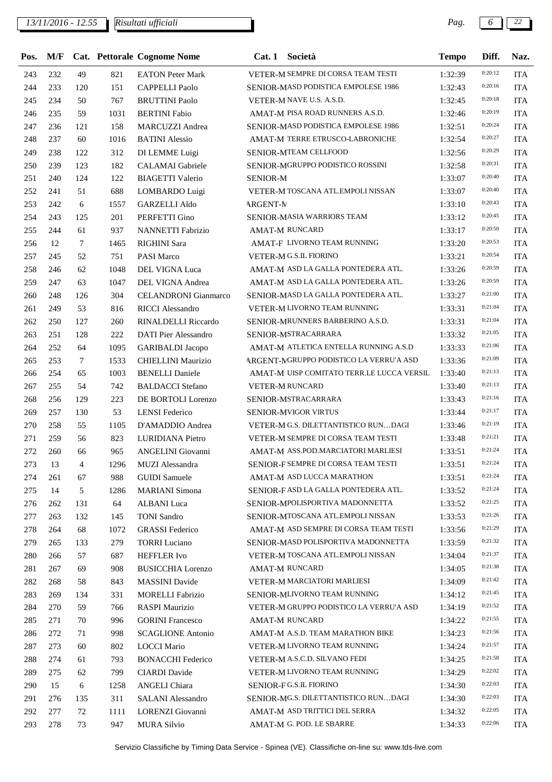*13/11/2016 - 12.55 Pag. 6 22*

| Pos. | M/F |        |      | Cat. Pettorale Cognome Nome | Cat.1           | Società                                   | <b>Tempo</b> | Diff.   | Naz.       |
|------|-----|--------|------|-----------------------------|-----------------|-------------------------------------------|--------------|---------|------------|
| 243  | 232 | 49     | 821  | <b>EATON Peter Mark</b>     |                 | VETER-M SEMPRE DI CORSA TEAM TESTI        | 1:32:39      | 0:20:12 | <b>ITA</b> |
| 244  | 233 | 120    | 151  | <b>CAPPELLI Paolo</b>       |                 | SENIOR-MASD PODISTICA EMPOLESE 1986       | 1:32:43      | 0:20:16 | <b>ITA</b> |
| 245  | 234 | 50     | 767  | <b>BRUTTINI Paolo</b>       |                 | VETER-M NAVE U.S. A.S.D.                  | 1:32:45      | 0:20:18 | <b>ITA</b> |
| 246  | 235 | 59     | 1031 | <b>BERTINI</b> Fabio        |                 | AMAT-M PISA ROAD RUNNERS A.S.D.           | 1:32:46      | 0:20:19 | <b>ITA</b> |
| 247  | 236 | 121    | 158  | <b>MARCUZZI</b> Andrea      |                 | SENIOR-MASD PODISTICA EMPOLESE 1986       | 1:32:51      | 0:20:24 | <b>ITA</b> |
| 248  | 237 | 60     | 1016 | <b>BATINI</b> Alessio       |                 | AMAT-M TERRE ETRUSCO-LABRONICHE           | 1:32:54      | 0:20:27 | <b>ITA</b> |
| 249  | 238 | 122    | 312  | DI LEMME Luigi              |                 | SENIOR-MTEAM CELLFOOD                     | 1:32:56      | 0:20:29 | <b>ITA</b> |
| 250  | 239 | 123    | 182  | CALAMAI Gabriele            |                 | SENIOR-MGRUPPO PODISTICO ROSSINI          | 1:32:58      | 0:20:31 | <b>ITA</b> |
| 251  | 240 | 124    | 122  | <b>BIAGETTI Valerio</b>     | <b>SENIOR-M</b> |                                           | 1:33:07      | 0:20:40 | <b>ITA</b> |
| 252  | 241 | 51     | 688  | LOMBARDO Luigi              |                 | VETER-M TOSCANA ATL.EMPOLI NISSAN         | 1:33:07      | 0:20:40 | <b>ITA</b> |
| 253  | 242 | 6      | 1557 | <b>GARZELLI Aldo</b>        | <b>ARGENT-M</b> |                                           | 1:33:10      | 0:20:43 | <b>ITA</b> |
| 254  | 243 | 125    | 201  | PERFETTI Gino               |                 | SENIOR-MASIA WARRIORS TEAM                | 1:33:12      | 0:20:45 | <b>ITA</b> |
| 255  | 244 | 61     | 937  | <b>NANNETTI Fabrizio</b>    |                 | <b>AMAT-M RUNCARD</b>                     | 1:33:17      | 0:20:50 | <b>ITA</b> |
| 256  | 12  | $\tau$ | 1465 | <b>RIGHINI</b> Sara         |                 | AMAT-F LIVORNO TEAM RUNNING               | 1:33:20      | 0:20:53 | <b>ITA</b> |
| 257  | 245 | 52     | 751  | <b>PASI Marco</b>           |                 | VETER-M G.S.IL FIORINO                    | 1:33:21      | 0:20:54 | <b>ITA</b> |
| 258  | 246 | 62     | 1048 | DEL VIGNA Luca              |                 | AMAT-M ASD LA GALLA PONTEDERA ATL.        | 1:33:26      | 0:20:59 | <b>ITA</b> |
| 259  | 247 | 63     | 1047 | DEL VIGNA Andrea            |                 | AMAT-M ASD LA GALLA PONTEDERA ATL.        | 1:33:26      | 0:20:59 | <b>ITA</b> |
| 260  | 248 | 126    | 304  | <b>CELANDRONI</b> Gianmarco |                 | SENIOR-MASD LA GALLA PONTEDERA ATL.       | 1:33:27      | 0:21:00 | <b>ITA</b> |
| 261  | 249 | 53     | 816  | <b>RICCI</b> Alessandro     |                 | VETER-M LIVORNO TEAM RUNNING              | 1:33:31      | 0:21:04 | <b>ITA</b> |
| 262  | 250 | 127    | 260  | RINALDELLI Riccardo         |                 | SENIOR-MRUNNERS BARBERINO A.S.D.          | 1:33:31      | 0:21:04 | <b>ITA</b> |
| 263  | 251 | 128    | 222  | DATI Pier Alessandro        |                 | SENIOR-MSTRACARRARA                       | 1:33:32      | 0:21:05 | <b>ITA</b> |
| 264  | 252 | 64     | 1095 | <b>GARIBALDI</b> Jacopo     |                 | AMAT-M ATLETICA ENTELLA RUNNING A.S.D     | 1:33:33      | 0:21:06 | <b>ITA</b> |
| 265  | 253 | $\tau$ | 1533 | CHIELLINI Maurizio          |                 | ARGENT-MGRUPPO PODISTICO LA VERRU'A ASD   | 1:33:36      | 0:21:09 | <b>ITA</b> |
| 266  | 254 | 65     | 1003 | <b>BENELLI</b> Daniele      |                 | AMAT-M UISP COMITATO TERR.LE LUCCA VERSIL | 1:33:40      | 0:21:13 | <b>ITA</b> |
| 267  | 255 | 54     | 742  | <b>BALDACCI</b> Stefano     |                 | VETER-M RUNCARD                           | 1:33:40      | 0:21:13 | <b>ITA</b> |
| 268  | 256 | 129    | 223  | DE BORTOLI Lorenzo          |                 | SENIOR-MSTRACARRARA                       | 1:33:43      | 0:21:16 | <b>ITA</b> |
| 269  | 257 | 130    | 53   | <b>LENSI</b> Federico       |                 | SENIOR-MVIGOR VIRTUS                      | 1:33:44      | 0:21:17 | <b>ITA</b> |
| 270  | 258 | 55     | 1105 | D'AMADDIO Andrea            |                 | VETER-M G.S. DILETTANTISTICO RUNDAGI      | 1:33:46      | 0:21:19 | <b>ITA</b> |
| 271  | 259 | 56     | 823  | LURIDIANA Pietro            |                 | VETER-M SEMPRE DI CORSA TEAM TESTI        | 1:33:48      | 0:21:21 | <b>ITA</b> |
| 272  | 260 | 66     | 965  | ANGELINI Giovanni           |                 | AMAT-M ASS.POD.MARCIATORI MARLIESI        | 1:33:51      | 0:21:24 | <b>ITA</b> |
| 273  | 13  | 4      | 1296 | MUZI Alessandra             |                 | SENIOR-F SEMPRE DI CORSA TEAM TESTI       | 1:33:51      | 0:21:24 | <b>ITA</b> |
| 274  | 261 | 67     | 988  | <b>GUIDI</b> Samuele        |                 | AMAT-M ASD LUCCA MARATHON                 | 1:33:51      | 0:21:24 | <b>ITA</b> |
| 275  | 14  | 5      | 1286 | <b>MARIANI</b> Simona       |                 | SENIOR-FASD LA GALLA PONTEDERA ATL.       | 1:33:52      | 0:21:24 | <b>ITA</b> |
| 276  | 262 | 131    | 64   | <b>ALBANI</b> Luca          |                 | SENIOR-MPOLISPORTIVA MADONNETTA           | 1:33:52      | 0:21:25 | <b>ITA</b> |
| 277  | 263 | 132    | 145  | <b>TONI</b> Sandro          |                 | SENIOR-MTOSCANA ATL.EMPOLI NISSAN         | 1:33:53      | 0:21:26 | <b>ITA</b> |
| 278  | 264 | 68     | 1072 | <b>GRASSI</b> Federico      |                 | AMAT-M ASD SEMPRE DI CORSA TEAM TESTI     | 1:33:56      | 0:21:29 | <b>ITA</b> |
| 279  | 265 | 133    | 279  | <b>TORRI</b> Luciano        |                 | SENIOR-MASD POLISPORTIVA MADONNETTA       | 1:33:59      | 0:21:32 | <b>ITA</b> |
| 280  | 266 | 57     | 687  | HEFFLER Ivo                 |                 | VETER-M TOSCANA ATL.EMPOLI NISSAN         | 1:34:04      | 0:21:37 | <b>ITA</b> |
| 281  | 267 | 69     | 908  | <b>BUSICCHIA Lorenzo</b>    |                 | AMAT-M RUNCARD                            | 1:34:05      | 0:21:38 | <b>ITA</b> |
| 282  | 268 | 58     | 843  | <b>MASSINI</b> Davide       |                 | VETER-M MARCIATORI MARLIESI               | 1:34:09      | 0:21:42 | <b>ITA</b> |
| 283  | 269 | 134    | 331  | <b>MORELLI Fabrizio</b>     |                 | SENIOR-MLIVORNO TEAM RUNNING              | 1:34:12      | 0:21:45 | <b>ITA</b> |
| 284  | 270 | 59     | 766  | RASPI Maurizio              |                 | VETER-M GRUPPO PODISTICO LA VERRU'A ASD   | 1:34:19      | 0:21:52 | <b>ITA</b> |
| 285  | 271 | 70     | 996  | <b>GORINI</b> Francesco     |                 | <b>AMAT-M RUNCARD</b>                     | 1:34:22      | 0:21:55 | <b>ITA</b> |
| 286  | 272 | 71     | 998  | <b>SCAGLIONE Antonio</b>    |                 | AMAT-M A.S.D. TEAM MARATHON BIKE          | 1:34:23      | 0:21:56 | <b>ITA</b> |
| 287  | 273 | 60     | 802  | <b>LOCCI Mario</b>          |                 | VETER-M LIVORNO TEAM RUNNING              | 1:34:24      | 0:21:57 | <b>ITA</b> |
| 288  | 274 | 61     | 793  | <b>BONACCHI Federico</b>    |                 | VETER-M A.S.C.D. SILVANO FEDI             | 1:34:25      | 0:21:58 | <b>ITA</b> |
| 289  | 275 | 62     | 799  | <b>CIARDI</b> Davide        |                 | VETER-M LIVORNO TEAM RUNNING              | 1:34:29      | 0:22:02 | <b>ITA</b> |
| 290  | 15  | 6      | 1258 | ANGELI Chiara               |                 | SENIOR-FG.S.IL FIORINO                    | 1:34:30      | 0:22:03 | <b>ITA</b> |
| 291  | 276 | 135    | 311  | SALANI Alessandro           |                 | SENIOR-MG.S. DILETTANTISTICO RUNDAGI      | 1:34:30      | 0:22:03 | <b>ITA</b> |
| 292  | 277 | 72     | 1111 | LORENZI Giovanni            |                 | AMAT-M ASD TRITTICI DEL SERRA             | 1:34:32      | 0:22:05 | <b>ITA</b> |
| 293  | 278 | 73     | 947  | <b>MURA Silvio</b>          |                 | AMAT-M G. POD. LE SBARRE                  | 1:34:33      | 0:22:06 | <b>ITA</b> |
|      |     |        |      |                             |                 |                                           |              |         |            |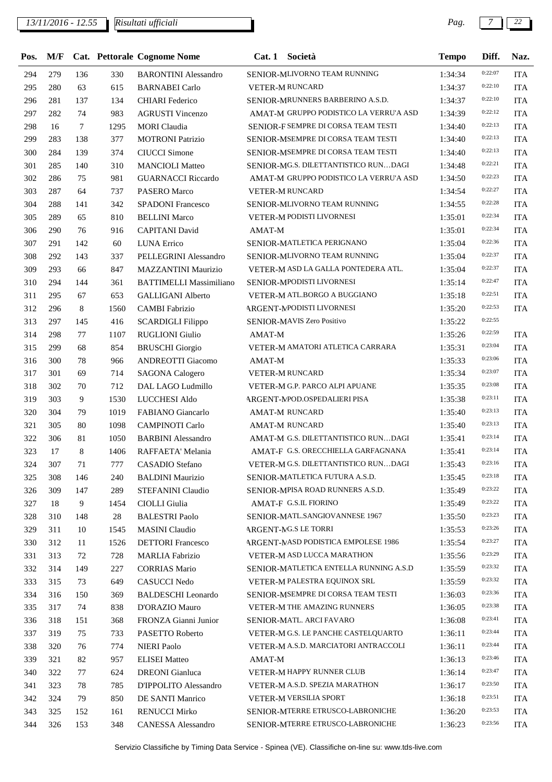### *13/11/2016 - 12.55 Pag. 7 22*

| Pos. | M/F |     |      | Cat. Pettorale Cognome Nome    |        | Cat. 1 Società                             | <b>Tempo</b> | Diff.   | Naz.       |
|------|-----|-----|------|--------------------------------|--------|--------------------------------------------|--------------|---------|------------|
| 294  | 279 | 136 | 330  | <b>BARONTINI</b> Alessandro    |        | SENIOR-MLIVORNO TEAM RUNNING               | 1:34:34      | 0:22:07 | <b>ITA</b> |
| 295  | 280 | 63  | 615  | <b>BARNABEI</b> Carlo          |        | <b>VETER-M RUNCARD</b>                     | 1:34:37      | 0:22:10 | <b>ITA</b> |
| 296  | 281 | 137 | 134  | <b>CHIARI</b> Federico         |        | SENIOR-MRUNNERS BARBERINO A.S.D.           | 1:34:37      | 0:22:10 | <b>ITA</b> |
| 297  | 282 | 74  | 983  | <b>AGRUSTI Vincenzo</b>        |        | AMAT-M GRUPPO PODISTICO LA VERRU'A ASD     | 1:34:39      | 0:22:12 | <b>ITA</b> |
| 298  | 16  | 7   | 1295 | <b>MORI</b> Claudia            |        | SENIOR-F SEMPRE DI CORSA TEAM TESTI        | 1:34:40      | 0:22:13 | <b>ITA</b> |
| 299  | 283 | 138 | 377  | <b>MOTRONI Patrizio</b>        |        | SENIOR-MSEMPRE DI CORSA TEAM TESTI         | 1:34:40      | 0:22:13 | <b>ITA</b> |
| 300  | 284 | 139 | 374  | <b>CIUCCI</b> Simone           |        | SENIOR-MSEMPRE DI CORSA TEAM TESTI         | 1:34:40      | 0:22:13 | <b>ITA</b> |
| 301  | 285 | 140 | 310  | <b>MANCIOLI Matteo</b>         |        | SENIOR-MG.S. DILETTANTISTICO RUNDAGI       | 1:34:48      | 0:22:21 | <b>ITA</b> |
| 302  | 286 | 75  | 981  | <b>GUARNACCI Riccardo</b>      |        | AMAT-M GRUPPO PODISTICO LA VERRU'A ASD     | 1:34:50      | 0:22:23 | <b>ITA</b> |
| 303  | 287 | 64  | 737  | PASERO Marco                   |        | <b>VETER-M RUNCARD</b>                     | 1:34:54      | 0:22:27 | <b>ITA</b> |
| 304  | 288 | 141 | 342  | <b>SPADONI Francesco</b>       |        | SENIOR-MLIVORNO TEAM RUNNING               | 1:34:55      | 0:22:28 | <b>ITA</b> |
| 305  | 289 | 65  | 810  | <b>BELLINI</b> Marco           |        | VETER-M PODISTI LIVORNESI                  | 1:35:01      | 0:22:34 | <b>ITA</b> |
| 306  | 290 | 76  | 916  | <b>CAPITANI</b> David          | AMAT-M |                                            | 1:35:01      | 0:22:34 | <b>ITA</b> |
| 307  | 291 | 142 | 60   | <b>LUNA Errico</b>             |        | SENIOR-MATLETICA PERIGNANO                 | 1:35:04      | 0:22:36 | <b>ITA</b> |
| 308  | 292 | 143 | 337  | PELLEGRINI Alessandro          |        | SENIOR-MLIVORNO TEAM RUNNING               | 1:35:04      | 0:22:37 | <b>ITA</b> |
| 309  | 293 | 66  | 847  | MAZZANTINI Maurizio            |        | VETER-M ASD LA GALLA PONTEDERA ATL.        | 1:35:04      | 0:22:37 | <b>ITA</b> |
| 310  | 294 | 144 | 361  | <b>BATTIMELLI Massimiliano</b> |        | SENIOR-MPODISTI LIVORNESI                  | 1:35:14      | 0:22:47 | <b>ITA</b> |
| 311  | 295 | 67  | 653  | <b>GALLIGANI Alberto</b>       |        | VETER-M ATL.BORGO A BUGGIANO               | 1:35:18      | 0:22:51 | <b>ITA</b> |
| 312  | 296 | 8   | 1560 | <b>CAMBI Fabrizio</b>          |        | ARGENT-MPODISTI LIVORNESI                  | 1:35:20      | 0:22:53 | <b>ITA</b> |
| 313  | 297 | 145 | 416  | <b>SCARDIGLI Filippo</b>       |        | SENIOR-MAVIS Zero Positivo                 | 1:35:22      | 0:22:55 |            |
| 314  | 298 | 77  | 1107 | <b>RUGLIONI</b> Giulio         | AMAT-M |                                            | 1:35:26      | 0:22:59 | <b>ITA</b> |
| 315  | 299 | 68  | 854  | <b>BRUSCHI</b> Giorgio         |        | VETER-M AMATORI ATLETICA CARRARA           | 1:35:31      | 0:23:04 | <b>ITA</b> |
| 316  | 300 | 78  | 966  | <b>ANDREOTTI Giacomo</b>       | AMAT-M |                                            | 1:35:33      | 0:23:06 | <b>ITA</b> |
| 317  | 301 | 69  | 714  | <b>SAGONA Calogero</b>         |        | <b>VETER-M RUNCARD</b>                     | 1:35:34      | 0:23:07 | <b>ITA</b> |
| 318  | 302 | 70  | 712  | DAL LAGO Ludmillo              |        | VETER-M G.P. PARCO ALPI APUANE             | 1:35:35      | 0:23:08 | <b>ITA</b> |
| 319  | 303 | 9   | 1530 | LUCCHESI Aldo                  |        | ARGENT-MPOD.OSPEDALIERI PISA               | 1:35:38      | 0:23:11 | <b>ITA</b> |
| 320  | 304 | 79  | 1019 | FABIANO Giancarlo              |        | <b>AMAT-M RUNCARD</b>                      | 1:35:40      | 0:23:13 | <b>ITA</b> |
| 321  | 305 | 80  | 1098 | <b>CAMPINOTI Carlo</b>         |        | <b>AMAT-M RUNCARD</b>                      | 1:35:40      | 0:23:13 | <b>ITA</b> |
| 322  | 306 | 81  | 1050 | <b>BARBINI</b> Alessandro      |        | AMAT-M G.S. DILETTANTISTICO RUNDAGI        | 1:35:41      | 0:23:14 | <b>ITA</b> |
| 323  | 17  | 8   | 1406 | RAFFAETA' Melania              |        | AMAT-F G.S. ORECCHIELLA GARFAGNANA         | 1:35:41      | 0:23:14 | <b>ITA</b> |
| 324  | 307 | 71  | 777  | CASADIO Stefano                |        | VETER-M G.S. DILETTANTISTICO RUNDAGI       | 1:35:43      | 0:23:16 | <b>ITA</b> |
| 325  | 308 | 146 | 240  | <b>BALDINI Maurizio</b>        |        | SENIOR-MATLETICA FUTURA A.S.D.             | 1:35:45      | 0:23:18 | <b>ITA</b> |
| 326  | 309 | 147 | 289  | STEFANINI Claudio              |        | <b>SENIOR-MPISA ROAD RUNNERS A.S.D.</b>    | 1:35:49      | 0:23:22 | <b>ITA</b> |
| 327  | 18  | 9   | 1454 | CIOLLI Giulia                  |        | AMAT-F G.S.IL FIORINO                      | 1:35:49      | 0:23:22 | <b>ITA</b> |
| 328  | 310 | 148 | 28   | <b>BALESTRI Paolo</b>          |        | SENIOR-MATL.SANGIOVANNESE 1967             | 1:35:50      | 0:23:23 | <b>ITA</b> |
| 329  | 311 | 10  | 1545 | <b>MASINI</b> Claudio          |        | <b>ARGENT-MG.S LE TORRI</b>                | 1:35:53      | 0:23:26 | <b>ITA</b> |
| 330  | 312 | 11  | 1526 | <b>DETTORI</b> Francesco       |        | <b>ARGENT-MASD PODISTICA EMPOLESE 1986</b> | 1:35:54      | 0:23:27 | <b>ITA</b> |
| 331  | 313 | 72  | 728  | <b>MARLIA</b> Fabrizio         |        | <b>VETER-M ASD LUCCA MARATHON</b>          | 1:35:56      | 0:23:29 | <b>ITA</b> |
| 332  | 314 | 149 | 227  | <b>CORRIAS Mario</b>           |        | SENIOR-MATLETICA ENTELLA RUNNING A.S.D     | 1:35:59      | 0:23:32 | <b>ITA</b> |
| 333  | 315 | 73  | 649  | <b>CASUCCI Nedo</b>            |        | VETER-M PALESTRA EQUINOX SRL               | 1:35:59      | 0:23:32 | <b>ITA</b> |
| 334  | 316 | 150 | 369  | <b>BALDESCHI</b> Leonardo      |        | SENIOR-MSEMPRE DI CORSA TEAM TESTI         | 1:36:03      | 0:23:36 | <b>ITA</b> |
| 335  | 317 | 74  | 838  | D'ORAZIO Mauro                 |        | VETER-M THE AMAZING RUNNERS                | 1:36:05      | 0:23:38 | <b>ITA</b> |
| 336  | 318 | 151 | 368  | FRONZA Gianni Junior           |        | SENIOR-MATL. ARCI FAVARO                   | 1:36:08      | 0:23:41 | <b>ITA</b> |
| 337  | 319 | 75  | 733  | PASETTO Roberto                |        | VETER-M G.S. LE PANCHE CASTELQUARTO        | 1:36:11      | 0:23:44 | <b>ITA</b> |
| 338  | 320 | 76  | 774  | <b>NIERI Paolo</b>             |        | VETER-M A.S.D. MARCIATORI ANTRACCOLI       | 1:36:11      | 0:23:44 | <b>ITA</b> |
|      | 321 |     | 957  | <b>ELISEI</b> Matteo           |        |                                            |              | 0:23:46 |            |
| 339  |     | 82  |      |                                | AMAT-M | VETER-M HAPPY RUNNER CLUB                  | 1:36:13      | 0:23:47 | <b>ITA</b> |
| 340  | 322 | 77  | 624  | <b>DREONI</b> Gianluca         |        | VETER-M A.S.D. SPEZIA MARATHON             | 1:36:14      | 0:23:50 | <b>ITA</b> |
| 341  | 323 | 78  | 785  | D'IPPOLITO Alessandro          |        |                                            | 1:36:17      | 0:23:51 | <b>ITA</b> |
| 342  | 324 | 79  | 850  | DE SANTI Manrico               |        | VETER-M VERSILIA SPORT                     | 1:36:18      | 0:23:53 | <b>ITA</b> |
| 343  | 325 | 152 | 161  | <b>RENUCCI Mirko</b>           |        | SENIOR-MTERRE ETRUSCO-LABRONICHE           | 1:36:20      | 0:23:56 | <b>ITA</b> |
| 344  | 326 | 153 | 348  | CANESSA Alessandro             |        | SENIOR-MTERRE ETRUSCO-LABRONICHE           | 1:36:23      |         | <b>ITA</b> |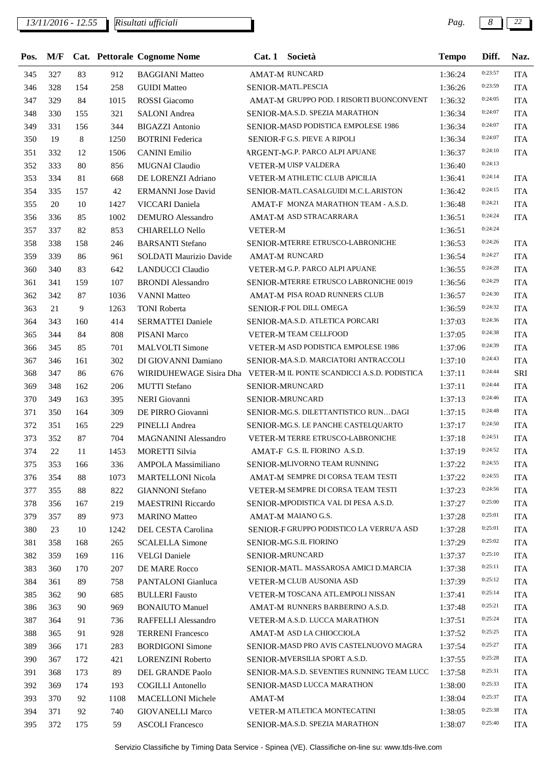*13/11/2016 - 12.55 Pag. 8 22*

| Pos.       |            |            |            | M/F Cat. Pettorale Cognome Nome       |                | Cat. 1 Società                                                      | <b>Tempo</b>       | Diff.   | Naz.                     |
|------------|------------|------------|------------|---------------------------------------|----------------|---------------------------------------------------------------------|--------------------|---------|--------------------------|
| 345        | 327        | 83         | 912        | <b>BAGGIANI Matteo</b>                |                | AMAT-M RUNCARD                                                      | 1:36:24            | 0:23:57 | <b>ITA</b>               |
| 346        | 328        | 154        | 258        | <b>GUIDI</b> Matteo                   |                | SENIOR-MATL.PESCIA                                                  | 1:36:26            | 0:23:59 | <b>ITA</b>               |
| 347        | 329        | 84         | 1015       | <b>ROSSI</b> Giacomo                  |                | AMAT-M GRUPPO POD. I RISORTI BUONCONVENT                            | 1:36:32            | 0:24:05 | <b>ITA</b>               |
| 348        | 330        | 155        | 321        | <b>SALONI</b> Andrea                  |                | SENIOR-MA.S.D. SPEZIA MARATHON                                      | 1:36:34            | 0:24:07 | <b>ITA</b>               |
| 349        | 331        | 156        | 344        | <b>BIGAZZI</b> Antonio                |                | SENIOR-MASD PODISTICA EMPOLESE 1986                                 | 1:36:34            | 0:24:07 | <b>ITA</b>               |
| 350        | 19         | 8          | 1250       | <b>BOTRINI</b> Federica               |                | SENIOR-FG.S. PIEVE A RIPOLI                                         | 1:36:34            | 0:24:07 | <b>ITA</b>               |
| 351        | 332        | 12         | 1506       | <b>CANINI</b> Emilio                  |                | ARGENT-MG.P. PARCO ALPI APUANE                                      | 1:36:37            | 0:24:10 | <b>ITA</b>               |
| 352        | 333        | 80         | 856        | <b>MUGNAI Claudio</b>                 |                | VETER-M UISP VALDERA                                                | 1:36:40            | 0:24:13 |                          |
| 353        | 334        | 81         | 668        | DE LORENZI Adriano                    |                | VETER-M ATHLETIC CLUB APICILIA                                      | 1:36:41            | 0:24:14 | <b>ITA</b>               |
| 354        | 335        | 157        | 42         | <b>ERMANNI</b> Jose David             |                | SENIOR-MATL.CASALGUIDI M.C.L.ARISTON                                | 1:36:42            | 0:24:15 | <b>ITA</b>               |
| 355        | 20         | 10         | 1427       | VICCARI Daniela                       |                | AMAT-F MONZA MARATHON TEAM - A.S.D.                                 | 1:36:48            | 0:24:21 | <b>ITA</b>               |
| 356        | 336        | 85         | 1002       | <b>DEMURO</b> Alessandro              |                | AMAT-M ASD STRACARRARA                                              | 1:36:51            | 0:24:24 | <b>ITA</b>               |
| 357        | 337        | 82         | 853        | <b>CHIARELLO Nello</b>                | <b>VETER-M</b> |                                                                     | 1:36:51            | 0:24:24 |                          |
| 358        | 338        | 158        | 246        | <b>BARSANTI</b> Stefano               |                | SENIOR-MTERRE ETRUSCO-LABRONICHE                                    | 1:36:53            | 0:24:26 | <b>ITA</b>               |
| 359        | 339        | 86         | 961        | <b>SOLDATI Maurizio Davide</b>        |                | AMAT-M RUNCARD                                                      | 1:36:54            | 0:24:27 | <b>ITA</b>               |
| 360        | 340        | 83         | 642        | <b>LANDUCCI</b> Claudio               |                | VETER-M G.P. PARCO ALPI APUANE                                      | 1:36:55            | 0:24:28 | <b>ITA</b>               |
| 361        | 341        | 159        | 107        | <b>BRONDI</b> Alessandro              |                | SENIOR-MTERRE ETRUSCO LABRONICHE 0019                               | 1:36:56            | 0:24:29 | <b>ITA</b>               |
| 362        | 342        | 87         | 1036       | <b>VANNI Matteo</b>                   |                | AMAT-M PISA ROAD RUNNERS CLUB                                       | 1:36:57            | 0:24:30 | <b>ITA</b>               |
| 363        | 21         | 9          | 1263       | <b>TONI</b> Roberta                   |                | SENIOR-FPOL DILL OMEGA                                              | 1:36:59            | 0:24:32 | <b>ITA</b>               |
| 364        | 343        | 160        | 414        | <b>SERMATTEI Daniele</b>              |                | SENIOR-MA.S.D. ATLETICA PORCARI                                     | 1:37:03            | 0:24:36 | <b>ITA</b>               |
| 365        | 344        | 84         | 808        | PISANI Marco                          |                | VETER-M TEAM CELLFOOD                                               | 1:37:05            | 0:24:38 | <b>ITA</b>               |
| 366        | 345        | 85         | 701        | <b>MALVOLTI</b> Simone                |                | VETER-M ASD PODISTICA EMPOLESE 1986                                 | 1:37:06            | 0:24:39 | <b>ITA</b>               |
| 367        | 346        | 161        | 302        | DI GIOVANNI Damiano                   |                | SENIOR-MA.S.D. MARCIATORI ANTRACCOLI                                | 1:37:10            | 0:24:43 | <b>ITA</b>               |
| 368        | 347        | 86         | 676        |                                       |                | WIRIDUHEWAGE Sisira Dha VETER-M IL PONTE SCANDICCI A.S.D. PODISTICA | 1:37:11            | 0:24:44 | SRI                      |
| 369        | 348        | 162        | 206        | <b>MUTTI</b> Stefano                  |                | SENIOR-MRUNCARD                                                     | 1:37:11            | 0:24:44 | <b>ITA</b>               |
| 370        | 349        | 163        | 395        | <b>NERI</b> Giovanni                  |                | SENIOR-MRUNCARD                                                     | 1:37:13            | 0:24:46 | <b>ITA</b>               |
| 371        | 350        | 164        | 309        | DE PIRRO Giovanni                     |                | SENIOR-MG.S. DILETTANTISTICO RUNDAGI                                | 1:37:15            | 0:24:48 | <b>ITA</b>               |
| 372        | 351        | 165        | 229        | PINELLI Andrea                        |                | SENIOR-MG.S. LE PANCHE CASTELQUARTO                                 | 1:37:17            | 0:24:50 | <b>ITA</b>               |
| 373        | 352        | 87         | 704        | MAGNANINI Alessandro                  |                | VETER-M TERRE ETRUSCO-LABRONICHE                                    | 1:37:18            | 0:24:51 | <b>ITA</b>               |
| 374        | 22         | 11         | 1453       | <b>MORETTI Silvia</b>                 |                | AMAT-F G.S. IL FIORINO A.S.D.                                       | 1:37:19            | 0:24:52 | <b>ITA</b>               |
| 375        | 353        | 166        | 336        | AMPOLA Massimiliano                   |                | SENIOR-MLIVORNO TEAM RUNNING                                        | 1:37:22            | 0:24:55 | <b>ITA</b>               |
| 376        | 354        | 88         | 1073       | <b>MARTELLONI Nicola</b>              |                | AMAT-M SEMPRE DI CORSA TEAM TESTI                                   | 1:37:22            | 0:24:55 | <b>ITA</b>               |
| 377        | 355        | 88         | 822        | <b>GIANNONI</b> Stefano               |                | VETER-M SEMPRE DI CORSA TEAM TESTI                                  | 1:37:23            | 0:24:56 | <b>ITA</b>               |
| 378        | 356        | 167        | 219        | <b>MAESTRINI Riccardo</b>             |                | SENIOR-MPODISTICA VAL DI PESA A.S.D.                                | 1:37:27            | 0:25:00 | <b>ITA</b>               |
| 379        | 357        | 89         | 973        | <b>MARINO</b> Matteo                  |                | AMAT-M MAIANO G.S.                                                  | 1:37:28            | 0:25:01 | <b>ITA</b>               |
| 380        | 23         | 10         | 1242       | DEL CESTA Carolina                    |                | SENIOR-F GRUPPO PODISTICO LA VERRU'A ASD                            | 1:37:28            | 0:25:01 | <b>ITA</b>               |
|            |            |            |            |                                       |                | SENIOR-MG.S.IL FIORINO                                              |                    | 0:25:02 |                          |
| 381        | 358        | 168        | 265        | <b>SCALELLA Simone</b>                |                | SENIOR-MRUNCARD                                                     | 1:37:29            | 0:25:10 | <b>ITA</b>               |
| 382<br>383 | 359<br>360 | 169<br>170 | 116<br>207 | <b>VELGI</b> Daniele<br>DE MARE Rocco |                | SENIOR-MATL. MASSAROSA AMICI D.MARCIA                               | 1:37:37<br>1:37:38 | 0:25:11 | <b>ITA</b><br><b>ITA</b> |
|            | 361        | 89         |            |                                       |                | <b>VETER-M CLUB AUSONIA ASD</b>                                     |                    | 0:25:12 |                          |
| 384        |            | 90         | 758        | PANTALONI Gianluca                    |                | VETER-M TOSCANA ATL.EMPOLI NISSAN                                   | 1:37:39            | 0:25:14 | <b>ITA</b>               |
| 385        | 362        |            | 685        | <b>BULLERI</b> Fausto                 |                | AMAT-M RUNNERS BARBERINO A.S.D.                                     | 1:37:41            | 0:25:21 | <b>ITA</b>               |
| 386        | 363        | 90         | 969        | <b>BONAIUTO Manuel</b>                |                |                                                                     | 1:37:48            | 0:25:24 | <b>ITA</b>               |
| 387        | 364        | 91         | 736        | RAFFELLI Alessandro                   |                | VETER-M A.S.D. LUCCA MARATHON                                       | 1:37:51            | 0:25:25 | <b>ITA</b>               |
| 388        | 365        | 91         | 928        | <b>TERRENI</b> Francesco              |                | AMAT-M ASD LA CHIOCCIOLA                                            | 1:37:52            |         | <b>ITA</b>               |
| 389        | 366        | 171        | 283        | <b>BORDIGONI Simone</b>               |                | SENIOR-MASD PRO AVIS CASTELNUOVO MAGRA                              | 1:37:54            | 0:25:27 | <b>ITA</b>               |
| 390        | 367        | 172        | 421        | <b>LORENZINI Roberto</b>              |                | SENIOR-MVERSILIA SPORT A.S.D.                                       | 1:37:55            | 0:25:28 | <b>ITA</b>               |
| 391        | 368        | 173        | 89         | DEL GRANDE Paolo                      |                | SENIOR-MA.S.D. SEVENTIES RUNNING TEAM LUCC                          | 1:37:58            | 0:25:31 | <b>ITA</b>               |
| 392        | 369        | 174        | 193        | <b>COGILLI</b> Antonello              |                | SENIOR-MASD LUCCA MARATHON                                          | 1:38:00            | 0:25:33 | <b>ITA</b>               |
| 393        | 370        | 92         | 1108       | MACELLONI Michele                     | AMAT-M         |                                                                     | 1:38:04            | 0:25:37 | <b>ITA</b>               |
| 394        | 371        | 92         | 740        | <b>GIOVANELLI Marco</b>               |                | VETER-M ATLETICA MONTECATINI                                        | 1:38:05            | 0:25:38 | <b>ITA</b>               |
| 395        | 372        | 175        | 59         | <b>ASCOLI Francesco</b>               |                | SENIOR-MA.S.D. SPEZIA MARATHON                                      | 1:38:07            | 0:25:40 | <b>ITA</b>               |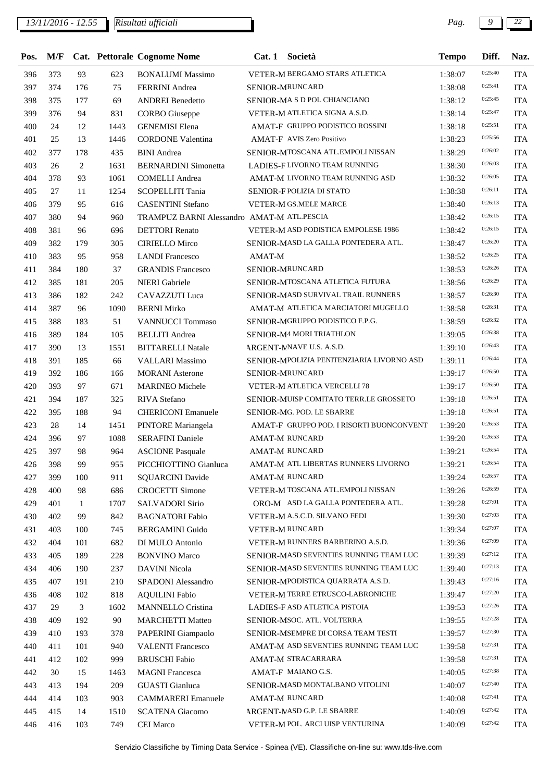## *13/11/2016 - 12.55 Pag. 9 22*

| Pos. | M/F |     |      | Cat. Pettorale Cognome Nome                | Cat.1  | Società                                   | <b>Tempo</b>       | Diff.   | Naz.       |
|------|-----|-----|------|--------------------------------------------|--------|-------------------------------------------|--------------------|---------|------------|
| 396  | 373 | 93  | 623  | <b>BONALUMI Massimo</b>                    |        | VETER-M BERGAMO STARS ATLETICA            | 1:38:07            | 0:25:40 | <b>ITA</b> |
| 397  | 374 | 176 | 75   | <b>FERRINI</b> Andrea                      |        | SENIOR-MRUNCARD                           | 1:38:08            | 0:25:41 | <b>ITA</b> |
| 398  | 375 | 177 | 69   | <b>ANDREI Benedetto</b>                    |        | SENIOR-MASD POL CHIANCIANO                | 1:38:12            | 0:25:45 | <b>ITA</b> |
| 399  | 376 | 94  | 831  | <b>CORBO</b> Giuseppe                      |        | VETER-M ATLETICA SIGNA A.S.D.             | 1:38:14            | 0:25:47 | <b>ITA</b> |
| 400  | 24  | 12  | 1443 | <b>GENEMISI</b> Elena                      |        | AMAT-F GRUPPO PODISTICO ROSSINI           | 1:38:18            | 0:25:51 | <b>ITA</b> |
| 401  | 25  | 13  | 1446 | <b>CORDONE Valentina</b>                   |        | <b>AMAT-F AVIS Zero Positivo</b>          | 1:38:23            | 0:25:56 | <b>ITA</b> |
| 402  | 377 | 178 | 435  | <b>BINI</b> Andrea                         |        | SENIOR-MTOSCANA ATL.EMPOLI NISSAN         | 1:38:29            | 0:26:02 | <b>ITA</b> |
| 403  | 26  | 2   | 1631 | <b>BERNARDINI</b> Simonetta                |        | LADIES-F LIVORNO TEAM RUNNING             | 1:38:30            | 0:26:03 | <b>ITA</b> |
| 404  | 378 | 93  | 1061 | <b>COMELLI Andrea</b>                      |        | AMAT-M LIVORNO TEAM RUNNING ASD           | 1:38:32            | 0:26:05 | <b>ITA</b> |
| 405  | 27  | 11  | 1254 | SCOPELLITI Tania                           |        | SENIOR-F POLIZIA DI STATO                 | 1:38:38            | 0:26:11 | <b>ITA</b> |
| 406  | 379 | 95  | 616  | <b>CASENTINI</b> Stefano                   |        | <b>VETER-M GS.MELE MARCE</b>              | 1:38:40            | 0:26:13 | <b>ITA</b> |
| 407  | 380 | 94  | 960  | TRAMPUZ BARNI Alessandro AMAT-M ATL.PESCIA |        |                                           | 1:38:42            | 0:26:15 | <b>ITA</b> |
| 408  | 381 | 96  | 696  | <b>DETTORI</b> Renato                      |        | VETER-M ASD PODISTICA EMPOLESE 1986       | 1:38:42            | 0:26:15 | <b>ITA</b> |
| 409  | 382 | 179 | 305  | <b>CIRIELLO Mirco</b>                      |        | SENIOR-MASD LA GALLA PONTEDERA ATL.       | 1:38:47            | 0:26:20 | <b>ITA</b> |
| 410  | 383 | 95  | 958  | <b>LANDI Francesco</b>                     | AMAT-M |                                           | 1:38:52            | 0:26:25 | <b>ITA</b> |
| 411  | 384 | 180 | 37   | <b>GRANDIS Francesco</b>                   |        | SENIOR-MRUNCARD                           | 1:38:53            | 0:26:26 | <b>ITA</b> |
| 412  | 385 | 181 | 205  | <b>NIERI</b> Gabriele                      |        | SENIOR-MTOSCANA ATLETICA FUTURA           | 1:38:56            | 0:26:29 | <b>ITA</b> |
| 413  | 386 | 182 | 242  | CAVAZZUTI Luca                             |        | SENIOR-MASD SURVIVAL TRAIL RUNNERS        | 1:38:57            | 0:26:30 | <b>ITA</b> |
| 414  | 387 | 96  | 1090 | <b>BERNI Mirko</b>                         |        | AMAT-M ATLETICA MARCIATORI MUGELLO        | 1:38:58            | 0:26:31 | <b>ITA</b> |
|      | 388 | 183 | 51   | <b>VANNUCCI</b> Tommaso                    |        | SENIOR-MGRUPPO PODISTICO F.P.G.           |                    | 0:26:32 | <b>ITA</b> |
| 415  | 389 | 184 |      |                                            |        | SENIOR-M4 MORI TRIATHLON                  | 1:38:59<br>1:39:05 | 0:26:38 | <b>ITA</b> |
| 416  |     |     | 105  | <b>BELLITI Andrea</b>                      |        |                                           |                    | 0:26:43 |            |
| 417  | 390 | 13  | 1551 | <b>BITTARELLI Natale</b>                   |        | ARGENT-MNAVE U.S. A.S.D.                  | 1:39:10            | 0:26:44 | <b>ITA</b> |
| 418  | 391 | 185 | 66   | <b>VALLARI</b> Massimo                     |        | SENIOR-MPOLIZIA PENITENZIARIA LIVORNO ASD | 1:39:11            | 0:26:50 | <b>ITA</b> |
| 419  | 392 | 186 | 166  | <b>MORANI</b> Asterone                     |        | SENIOR-MRUNCARD                           | 1:39:17            | 0:26:50 | <b>ITA</b> |
| 420  | 393 | 97  | 671  | <b>MARINEO</b> Michele                     |        | VETER-M ATLETICA VERCELLI 78              | 1:39:17            | 0:26:51 | <b>ITA</b> |
| 421  | 394 | 187 | 325  | <b>RIVA</b> Stefano                        |        | SENIOR-MUISP COMITATO TERR.LE GROSSETO    | 1:39:18            |         | <b>ITA</b> |
| 422  | 395 | 188 | 94   | <b>CHERICONI Emanuele</b>                  |        | SENIOR-MG. POD. LE SBARRE                 | 1:39:18            | 0:26:51 | <b>ITA</b> |
| 423  | 28  | 14  | 1451 | PINTORE Mariangela                         |        | AMAT-F GRUPPO POD. I RISORTI BUONCONVENT  | 1:39:20            | 0:26:53 | <b>ITA</b> |
| 424  | 396 | 97  | 1088 | <b>SERAFINI Daniele</b>                    |        | <b>AMAT-M RUNCARD</b>                     | 1:39:20            | 0:26:53 | <b>ITA</b> |
| 425  | 397 | 98  | 964  | <b>ASCIONE Pasquale</b>                    |        | AMAT-M RUNCARD                            | 1:39:21            | 0:26:54 | <b>ITA</b> |
| 426  | 398 | 99  | 955  | PICCHIOTTINO Gianluca                      |        | AMAT-M ATL LIBERTAS RUNNERS LIVORNO       | 1:39:21            | 0:26:54 | <b>ITA</b> |
| 427  | 399 | 100 | 911  | <b>SQUARCINI</b> Davide                    |        | <b>AMAT-M RUNCARD</b>                     | 1:39:24            | 0:26:57 | <b>ITA</b> |
| 428  | 400 | 98  | 686  | <b>CROCETTI Simone</b>                     |        | VETER-M TOSCANA ATL.EMPOLI NISSAN         | 1:39:26            | 0:26:59 | <b>ITA</b> |
| 429  | 401 | 1   | 1707 | <b>SALVADORI Sirio</b>                     |        | ORO-M ASD LA GALLA PONTEDERA ATL.         | 1:39:28            | 0:27:01 | <b>ITA</b> |
| 430  | 402 | 99  | 842  | <b>BAGNATORI Fabio</b>                     |        | VETER-M A.S.C.D. SILVANO FEDI             | 1:39:30            | 0:27:03 | <b>ITA</b> |
| 431  | 403 | 100 | 745  | <b>BERGAMINI Guido</b>                     |        | <b>VETER-M RUNCARD</b>                    | 1:39:34            | 0:27:07 | <b>ITA</b> |
| 432  | 404 | 101 | 682  | DI MULO Antonio                            |        | VETER-M RUNNERS BARBERINO A.S.D.          | 1:39:36            | 0:27:09 | <b>ITA</b> |
| 433  | 405 | 189 | 228  | <b>BONVINO Marco</b>                       |        | SENIOR-MASD SEVENTIES RUNNING TEAM LUC    | 1:39:39            | 0:27:12 | <b>ITA</b> |
| 434  | 406 | 190 | 237  | DAVINI Nicola                              |        | SENIOR-MASD SEVENTIES RUNNING TEAM LUC    | 1:39:40            | 0:27:13 | <b>ITA</b> |
| 435  | 407 | 191 | 210  | SPADONI Alessandro                         |        | SENIOR-MPODISTICA QUARRATA A.S.D.         | 1:39:43            | 0:27:16 | <b>ITA</b> |
| 436  | 408 | 102 | 818  | <b>AQUILINI Fabio</b>                      |        | VETER-M TERRE ETRUSCO-LABRONICHE          | 1:39:47            | 0:27:20 | <b>ITA</b> |
| 437  | 29  | 3   | 1602 | <b>MANNELLO Cristina</b>                   |        | LADIES-F ASD ATLETICA PISTOIA             | 1:39:53            | 0:27:26 | <b>ITA</b> |
| 438  | 409 | 192 | 90   | <b>MARCHETTI Matteo</b>                    |        | SENIOR-MSOC. ATL. VOLTERRA                | 1:39:55            | 0:27:28 | <b>ITA</b> |
| 439  | 410 | 193 | 378  | PAPERINI Giampaolo                         |        | SENIOR-MSEMPRE DI CORSA TEAM TESTI        | 1:39:57            | 0:27:30 | <b>ITA</b> |
| 440  | 411 | 101 | 940  | <b>VALENTI Francesco</b>                   |        | AMAT-M ASD SEVENTIES RUNNING TEAM LUC     | 1:39:58            | 0:27:31 | <b>ITA</b> |
| 441  | 412 | 102 | 999  | <b>BRUSCHI Fabio</b>                       |        | AMAT-M STRACARRARA                        | 1:39:58            | 0:27:31 | <b>ITA</b> |
| 442  | 30  | 15  | 1463 | <b>MAGNI</b> Francesca                     |        | AMAT-F MAIANO G.S.                        | 1:40:05            | 0:27:38 | <b>ITA</b> |
| 443  | 413 | 194 | 209  | <b>GUASTI</b> Gianluca                     |        | SENIOR-MASD MONTALBANO VITOLINI           | 1:40:07            | 0:27:40 | <b>ITA</b> |
| 444  | 414 | 103 | 903  | <b>CAMMARERI</b> Emanuele                  |        | <b>AMAT-M RUNCARD</b>                     | 1:40:08            | 0:27:41 | <b>ITA</b> |
| 445  | 415 | 14  | 1510 | <b>SCATENA</b> Giacomo                     |        | ARGENT-MASD G.P. LE SBARRE                | 1:40:09            | 0:27:42 | <b>ITA</b> |
| 446  | 416 | 103 | 749  | CEI Marco                                  |        | VETER-M POL. ARCI UISP VENTURINA          | 1:40:09            | 0:27:42 | <b>ITA</b> |
|      |     |     |      |                                            |        |                                           |                    |         |            |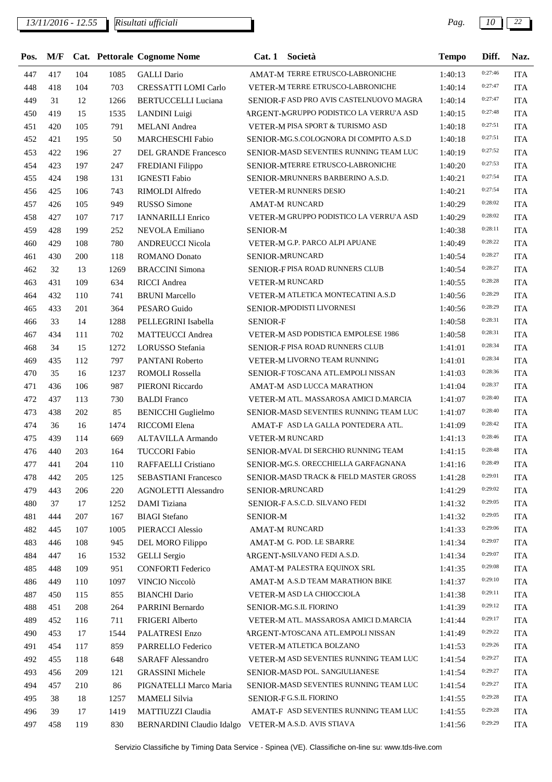*13/11/2016 - 12.55 Pag. 10 22*

| Pos. |     |     |      | M/F Cat. Pettorale Cognome Nome | Cat. 1 Società                                               | <b>Tempo</b> | Diff.              | Naz.       |
|------|-----|-----|------|---------------------------------|--------------------------------------------------------------|--------------|--------------------|------------|
| 447  | 417 | 104 | 1085 | <b>GALLI</b> Dario              | AMAT-M TERRE ETRUSCO-LABRONICHE                              | 1:40:13      | 0:27:46            | <b>ITA</b> |
| 448  | 418 | 104 | 703  | CRESSATTI LOMI Carlo            | VETER-M TERRE ETRUSCO-LABRONICHE                             | 1:40:14      | 0:27:47            | <b>ITA</b> |
| 449  | 31  | 12  | 1266 | <b>BERTUCCELLI Luciana</b>      | SENIOR-FASD PRO AVIS CASTELNUOVO MAGRA                       | 1:40:14      | 0:27:47            | <b>ITA</b> |
| 450  | 419 | 15  | 1535 | LANDINI Luigi                   | ARGENT-MGRUPPO PODISTICO LA VERRU'A ASD                      | 1:40:15      | 0:27:48            | <b>ITA</b> |
| 451  | 420 | 105 | 791  | <b>MELANI</b> Andrea            | VETER-M PISA SPORT & TURISMO ASD                             | 1:40:18      | 0:27:51            | <b>ITA</b> |
| 452  | 421 | 195 | 50   | <b>MARCHESCHI Fabio</b>         | SENIOR-MG.S.COLOGNORA DI COMPITO A.S.D                       | 1:40:18      | 0:27:51            | <b>ITA</b> |
| 453  | 422 | 196 | 27   | DEL GRANDE Francesco            | SENIOR-MASD SEVENTIES RUNNING TEAM LUC                       | 1:40:19      | 0:27:52            | <b>ITA</b> |
| 454  | 423 | 197 | 247  | FREDIANI Filippo                | SENIOR-MTERRE ETRUSCO-LABRONICHE                             | 1:40:20      | 0:27:53            | <b>ITA</b> |
| 455  | 424 | 198 | 131  | <b>IGNESTI Fabio</b>            | SENIOR-MRUNNERS BARBERINO A.S.D.                             | 1:40:21      | 0:27:54            | <b>ITA</b> |
| 456  | 425 | 106 | 743  | RIMOLDI Alfredo                 | VETER-M RUNNERS DESIO                                        | 1:40:21      | 0:27:54            | <b>ITA</b> |
| 457  | 426 | 105 | 949  | <b>RUSSO Simone</b>             | <b>AMAT-M RUNCARD</b>                                        | 1:40:29      | 0:28:02            | <b>ITA</b> |
| 458  | 427 | 107 | 717  | <b>IANNARILLI Enrico</b>        | VETER-M GRUPPO PODISTICO LA VERRU'A ASD                      | 1:40:29      | 0:28:02            | <b>ITA</b> |
| 459  | 428 | 199 | 252  | NEVOLA Emiliano                 | <b>SENIOR-M</b>                                              | 1:40:38      | 0:28:11            | <b>ITA</b> |
| 460  | 429 | 108 | 780  | <b>ANDREUCCI Nicola</b>         | VETER-M G.P. PARCO ALPI APUANE                               | 1:40:49      | 0:28:22            | <b>ITA</b> |
| 461  | 430 | 200 | 118  | ROMANO Donato                   | SENIOR-MRUNCARD                                              | 1:40:54      | 0:28:27            | <b>ITA</b> |
| 462  | 32  | 13  | 1269 | <b>BRACCINI</b> Simona          | SENIOR-FPISA ROAD RUNNERS CLUB                               | 1:40:54      | 0:28:27            | <b>ITA</b> |
| 463  | 431 | 109 | 634  | <b>RICCI</b> Andrea             | VETER-M RUNCARD                                              | 1:40:55      | 0:28:28            | <b>ITA</b> |
| 464  | 432 | 110 | 741  | <b>BRUNI</b> Marcello           | VETER-M ATLETICA MONTECATINI A.S.D                           | 1:40:56      | 0:28:29            | <b>ITA</b> |
| 465  | 433 | 201 | 364  | PESARO Guido                    | SENIOR-MPODISTI LIVORNESI                                    | 1:40:56      | 0:28:29            | <b>ITA</b> |
| 466  | 33  | 14  | 1288 | PELLEGRINI Isabella             | <b>SENIOR-F</b>                                              | 1:40:58      | 0:28:31            | <b>ITA</b> |
| 467  | 434 | 111 | 702  | <b>MATTEUCCI</b> Andrea         | VETER-M ASD PODISTICA EMPOLESE 1986                          | 1:40:58      | 0:28:31            | <b>ITA</b> |
| 468  | 34  | 15  | 1272 | LORUSSO Stefania                | SENIOR-FPISA ROAD RUNNERS CLUB                               | 1:41:01      | 0:28:34            | <b>ITA</b> |
| 469  | 435 | 112 | 797  | PANTANI Roberto                 | VETER-M LIVORNO TEAM RUNNING                                 | 1:41:01      | 0:28:34            | <b>ITA</b> |
| 470  | 35  | 16  | 1237 | <b>ROMOLI Rossella</b>          | SENIOR-FTOSCANA ATL.EMPOLI NISSAN                            | 1:41:03      | 0:28:36            | <b>ITA</b> |
| 471  | 436 | 106 | 987  | PIERONI Riccardo                | AMAT-M ASD LUCCA MARATHON                                    | 1:41:04      | 0:28:37            | <b>ITA</b> |
| 472  | 437 | 113 | 730  | <b>BALDI</b> Franco             | VETER-M ATL. MASSAROSA AMICI D.MARCIA                        | 1:41:07      | 0:28:40            | <b>ITA</b> |
| 473  | 438 | 202 | 85   | <b>BENICCHI</b> Guglielmo       | SENIOR-MASD SEVENTIES RUNNING TEAM LUC                       | 1:41:07      | 0:28:40            | <b>ITA</b> |
| 474  | 36  | 16  | 1474 | RICCOMI Elena                   | AMAT-F ASD LA GALLA PONTEDERA ATL.                           | 1:41:09      | 0:28:42            | <b>ITA</b> |
| 475  | 439 | 114 | 669  | ALTAVILLA Armando               | VETER-M RUNCARD                                              | 1:41:13      | 0:28:46            | <b>ITA</b> |
| 476  | 440 | 203 | 164  | <b>TUCCORI Fabio</b>            | SENIOR-MVAL DI SERCHIO RUNNING TEAM                          | 1:41:15      | 0:28:48            | <b>ITA</b> |
| 477  | 441 | 204 | 110  | RAFFAELLI Cristiano             | SENIOR-MG.S. ORECCHIELLA GARFAGNANA                          | 1:41:16      | 0:28:49            | <b>ITA</b> |
| 478  | 442 | 205 | 125  | <b>SEBASTIANI Francesco</b>     | <b>SENIOR-MASD TRACK &amp; FIELD MASTER GROSS</b>            | 1:41:28      | 0:29:01            | <b>ITA</b> |
| 479  | 443 | 206 | 220  | <b>AGNOLETTI Alessandro</b>     | SENIOR-MRUNCARD                                              | 1:41:29      | 0:29:02            | <b>ITA</b> |
| 480  | 37  | 17  | 1252 | <b>DAMI</b> Tiziana             | SENIOR-FA.S.C.D. SILVANO FEDI                                | 1:41:32      | 0:29:05            | <b>ITA</b> |
| 481  | 444 | 207 | 167  | <b>BIAGI</b> Stefano            | <b>SENIOR-M</b>                                              | 1:41:32      | 0:29:05            | <b>ITA</b> |
| 482  | 445 | 107 | 1005 | PIERACCI Alessio                | <b>AMAT-M RUNCARD</b>                                        | 1:41:33      | 0:29:06            | <b>ITA</b> |
| 483  | 446 | 108 | 945  | DEL MORO Filippo                | AMAT-M G. POD. LE SBARRE                                     | 1:41:34      | 0:29:07            | <b>ITA</b> |
| 484  | 447 | 16  | 1532 | <b>GELLI</b> Sergio             | ARGENT-NSILVANO FEDI A.S.D.                                  | 1:41:34      | 0:29:07            | <b>ITA</b> |
| 485  | 448 | 109 | 951  | <b>CONFORTI Federico</b>        | AMAT-M PALESTRA EQUINOX SRL                                  | 1:41:35      | 0:29:08            | <b>ITA</b> |
|      |     |     |      |                                 |                                                              |              | 0:29:10            |            |
| 486  | 449 | 110 | 1097 | VINCIO Niccolò                  | AMAT-M A.S.D TEAM MARATHON BIKE<br>VETER-M ASD LA CHIOCCIOLA | 1:41:37      | 0:29:11            | <b>ITA</b> |
| 487  | 450 | 115 | 855  | <b>BIANCHI</b> Dario            |                                                              | 1:41:38      | 0:29:12            | <b>ITA</b> |
| 488  | 451 | 208 | 264  | PARRINI Bernardo                | SENIOR-MG.S.IL FIORINO                                       | 1:41:39      | 0:29:17            | <b>ITA</b> |
| 489  | 452 | 116 | 711  | FRIGERI Alberto                 | VETER-M ATL. MASSAROSA AMICI D.MARCIA                        | 1:41:44      | 0:29:22            | <b>ITA</b> |
| 490  | 453 | 17  | 1544 | PALATRESI Enzo                  | ARGENT-MTOSCANA ATL.EMPOLI NISSAN                            | 1:41:49      | 0:29:26            | <b>ITA</b> |
| 491  | 454 | 117 | 859  | PARRELLO Federico               | VETER-M ATLETICA BOLZANO                                     | 1:41:53      |                    | <b>ITA</b> |
| 492  | 455 | 118 | 648  | <b>SARAFF Alessandro</b>        | VETER-M ASD SEVENTIES RUNNING TEAM LUC                       | 1:41:54      | 0:29:27<br>0:29:27 | <b>ITA</b> |
| 493  | 456 | 209 | 121  | <b>GRASSINI Michele</b>         | SENIOR-MASD POL. SANGIULIANESE                               | 1:41:54      |                    | <b>ITA</b> |
| 494  | 457 | 210 | 86   | PIGNATELLI Marco Maria          | SENIOR-MASD SEVENTIES RUNNING TEAM LUC                       | 1:41:54      | 0:29:27            | <b>ITA</b> |
| 495  | 38  | 18  | 1257 | <b>MAMELI Silvia</b>            | SENIOR-FG.S.IL FIORINO                                       | 1:41:55      | 0:29:28            | <b>ITA</b> |
| 496  | 39  | 17  | 1419 | MATTIUZZI Claudia               | AMAT-F ASD SEVENTIES RUNNING TEAM LUC                        | 1:41:55      | 0:29:28            | <b>ITA</b> |
| 497  | 458 | 119 | 830  |                                 | BERNARDINI Claudio Idalgo VETER-M A.S.D. AVIS STIAVA         | 1:41:56      | 0:29:29            | <b>ITA</b> |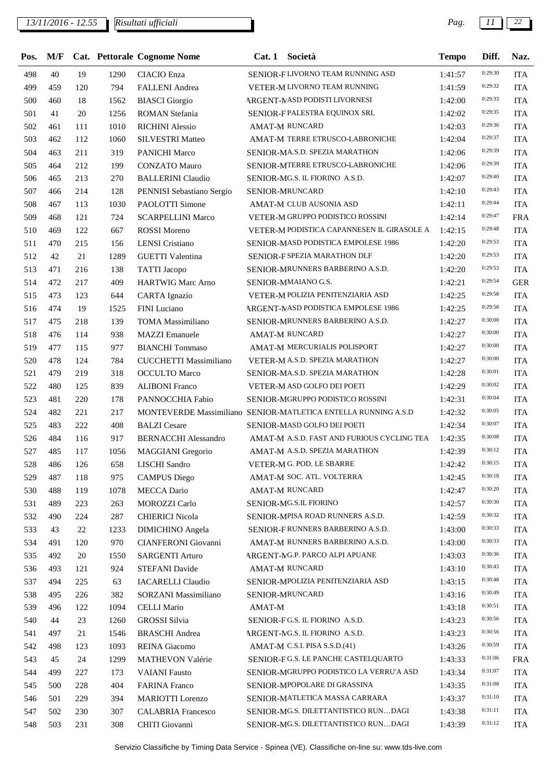*13/11/2016 - 12.55 Pag. 11 22*

| Pos. | M/F |     |      | <b>Cat. Pettorale Cognome Nome</b>       | Cat.1  | Società                                                        | <b>Tempo</b> | Diff.   | Naz.       |
|------|-----|-----|------|------------------------------------------|--------|----------------------------------------------------------------|--------------|---------|------------|
| 498  | 40  | 19  | 1290 | <b>CIACIO</b> Enza                       |        | SENIOR-FLIVORNO TEAM RUNNING ASD                               | 1:41:57      | 0:29:30 | <b>ITA</b> |
| 499  | 459 | 120 | 794  | <b>FALLENI</b> Andrea                    |        | VETER-M LIVORNO TEAM RUNNING                                   | 1:41:59      | 0:29:32 | <b>ITA</b> |
| 500  | 460 | 18  | 1562 | <b>BIASCI</b> Giorgio                    |        | ARGENT-MASD PODISTI LIVORNESI                                  | 1:42:00      | 0:29:33 | <b>ITA</b> |
| 501  | 41  | 20  | 1256 | <b>ROMAN</b> Stefania                    |        | SENIOR-F PALESTRA EQUINOX SRL                                  | 1:42:02      | 0:29:35 | <b>ITA</b> |
| 502  | 461 | 111 | 1010 | <b>RICHINI</b> Alessio                   |        | <b>AMAT-M RUNCARD</b>                                          | 1:42:03      | 0:29:36 | <b>ITA</b> |
| 503  | 462 | 112 | 1060 | <b>SILVESTRI Matteo</b>                  |        | AMAT-M TERRE ETRUSCO-LABRONICHE                                | 1:42:04      | 0:29:37 | <b>ITA</b> |
| 504  | 463 | 211 | 319  | PANICHI Marco                            |        | SENIOR-MA.S.D. SPEZIA MARATHON                                 | 1:42:06      | 0:29:39 | <b>ITA</b> |
| 505  | 464 | 212 | 199  | <b>CONZATO Mauro</b>                     |        | SENIOR-MTERRE ETRUSCO-LABRONICHE                               | 1:42:06      | 0:29:39 | <b>ITA</b> |
| 506  | 465 | 213 | 270  | <b>BALLERINI Claudio</b>                 |        | SENIOR-MG.S. IL FIORINO A.S.D.                                 | 1:42:07      | 0:29:40 | <b>ITA</b> |
| 507  | 466 | 214 | 128  | PENNISI Sebastiano Sergio                |        | SENIOR-MRUNCARD                                                | 1:42:10      | 0:29:43 | <b>ITA</b> |
| 508  | 467 | 113 | 1030 | PAOLOTTI Simone                          |        | AMAT-M CLUB AUSONIA ASD                                        | 1:42:11      | 0:29:44 | <b>ITA</b> |
| 509  | 468 | 121 | 724  | <b>SCARPELLINI Marco</b>                 |        | VETER-M GRUPPO PODISTICO ROSSINI                               | 1:42:14      | 0:29:47 | <b>FRA</b> |
| 510  | 469 | 122 | 667  | <b>ROSSI</b> Moreno                      |        | VETER-M PODISTICA CAPANNESEN IL GIRASOLE A                     | 1:42:15      | 0:29:48 | <b>ITA</b> |
| 511  | 470 | 215 | 156  | <b>LENSI</b> Cristiano                   |        | SENIOR-MASD PODISTICA EMPOLESE 1986                            | 1:42:20      | 0:29:53 | <b>ITA</b> |
| 512  | 42  | 21  | 1289 | <b>GUETTI Valentina</b>                  |        | SENIOR-F SPEZIA MARATHON DLF                                   | 1:42:20      | 0:29:53 | <b>ITA</b> |
| 513  | 471 | 216 | 138  | <b>TATTI</b> Jacopo                      |        | SENIOR-MRUNNERS BARBERINO A.S.D.                               | 1:42:20      | 0:29:53 | <b>ITA</b> |
| 514  | 472 | 217 | 409  | <b>HARTWIG Marc Arno</b>                 |        | SENIOR-MMAIANO G.S.                                            | 1:42:21      | 0:29:54 | <b>GER</b> |
| 515  | 473 | 123 | 644  | <b>CARTA</b> Ignazio                     |        | VETER-M POLIZIA PENITENZIARIA ASD                              | 1:42:25      | 0:29:58 | <b>ITA</b> |
| 516  | 474 | 19  | 1525 | FINI Luciano                             |        | ARGENT-MASD PODISTICA EMPOLESE 1986                            | 1:42:25      | 0:29:58 | <b>ITA</b> |
| 517  | 475 | 218 | 139  | <b>TOMA</b> Massimiliano                 |        | SENIOR-MRUNNERS BARBERINO A.S.D.                               | 1:42:27      | 0:30:00 | <b>ITA</b> |
| 518  | 476 | 114 | 938  | <b>MAZZI</b> Emanuele                    |        | <b>AMAT-M RUNCARD</b>                                          | 1:42:27      | 0:30:00 | <b>ITA</b> |
| 519  | 477 | 115 | 977  | <b>BIANCHI</b> Tommaso                   |        | AMAT-M MERCURIALIS POLISPORT                                   | 1:42:27      | 0:30:00 | <b>ITA</b> |
| 520  | 478 | 124 | 784  | CUCCHETTI Massimiliano                   |        | VETER-M A.S.D. SPEZIA MARATHON                                 | 1:42:27      | 0:30:00 | <b>ITA</b> |
| 521  | 479 | 219 | 318  | <b>OCCULTO</b> Marco                     |        | SENIOR-MA.S.D. SPEZIA MARATHON                                 | 1:42:28      | 0:30:01 | <b>ITA</b> |
| 522  | 480 | 125 | 839  | <b>ALIBONI Franco</b>                    |        | VETER-M ASD GOLFO DEI POETI                                    | 1:42:29      | 0:30:02 | <b>ITA</b> |
| 523  | 481 | 220 | 178  | PANNOCCHIA Fabio                         |        | SENIOR-MGRUPPO PODISTICO ROSSINI                               | 1:42:31      | 0:30:04 | <b>ITA</b> |
| 524  | 482 | 221 | 217  |                                          |        | MONTEVERDE Massimiliano SENIOR-MATLETICA ENTELLA RUNNING A.S.D | 1:42:32      | 0:30:05 | <b>ITA</b> |
| 525  | 483 | 222 | 408  | <b>BALZI</b> Cesare                      |        | SENIOR-MASD GOLFO DEI POETI                                    | 1:42:34      | 0:30:07 | <b>ITA</b> |
| 526  | 484 | 116 | 917  | <b>BERNACCHI Alessandro</b>              |        | AMAT-M A.S.D. FAST AND FURIOUS CYCLING TEA                     | 1:42:35      | 0:30:08 | <b>ITA</b> |
| 527  | 485 | 117 | 1056 | MAGGIANI Gregorio                        |        | AMAT-M A.S.D. SPEZIA MARATHON                                  | 1:42:39      | 0:30:12 | <b>ITA</b> |
| 528  | 486 | 126 | 658  | LISCHI Sandro                            |        | VETER-M G. POD. LE SBARRE                                      | 1:42:42      | 0:30:15 | <b>ITA</b> |
| 529  | 487 | 118 | 975  | <b>CAMPUS Diego</b>                      |        | AMAT-M SOC. ATL. VOLTERRA                                      | 1:42:45      | 0:30:18 | <b>ITA</b> |
| 530  | 488 | 119 | 1078 | <b>MECCA</b> Dario                       |        | AMAT-M RUNCARD                                                 | 1:42:47      | 0:30:20 | <b>ITA</b> |
| 531  | 489 | 223 | 263  | <b>MOROZZI</b> Carlo                     |        | SENIOR-MG.S.IL FIORINO                                         | 1:42:57      | 0:30:30 | <b>ITA</b> |
| 532  | 490 | 224 | 287  | <b>CHIERICI Nicola</b>                   |        | SENIOR-MPISA ROAD RUNNERS A.S.D.                               | 1:42:59      | 0:30:32 | <b>ITA</b> |
| 533  | 43  | 22  | 1233 | <b>DIMICHINO</b> Angela                  |        | SENIOR-FRUNNERS BARBERINO A.S.D.                               | 1:43:00      | 0:30:33 | <b>ITA</b> |
| 534  | 491 | 120 | 970  | CIANFERONI Giovanni                      |        | AMAT-M RUNNERS BARBERINO A.S.D.                                | 1:43:00      | 0:30:33 | <b>ITA</b> |
| 535  | 492 | 20  | 1550 | <b>SARGENTI Arturo</b>                   |        | ARGENT-MG.P. PARCO ALPI APUANE                                 | 1:43:03      | 0:30:36 | <b>ITA</b> |
| 536  | 493 | 121 | 924  | STEFANI Davide                           |        | AMAT-M RUNCARD                                                 | 1:43:10      | 0:30:43 | <b>ITA</b> |
| 537  | 494 | 225 | 63   | <b>IACARELLI Claudio</b>                 |        | SENIOR-MPOLIZIA PENITENZIARIA ASD                              | 1:43:15      | 0:30:48 | <b>ITA</b> |
| 538  | 495 | 226 | 382  | SORZANI Massimiliano                     |        | SENIOR-MRUNCARD                                                | 1:43:16      | 0:30:49 | <b>ITA</b> |
| 539  | 496 | 122 | 1094 | <b>CELLI Mario</b>                       | AMAT-M |                                                                | 1:43:18      | 0:30:51 | <b>ITA</b> |
| 540  | 44  | 23  | 1260 | <b>GROSSI</b> Silvia                     |        | SENIOR-FG.S. IL FIORINO A.S.D.                                 | 1:43:23      | 0:30:56 | <b>ITA</b> |
| 541  | 497 | 21  | 1546 | <b>BRASCHI</b> Andrea                    |        | ARGENT-NG.S. IL FIORINO A.S.D.                                 | 1:43:23      | 0:30:56 | <b>ITA</b> |
| 542  | 498 | 123 | 1093 | <b>REINA</b> Giacomo                     |        | AMAT-M C.S.I. PISA S.S.D.(41)                                  |              | 0:30:59 | <b>ITA</b> |
|      | 45  | 24  |      |                                          |        | SENIOR-FG.S. LE PANCHE CASTELQUARTO                            | 1:43:26      | 0:31:06 |            |
| 543  | 499 |     | 1299 | MATHEVON Valérie<br><b>VAIANI</b> Fausto |        | SENIOR-MGRUPPO PODISTICO LA VERRU'A ASD                        | 1:43:33      | 0:31:07 | <b>FRA</b> |
| 544  |     | 227 | 173  |                                          |        |                                                                | 1:43:34      | 0:31:08 | <b>ITA</b> |
| 545  | 500 | 228 | 404  | <b>FARINA Franco</b>                     |        | SENIOR-MPOPOLARE DI GRASSINA                                   | 1:43:35      | 0:31:10 | <b>ITA</b> |
| 546  | 501 | 229 | 394  | <b>MARIOTTI</b> Lorenzo                  |        | SENIOR-MATLETICA MASSA CARRARA                                 | 1:43:37      | 0:31:11 | <b>ITA</b> |
| 547  | 502 | 230 | 307  | <b>CALABRIA Francesco</b>                |        | SENIOR-MG.S. DILETTANTISTICO RUNDAGI                           | 1:43:38      | 0:31:12 | <b>ITA</b> |
| 548  | 503 | 231 | 308  | CHITI Giovanni                           |        | SENIOR-MG.S. DILETTANTISTICO RUNDAGI                           | 1:43:39      |         | <b>ITA</b> |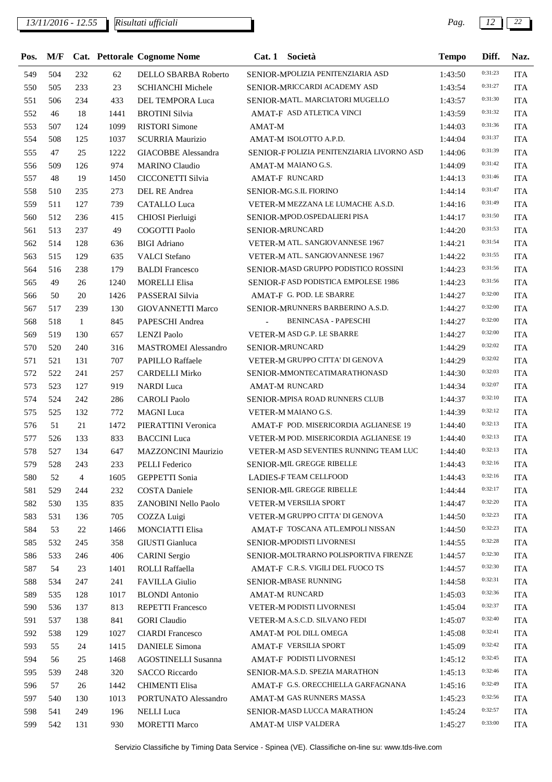| Pos. | M/F |              |      | Cat. Pettorale Cognome Nome | Cat.1  | Società                                    | <b>Tempo</b> | Diff.   | Naz.       |
|------|-----|--------------|------|-----------------------------|--------|--------------------------------------------|--------------|---------|------------|
| 549  | 504 | 232          | 62   | DELLO SBARBA Roberto        |        | SENIOR-MPOLIZIA PENITENZIARIA ASD          | 1:43:50      | 0:31:23 | <b>ITA</b> |
| 550  | 505 | 233          | 23   | <b>SCHIANCHI Michele</b>    |        | SENIOR-MRICCARDI ACADEMY ASD               | 1:43:54      | 0:31:27 | <b>ITA</b> |
| 551  | 506 | 234          | 433  | DEL TEMPORA Luca            |        | SENIOR-MATL. MARCIATORI MUGELLO            | 1:43:57      | 0:31:30 | <b>ITA</b> |
| 552  | 46  | 18           | 1441 | <b>BROTINI</b> Silvia       |        | AMAT-F ASD ATLETICA VINCI                  | 1:43:59      | 0:31:32 | <b>ITA</b> |
| 553  | 507 | 124          | 1099 | <b>RISTORI</b> Simone       | AMAT-M |                                            | 1:44:03      | 0:31:36 | <b>ITA</b> |
| 554  | 508 | 125          | 1037 | <b>SCURRIA Maurizio</b>     |        | AMAT-M ISOLOTTO A.P.D.                     | 1:44:04      | 0:31:37 | <b>ITA</b> |
| 555  | 47  | 25           | 1222 | GIACOBBE Alessandra         |        | SENIOR-F POLIZIA PENITENZIARIA LIVORNO ASD | 1:44:06      | 0:31:39 | <b>ITA</b> |
| 556  | 509 | 126          | 974  | <b>MARINO</b> Claudio       |        | AMAT-M MAIANO G.S.                         | 1:44:09      | 0:31:42 | <b>ITA</b> |
| 557  | 48  | 19           | 1450 | CICCONETTI Silvia           |        | <b>AMAT-F RUNCARD</b>                      | 1:44:13      | 0:31:46 | <b>ITA</b> |
| 558  | 510 | 235          | 273  | DEL RE Andrea               |        | SENIOR-MG.S.IL FIORINO                     | 1:44:14      | 0:31:47 | <b>ITA</b> |
| 559  | 511 | 127          | 739  | <b>CATALLO Luca</b>         |        | VETER-M MEZZANA LE LUMACHE A.S.D.          | 1:44:16      | 0:31:49 | <b>ITA</b> |
| 560  | 512 | 236          | 415  | CHIOSI Pierluigi            |        | SENIOR-MPOD.OSPEDALIERI PISA               | 1:44:17      | 0:31:50 | <b>ITA</b> |
| 561  | 513 | 237          | 49   | COGOTTI Paolo               |        | SENIOR-MRUNCARD                            | 1:44:20      | 0:31:53 | <b>ITA</b> |
| 562  | 514 | 128          | 636  | <b>BIGI</b> Adriano         |        | VETER-M ATL. SANGIOVANNESE 1967            | 1:44:21      | 0:31:54 | <b>ITA</b> |
| 563  | 515 | 129          | 635  | <b>VALCI</b> Stefano        |        | VETER-M ATL. SANGIOVANNESE 1967            | 1:44:22      | 0:31:55 | <b>ITA</b> |
| 564  | 516 | 238          | 179  | <b>BALDI</b> Francesco      |        | SENIOR-MASD GRUPPO PODISTICO ROSSINI       | 1:44:23      | 0:31:56 | <b>ITA</b> |
| 565  | 49  | 26           | 1240 | <b>MORELLI Elisa</b>        |        | SENIOR-FASD PODISTICA EMPOLESE 1986        | 1:44:23      | 0:31:56 | <b>ITA</b> |
| 566  | 50  | 20           | 1426 | PASSERAI Silvia             |        | AMAT-F G. POD. LE SBARRE                   | 1:44:27      | 0:32:00 | <b>ITA</b> |
| 567  | 517 | 239          | 130  | <b>GIOVANNETTI Marco</b>    |        | SENIOR-MRUNNERS BARBERINO A.S.D.           | 1:44:27      | 0:32:00 | <b>ITA</b> |
| 568  | 518 | $\mathbf{1}$ | 845  | PAPESCHI Andrea             |        | <b>BENINCASA - PAPESCHI</b>                | 1:44:27      | 0:32:00 | <b>ITA</b> |
| 569  | 519 | 130          | 657  | <b>LENZI Paolo</b>          |        | VETER-M ASD G.P. LE SBARRE                 | 1:44:27      | 0:32:00 | <b>ITA</b> |
| 570  | 520 | 240          | 316  | <b>MASTROMEI</b> Alessandro |        | SENIOR-MRUNCARD                            | 1:44:29      | 0:32:02 | <b>ITA</b> |
| 571  | 521 | 131          | 707  | <b>PAPILLO Raffaele</b>     |        | VETER-M GRUPPO CITTA' DI GENOVA            | 1:44:29      | 0:32:02 | <b>ITA</b> |
| 572  | 522 | 241          | 257  | <b>CARDELLI Mirko</b>       |        | SENIOR-MMONTECATIMARATHONASD               | 1:44:30      | 0:32:03 | <b>ITA</b> |
| 573  | 523 | 127          | 919  | <b>NARDI</b> Luca           |        | AMAT-M RUNCARD                             | 1:44:34      | 0:32:07 | <b>ITA</b> |
| 574  | 524 | 242          | 286  | <b>CAROLI</b> Paolo         |        | SENIOR-MPISA ROAD RUNNERS CLUB             | 1:44:37      | 0:32:10 | <b>ITA</b> |
| 575  | 525 | 132          | 772  | <b>MAGNI</b> Luca           |        | VETER-M MAIANO G.S.                        | 1:44:39      | 0:32:12 | <b>ITA</b> |
| 576  | 51  | 21           | 1472 | PIERATTINI Veronica         |        | AMAT-F POD. MISERICORDIA AGLIANESE 19      | 1:44:40      | 0:32:13 | <b>ITA</b> |
| 577  | 526 | 133          | 833  | <b>BACCINI</b> Luca         |        | VETER-M POD. MISERICORDIA AGLIANESE 19     | 1:44:40      | 0:32:13 | <b>ITA</b> |
| 578  | 527 | 134          | 647  | MAZZONCINI Maurizio         |        | VETER-M ASD SEVENTIES RUNNING TEAM LUC     | 1:44:40      | 0:32:13 | <b>ITA</b> |
| 579  | 528 | 243          | 233  | PELLI Federico              |        | SENIOR-MIL GREGGE RIBELLE                  | 1:44:43      | 0:32:16 | <b>ITA</b> |
| 580  | 52  | 4            | 1605 | <b>GEPPETTI Sonia</b>       |        | LADIES-F TEAM CELLFOOD                     | 1:44:43      | 0:32:16 | <b>ITA</b> |
| 581  | 529 | 244          | 232  | <b>COSTA Daniele</b>        |        | SENIOR-MIL GREGGE RIBELLE                  | 1:44:44      | 0:32:17 | <b>ITA</b> |
| 582  | 530 | 135          | 835  | ZANOBINI Nello Paolo        |        | VETER-M VERSILIA SPORT                     | 1:44:47      | 0:32:20 | <b>ITA</b> |
| 583  | 531 | 136          | 705  | COZZA Luigi                 |        | VETER-M GRUPPO CITTA' DI GENOVA            | 1:44:50      | 0:32:23 | <b>ITA</b> |
| 584  | 53  | 22           | 1466 | <b>MONCIATTI Elisa</b>      |        | AMAT-F TOSCANA ATL.EMPOLI NISSAN           | 1:44:50      | 0:32:23 | <b>ITA</b> |
| 585  | 532 | 245          | 358  | GIUSTI Gianluca             |        | SENIOR-MPODISTI LIVORNESI                  | 1:44:55      | 0:32:28 | <b>ITA</b> |
| 586  | 533 | 246          | 406  | <b>CARINI</b> Sergio        |        | SENIOR-MOLTRARNO POLISPORTIVA FIRENZE      | 1:44:57      | 0:32:30 | <b>ITA</b> |
| 587  | 54  | 23           | 1401 | ROLLI Raffaella             |        | AMAT-F C.R.S. VIGILI DEL FUOCO TS          | 1:44:57      | 0:32:30 | <b>ITA</b> |
| 588  | 534 | 247          | 241  | <b>FAVILLA Giulio</b>       |        | SENIOR-MBASE RUNNING                       | 1:44:58      | 0:32:31 | <b>ITA</b> |
| 589  | 535 | 128          | 1017 | <b>BLONDI</b> Antonio       |        | <b>AMAT-M RUNCARD</b>                      | 1:45:03      | 0:32:36 | <b>ITA</b> |
| 590  | 536 | 137          | 813  | <b>REPETTI Francesco</b>    |        | VETER-M PODISTI LIVORNESI                  | 1:45:04      | 0:32:37 | <b>ITA</b> |
| 591  | 537 | 138          | 841  | <b>GORI</b> Claudio         |        | VETER-M A.S.C.D. SILVANO FEDI              | 1:45:07      | 0:32:40 | <b>ITA</b> |
| 592  | 538 | 129          | 1027 | <b>CIARDI</b> Francesco     |        | AMAT-M POL DILL OMEGA                      | 1:45:08      | 0:32:41 | <b>ITA</b> |
| 593  | 55  | 24           | 1415 | <b>DANIELE Simona</b>       |        | AMAT-F VERSILIA SPORT                      | 1:45:09      | 0:32:42 | <b>ITA</b> |
| 594  | 56  | 25           | 1468 | <b>AGOSTINELLI Susanna</b>  |        | AMAT-F PODISTI LIVORNESI                   | 1:45:12      | 0:32:45 | <b>ITA</b> |
| 595  | 539 | 248          | 320  | <b>SACCO</b> Riccardo       |        | SENIOR-MA.S.D. SPEZIA MARATHON             | 1:45:13      | 0:32:46 | <b>ITA</b> |
| 596  | 57  | 26           | 1442 | <b>CHIMENTI Elisa</b>       |        | AMAT-F G.S. ORECCHIELLA GARFAGNANA         | 1:45:16      | 0:32:49 | <b>ITA</b> |
| 597  | 540 | 130          | 1013 | PORTUNATO Alessandro        |        | AMAT-M GAS RUNNERS MASSA                   | 1:45:23      | 0:32:56 | <b>ITA</b> |
| 598  | 541 | 249          | 196  | <b>NELLI</b> Luca           |        | SENIOR-MASD LUCCA MARATHON                 | 1:45:24      | 0:32:57 | <b>ITA</b> |
| 599  | 542 | 131          | 930  | <b>MORETTI Marco</b>        |        | AMAT-M UISP VALDERA                        | 1:45:27      | 0:33:00 | <b>ITA</b> |
|      |     |              |      |                             |        |                                            |              |         |            |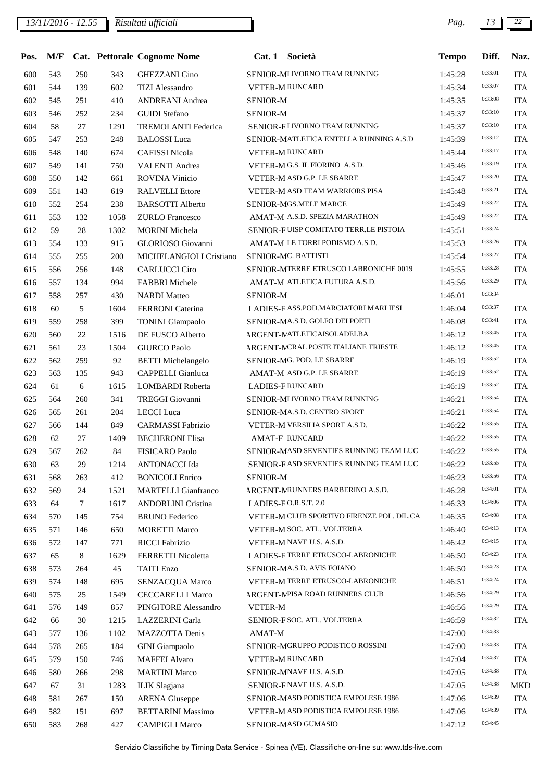| Pos. | M/F |                 |      | <b>Cat. Pettorale Cognome Nome</b> | Società<br>Cat.1                          | <b>Tempo</b> | Diff.   | Naz.       |
|------|-----|-----------------|------|------------------------------------|-------------------------------------------|--------------|---------|------------|
| 600  | 543 | 250             | 343  | <b>GHEZZANI</b> Gino               | SENIOR-MLIVORNO TEAM RUNNING              | 1:45:28      | 0:33:01 | <b>ITA</b> |
| 601  | 544 | 139             | 602  | <b>TIZI</b> Alessandro             | <b>VETER-M RUNCARD</b>                    | 1:45:34      | 0:33:07 | <b>ITA</b> |
| 602  | 545 | 251             | 410  | ANDREANI Andrea                    | <b>SENIOR-M</b>                           | 1:45:35      | 0:33:08 | <b>ITA</b> |
| 603  | 546 | 252             | 234  | <b>GUIDI</b> Stefano               | <b>SENIOR-M</b>                           | 1:45:37      | 0:33:10 | <b>ITA</b> |
| 604  | 58  | 27              | 1291 | TREMOLANTI Federica                | SENIOR-FLIVORNO TEAM RUNNING              | 1:45:37      | 0:33:10 | <b>ITA</b> |
| 605  | 547 | 253             | 248  | <b>BALOSSI</b> Luca                | SENIOR-MATLETICA ENTELLA RUNNING A.S.D    | 1:45:39      | 0:33:12 | <b>ITA</b> |
| 606  | 548 | 140             | 674  | <b>CAFISSI Nicola</b>              | <b>VETER-M RUNCARD</b>                    | 1:45:44      | 0:33:17 | <b>ITA</b> |
| 607  | 549 | 141             | 750  | <b>VALENTI Andrea</b>              | VETER-M G.S. IL FIORINO A.S.D.            | 1:45:46      | 0:33:19 | <b>ITA</b> |
| 608  | 550 | 142             | 661  | ROVINA Vinicio                     | VETER-M ASD G.P. LE SBARRE                | 1:45:47      | 0:33:20 | <b>ITA</b> |
| 609  | 551 | 143             | 619  | <b>RALVELLI</b> Ettore             | VETER-M ASD TEAM WARRIORS PISA            | 1:45:48      | 0:33:21 | <b>ITA</b> |
| 610  | 552 | 254             | 238  | <b>BARSOTTI Alberto</b>            | SENIOR-MGS.MELE MARCE                     | 1:45:49      | 0:33:22 | <b>ITA</b> |
| 611  | 553 | 132             | 1058 | <b>ZURLO</b> Francesco             | AMAT-M A.S.D. SPEZIA MARATHON             | 1:45:49      | 0:33:22 | <b>ITA</b> |
| 612  | 59  | 28              | 1302 | <b>MORINI</b> Michela              | SENIOR-FUISP COMITATO TERR.LE PISTOIA     | 1:45:51      | 0:33:24 |            |
| 613  | 554 | 133             | 915  | GLORIOSO Giovanni                  | AMAT-M LE TORRI PODISMO A.S.D.            | 1:45:53      | 0:33:26 | <b>ITA</b> |
| 614  | 555 | 255             | 200  | MICHELANGIOLI Cristiano            | SENIOR-MC. BATTISTI                       | 1:45:54      | 0:33:27 | <b>ITA</b> |
| 615  | 556 | 256             | 148  | <b>CARLUCCI Ciro</b>               | SENIOR-MTERRE ETRUSCO LABRONICHE 0019     | 1:45:55      | 0:33:28 | <b>ITA</b> |
| 616  | 557 | 134             | 994  | <b>FABBRI</b> Michele              | AMAT-M ATLETICA FUTURA A.S.D.             | 1:45:56      | 0:33:29 | <b>ITA</b> |
| 617  | 558 | 257             | 430  | <b>NARDI</b> Matteo                | <b>SENIOR-M</b>                           | 1:46:01      | 0:33:34 |            |
| 618  | 60  | 5               | 1604 | FERRONI Caterina                   | LADIES-F ASS.POD.MARCIATORI MARLIESI      | 1:46:04      | 0:33:37 | <b>ITA</b> |
| 619  | 559 | 258             | 399  | <b>TONINI</b> Giampaolo            | SENIOR-MA.S.D. GOLFO DEI POETI            | 1:46:08      | 0:33:41 | <b>ITA</b> |
| 620  | 560 | 22              | 1516 | DE FUSCO Alberto                   | ARGENT-MATLETICAISOLADELBA                | 1:46:12      | 0:33:45 | <b>ITA</b> |
| 621  | 561 | 23              | 1504 | <b>GIURCO Paolo</b>                | ARGENT-MCRAL POSTE ITALIANE TRIESTE       | 1:46:12      | 0:33:45 | <b>ITA</b> |
| 622  | 562 | 259             | 92   | <b>BETTI</b> Michelangelo          | SENIOR-MG. POD. LE SBARRE                 | 1:46:19      | 0:33:52 | <b>ITA</b> |
| 623  | 563 | 135             | 943  | CAPPELLI Gianluca                  | AMAT-M ASD G.P. LE SBARRE                 | 1:46:19      | 0:33:52 | <b>ITA</b> |
| 624  | 61  | 6               | 1615 | LOMBARDI Roberta                   | <b>LADIES-FRUNCARD</b>                    | 1:46:19      | 0:33:52 | <b>ITA</b> |
| 625  | 564 | 260             | 341  | <b>TREGGI Giovanni</b>             | SENIOR-MLIVORNO TEAM RUNNING              | 1:46:21      | 0:33:54 | <b>ITA</b> |
| 626  | 565 | 261             | 204  | LECCI Luca                         | SENIOR-MA.S.D. CENTRO SPORT               | 1:46:21      | 0:33:54 | <b>ITA</b> |
| 627  | 566 | 144             | 849  | <b>CARMASSI Fabrizio</b>           | VETER-M VERSILIA SPORT A.S.D.             | 1:46:22      | 0:33:55 | <b>ITA</b> |
| 628  | 62  | 27              | 1409 | <b>BECHERONI Elisa</b>             | <b>AMAT-F RUNCARD</b>                     | 1:46:22      | 0:33:55 | <b>ITA</b> |
| 629  | 567 | 262             | 84   | FISICARO Paolo                     | SENIOR-MASD SEVENTIES RUNNING TEAM LUC    | 1:46:22      | 0:33:55 | <b>ITA</b> |
| 630  | 63  | 29              | 1214 | ANTONACCI Ida                      | SENIOR-FASD SEVENTIES RUNNING TEAM LUC    | 1:46:22      | 0:33:55 | <b>ITA</b> |
| 631  | 568 | 263             | 412  | <b>BONICOLI Enrico</b>             | <b>SENIOR-M</b>                           | 1:46:23      | 0:33:56 | ITA        |
| 632  | 569 | 24              | 1521 | <b>MARTELLI Gianfranco</b>         | ARGENT-MRUNNERS BARBERINO A.S.D.          | 1:46:28      | 0:34:01 | <b>ITA</b> |
| 633  | 64  | $7\phantom{.0}$ | 1617 | <b>ANDORLINI</b> Cristina          | LADIES-FO.R.S.T. 2.0                      | 1:46:33      | 0:34:06 | <b>ITA</b> |
| 634  | 570 | 145             | 754  | <b>BRUNO</b> Federico              | VETER-M CLUB SPORTIVO FIRENZE POL. DIL.CA | 1:46:35      | 0:34:08 | <b>ITA</b> |
| 635  | 571 | 146             | 650  | <b>MORETTI Marco</b>               | VETER-M SOC. ATL. VOLTERRA                | 1:46:40      | 0:34:13 | <b>ITA</b> |
| 636  | 572 | 147             | 771  | <b>RICCI Fabrizio</b>              | VETER-M NAVE U.S. A.S.D.                  | 1:46:42      | 0:34:15 | <b>ITA</b> |
| 637  | 65  | 8               | 1629 | FERRETTI Nicoletta                 | LADIES-F TERRE ETRUSCO-LABRONICHE         | 1:46:50      | 0:34:23 | <b>ITA</b> |
| 638  | 573 | 264             | 45   | <b>TAITI</b> Enzo                  | SENIOR-MA.S.D. AVIS FOIANO                | 1:46:50      | 0:34:23 | <b>ITA</b> |
| 639  | 574 | 148             | 695  | SENZACQUA Marco                    | VETER-M TERRE ETRUSCO-LABRONICHE          | 1:46:51      | 0:34:24 | <b>ITA</b> |
| 640  | 575 | 25              | 1549 | <b>CECCARELLI Marco</b>            | <b>ARGENT-MPISA ROAD RUNNERS CLUB</b>     | 1:46:56      | 0:34:29 | <b>ITA</b> |
| 641  | 576 | 149             | 857  | PINGITORE Alessandro               | <b>VETER-M</b>                            | 1:46:56      | 0:34:29 | <b>ITA</b> |
| 642  | 66  | 30              | 1215 | LAZZERINI Carla                    | SENIOR-F SOC. ATL. VOLTERRA               | 1:46:59      | 0:34:32 | <b>ITA</b> |
| 643  | 577 | 136             | 1102 | MAZZOTTA Denis                     | AMAT-M                                    | 1:47:00      | 0:34:33 |            |
| 644  | 578 | 265             | 184  | <b>GINI</b> Giampaolo              | SENIOR-MGRUPPO PODISTICO ROSSINI          | 1:47:00      | 0:34:33 | <b>ITA</b> |
| 645  | 579 | 150             | 746  | <b>MAFFEI Alvaro</b>               | VETER-M RUNCARD                           | 1:47:04      | 0:34:37 | <b>ITA</b> |
| 646  | 580 | 266             | 298  | <b>MARTINI Marco</b>               | SENIOR-MNAVE U.S. A.S.D.                  | 1:47:05      | 0:34:38 | <b>ITA</b> |
| 647  | 67  | 31              | 1283 | ILIK Slagjana                      | SENIOR-FNAVE U.S. A.S.D.                  | 1:47:05      | 0:34:38 | <b>MKD</b> |
| 648  | 581 | 267             | 150  | <b>ARENA</b> Giuseppe              | SENIOR-MASD PODISTICA EMPOLESE 1986       | 1:47:06      | 0:34:39 | ITA        |
| 649  | 582 | 151             | 697  | <b>BETTARINI Massimo</b>           | VETER-M ASD PODISTICA EMPOLESE 1986       | 1:47:06      | 0:34:39 | <b>ITA</b> |
| 650  | 583 | 268             | 427  | <b>CAMPIGLI Marco</b>              | SENIOR-MASD GUMASIO                       | 1:47:12      | 0:34:45 |            |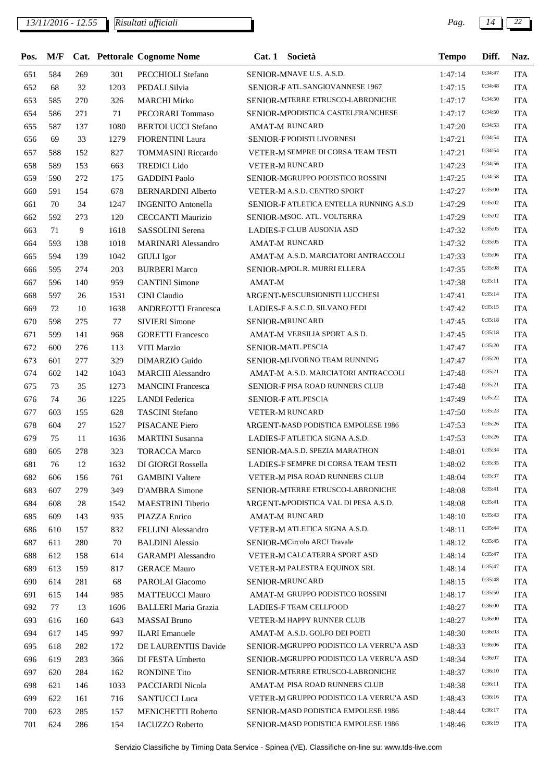*13/11/2016 - 12.55 Pag. 14 22*

| Pos. | M/F |     |      | Cat. Pettorale Cognome Nome |        | Cat. 1 Società                                                       | <b>Tempo</b> | Diff.   | Naz.       |
|------|-----|-----|------|-----------------------------|--------|----------------------------------------------------------------------|--------------|---------|------------|
| 651  | 584 | 269 | 301  | PECCHIOLI Stefano           |        | SENIOR-MNAVE U.S. A.S.D.                                             | 1:47:14      | 0:34:47 | <b>ITA</b> |
| 652  | 68  | 32  | 1203 | PEDALI Silvia               |        | SENIOR-FATL.SANGIOVANNESE 1967                                       | 1:47:15      | 0:34:48 | <b>ITA</b> |
| 653  | 585 | 270 | 326  | <b>MARCHI Mirko</b>         |        | SENIOR-MTERRE ETRUSCO-LABRONICHE                                     | 1:47:17      | 0:34:50 | <b>ITA</b> |
| 654  | 586 | 271 | 71   | PECORARI Tommaso            |        | SENIOR-MPODISTICA CASTELFRANCHESE                                    | 1:47:17      | 0:34:50 | <b>ITA</b> |
| 655  | 587 | 137 | 1080 | <b>BERTOLUCCI</b> Stefano   |        | <b>AMAT-M RUNCARD</b>                                                | 1:47:20      | 0:34:53 | <b>ITA</b> |
| 656  | 69  | 33  | 1279 | <b>FIORENTINI Laura</b>     |        | SENIOR-F PODISTI LIVORNESI                                           | 1:47:21      | 0:34:54 | <b>ITA</b> |
| 657  | 588 | 152 | 827  | <b>TOMMASINI Riccardo</b>   |        | VETER-M SEMPRE DI CORSA TEAM TESTI                                   | 1:47:21      | 0:34:54 | <b>ITA</b> |
| 658  | 589 | 153 | 663  | <b>TREDICI Lido</b>         |        | VETER-M RUNCARD                                                      | 1:47:23      | 0:34:56 | <b>ITA</b> |
| 659  | 590 | 272 | 175  | <b>GADDINI Paolo</b>        |        | SENIOR-MGRUPPO PODISTICO ROSSINI                                     | 1:47:25      | 0:34:58 | <b>ITA</b> |
| 660  | 591 | 154 | 678  | <b>BERNARDINI Alberto</b>   |        | VETER-M A.S.D. CENTRO SPORT                                          | 1:47:27      | 0:35:00 | <b>ITA</b> |
| 661  | 70  | 34  | 1247 | <b>INGENITO Antonella</b>   |        | SENIOR-FATLETICA ENTELLA RUNNING A.S.D                               | 1:47:29      | 0:35:02 | <b>ITA</b> |
| 662  | 592 | 273 | 120  | <b>CECCANTI Maurizio</b>    |        | SENIOR-MSOC. ATL. VOLTERRA                                           | 1:47:29      | 0:35:02 | <b>ITA</b> |
| 663  | 71  | 9   | 1618 | SASSOLINI Serena            |        | <b>LADIES-F CLUB AUSONIA ASD</b>                                     | 1:47:32      | 0:35:05 | <b>ITA</b> |
| 664  | 593 | 138 | 1018 | <b>MARINARI</b> Alessandro  |        | AMAT-M RUNCARD                                                       | 1:47:32      | 0:35:05 | <b>ITA</b> |
| 665  | 594 | 139 | 1042 | <b>GIULI</b> Igor           |        | AMAT-M A.S.D. MARCIATORI ANTRACCOLI                                  | 1:47:33      | 0:35:06 | <b>ITA</b> |
| 666  | 595 | 274 | 203  | <b>BURBERI Marco</b>        |        | SENIOR-MPOL.R. MURRI ELLERA                                          | 1:47:35      | 0:35:08 | <b>ITA</b> |
| 667  | 596 | 140 | 959  | <b>CANTINI</b> Simone       | AMAT-M |                                                                      | 1:47:38      | 0:35:11 | <b>ITA</b> |
| 668  | 597 | 26  | 1531 | CINI Claudio                |        | ARGENT-MESCURSIONISTI LUCCHESI                                       | 1:47:41      | 0:35:14 | <b>ITA</b> |
| 669  | 72  | 10  | 1638 | <b>ANDREOTTI Francesca</b>  |        | LADIES-F A.S.C.D. SILVANO FEDI                                       | 1:47:42      | 0:35:15 | <b>ITA</b> |
| 670  | 598 | 275 | 77   | <b>SIVIERI Simone</b>       |        | SENIOR-MRUNCARD                                                      | 1:47:45      | 0:35:18 | <b>ITA</b> |
| 671  | 599 | 141 | 968  | <b>GORETTI Francesco</b>    |        | AMAT-M VERSILIA SPORT A.S.D.                                         | 1:47:45      | 0:35:18 | <b>ITA</b> |
| 672  | 600 | 276 | 113  | VITI Marzio                 |        | SENIOR-MATL.PESCIA                                                   | 1:47:47      | 0:35:20 | <b>ITA</b> |
| 673  | 601 | 277 | 329  | DIMARZIO Guido              |        | SENIOR-MLIVORNO TEAM RUNNING                                         | 1:47:47      | 0:35:20 | <b>ITA</b> |
| 674  | 602 | 142 | 1043 | <b>MARCHI</b> Alessandro    |        | AMAT-M A.S.D. MARCIATORI ANTRACCOLI                                  | 1:47:48      | 0:35:21 | <b>ITA</b> |
| 675  | 73  | 35  | 1273 | <b>MANCINI</b> Francesca    |        | SENIOR-FPISA ROAD RUNNERS CLUB                                       | 1:47:48      | 0:35:21 | <b>ITA</b> |
| 676  | 74  | 36  | 1225 | <b>LANDI</b> Federica       |        | SENIOR-FATL.PESCIA                                                   | 1:47:49      | 0:35:22 | <b>ITA</b> |
| 677  | 603 | 155 | 628  | <b>TASCINI</b> Stefano      |        | <b>VETER-M RUNCARD</b>                                               | 1:47:50      | 0:35:23 | <b>ITA</b> |
| 678  | 604 | 27  | 1527 | PISACANE Piero              |        | ARGENT-MASD PODISTICA EMPOLESE 1986                                  | 1:47:53      | 0:35:26 | <b>ITA</b> |
| 679  | 75  | 11  | 1636 | <b>MARTINI</b> Susanna      |        | LADIES-F ATLETICA SIGNA A.S.D.                                       | 1:47:53      | 0:35:26 | <b>ITA</b> |
| 680  | 605 | 278 | 323  | <b>TORACCA Marco</b>        |        | SENIOR-MA.S.D. SPEZIA MARATHON                                       | 1:48:01      | 0:35:34 | <b>ITA</b> |
| 681  | 76  | 12  | 1632 | DI GIORGI Rossella          |        | LADIES-F SEMPRE DI CORSA TEAM TESTI                                  | 1:48:02      | 0:35:35 | <b>ITA</b> |
| 682  | 606 | 156 | 761  | <b>GAMBINI</b> Valtere      |        | VETER-M PISA ROAD RUNNERS CLUB                                       | 1:48:04      | 0:35:37 | <b>ITA</b> |
| 683  | 607 | 279 | 349  | D'AMBRA Simone              |        | <b>SENIOR-MTERRE ETRUSCO-LABRONICHE</b>                              | 1:48:08      | 0:35:41 | <b>ITA</b> |
|      | 608 |     |      | <b>MAESTRINI</b> Tiberio    |        | ARGENT-MPODISTICA VAL DI PESA A.S.D.                                 |              | 0:35:41 |            |
| 684  |     | 28  | 1542 |                             |        |                                                                      | 1:48:08      | 0:35:43 | <b>ITA</b> |
| 685  | 609 | 143 | 935  | PIAZZA Enrico               |        | <b>AMAT-M RUNCARD</b>                                                | 1:48:10      | 0:35:44 | <b>ITA</b> |
| 686  | 610 | 157 | 832  | FELLINI Alessandro          |        | VETER-M ATLETICA SIGNA A.S.D.<br><b>SENIOR-MCircolo ARCI Travale</b> | 1:48:11      | 0:35:45 | <b>ITA</b> |
| 687  | 611 | 280 | 70   | <b>BALDINI</b> Alessio      |        |                                                                      | 1:48:12      | 0:35:47 | <b>ITA</b> |
| 688  | 612 | 158 | 614  | <b>GARAMPI Alessandro</b>   |        | VETER-M CALCATERRA SPORT ASD                                         | 1:48:14      | 0:35:47 | <b>ITA</b> |
| 689  | 613 | 159 | 817  | <b>GERACE Mauro</b>         |        | VETER-M PALESTRA EQUINOX SRL                                         | 1:48:14      | 0:35:48 | <b>ITA</b> |
| 690  | 614 | 281 | 68   | PAROLAI Giacomo             |        | <b>SENIOR-MRUNCARD</b>                                               | 1:48:15      |         | <b>ITA</b> |
| 691  | 615 | 144 | 985  | <b>MATTEUCCI Mauro</b>      |        | AMAT-M GRUPPO PODISTICO ROSSINI                                      | 1:48:17      | 0:35:50 | <b>ITA</b> |
| 692  | 77  | 13  | 1606 | <b>BALLERI</b> Maria Grazia |        | LADIES-F TEAM CELLFOOD                                               | 1:48:27      | 0:36:00 | <b>ITA</b> |
| 693  | 616 | 160 | 643  | <b>MASSAI</b> Bruno         |        | VETER-M HAPPY RUNNER CLUB                                            | 1:48:27      | 0:36:00 | <b>ITA</b> |
| 694  | 617 | 145 | 997  | <b>ILARI</b> Emanuele       |        | AMAT-M A.S.D. GOLFO DEI POETI                                        | 1:48:30      | 0:36:03 | <b>ITA</b> |
| 695  | 618 | 282 | 172  | DE LAURENTIIS Davide        |        | SENIOR-MGRUPPO PODISTICO LA VERRU'A ASD                              | 1:48:33      | 0:36:06 | <b>ITA</b> |
| 696  | 619 | 283 | 366  | DI FESTA Umberto            |        | SENIOR-MGRUPPO PODISTICO LA VERRU'A ASD                              | 1:48:34      | 0:36:07 | <b>ITA</b> |
| 697  | 620 | 284 | 162  | <b>RONDINE Tito</b>         |        | SENIOR-MTERRE ETRUSCO-LABRONICHE                                     | 1:48:37      | 0:36:10 | <b>ITA</b> |
| 698  | 621 | 146 | 1033 | PACCIARDI Nicola            |        | AMAT-M PISA ROAD RUNNERS CLUB                                        | 1:48:38      | 0:36:11 | <b>ITA</b> |
| 699  | 622 | 161 | 716  | <b>SANTUCCI</b> Luca        |        | VETER-M GRUPPO PODISTICO LA VERRU'A ASD                              | 1:48:43      | 0:36:16 | <b>ITA</b> |
| 700  | 623 | 285 | 157  | MENICHETTI Roberto          |        | SENIOR-MASD PODISTICA EMPOLESE 1986                                  | 1:48:44      | 0:36:17 | <b>ITA</b> |
| 701  | 624 | 286 | 154  | <b>IACUZZO Roberto</b>      |        | SENIOR-MASD PODISTICA EMPOLESE 1986                                  | 1:48:46      | 0:36:19 | <b>ITA</b> |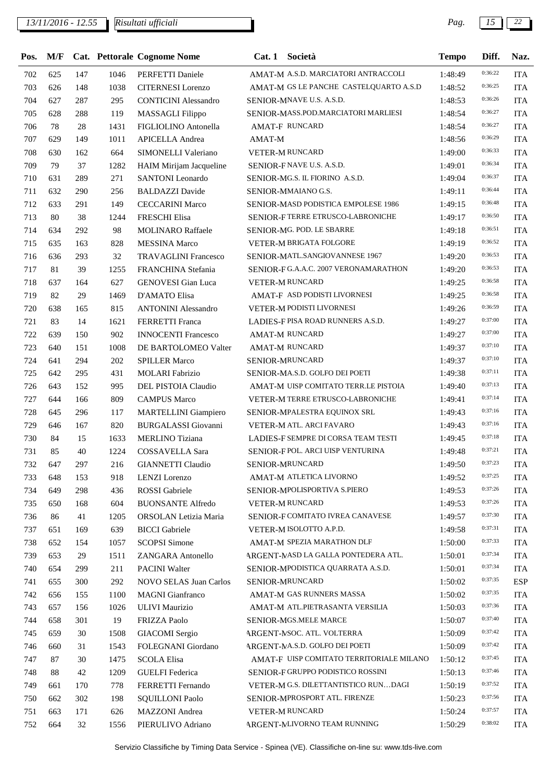## *13/11/2016 - 12.55 Pag. 15 22*

| 0:36:22<br>625<br>147<br>AMAT-M A.S.D. MARCIATORI ANTRACCOLI<br><b>ITA</b><br>702<br>1046<br>PERFETTI Daniele<br>1:48:49<br>0:36:25<br>AMAT-M GS LE PANCHE CASTELQUARTO A.S.D<br>703<br><b>ITA</b><br>626<br>148<br>1038<br><b>CITERNESI</b> Lorenzo<br>1:48:52<br>0:36:26<br>704<br>627<br>287<br>295<br>SENIOR-MNAVE U.S. A.S.D.<br><b>ITA</b><br><b>CONTICINI Alessandro</b><br>1:48:53<br>0:36:27<br>705<br>628<br>288<br><b>MASSAGLI Filippo</b><br>SENIOR-MASS.POD.MARCIATORI MARLIESI<br><b>ITA</b><br>119<br>1:48:54<br>0:36:27<br>706<br>78<br>28<br><b>AMAT-F RUNCARD</b><br><b>ITA</b><br>1431<br>FIGLIOLINO Antonella<br>1:48:54<br>0:36:29<br>707<br><b>ITA</b><br>629<br>149<br>1011<br><b>APICELLA</b> Andrea<br>AMAT-M<br>1:48:56<br>0:36:33<br>708<br>630<br>664<br>SIMONELLI Valeriano<br>VETER-M RUNCARD<br><b>ITA</b><br>162<br>1:49:00<br>0:36:34<br>709<br>SENIOR-FNAVE U.S. A.S.D.<br><b>ITA</b><br>79<br>37<br>1282<br>HAIM Mirijam Jacqueline<br>1:49:01<br>0:36:37<br>710<br><b>SANTONI</b> Leonardo<br>SENIOR-MG.S. IL FIORINO A.S.D.<br><b>ITA</b><br>631<br>289<br>271<br>1:49:04<br>0:36:44<br>711<br>632<br>290<br><b>BALDAZZI</b> Davide<br>SENIOR-MMAIANO G.S.<br><b>ITA</b><br>256<br>1:49:11<br>0:36:48<br>712<br>SENIOR-MASD PODISTICA EMPOLESE 1986<br><b>ITA</b><br>633<br>291<br>149<br><b>CECCARINI Marco</b><br>1:49:15<br>0:36:50<br>713<br>SENIOR-FTERRE ETRUSCO-LABRONICHE<br>80<br>38<br><b>FRESCHI Elisa</b><br><b>ITA</b><br>1244<br>1:49:17<br>0:36:51<br>714<br>292<br>98<br><b>MOLINARO Raffaele</b><br>SENIOR-MG. POD. LE SBARRE<br><b>ITA</b><br>634<br>1:49:18<br>0:36:52<br>715<br>MESSINA Marco<br>VETER-M BRIGATA FOLGORE<br><b>ITA</b><br>635<br>163<br>828<br>1:49:19<br>0:36:53<br>716<br>SENIOR-MATL.SANGIOVANNESE 1967<br><b>ITA</b><br>636<br>293<br>32<br><b>TRAVAGLINI Francesco</b><br>1:49:20<br>0:36:53<br>717<br>81<br>39<br>FRANCHINA Stefania<br>SENIOR-FG.A.A.C. 2007 VERONAMARATHON<br><b>ITA</b><br>1255<br>1:49:20<br>0:36:58<br>718<br><b>GENOVESI</b> Gian Luca<br><b>ITA</b><br>637<br>164<br>627<br><b>VETER-M RUNCARD</b><br>1:49:25<br>0:36:58<br>719<br>82<br>D'AMATO Elisa<br>AMAT-F ASD PODISTI LIVORNESI<br><b>ITA</b><br>29<br>1469<br>1:49:25<br>0:36:59<br>720<br>165<br>815<br><b>ANTONINI</b> Alessandro<br><b>VETER-M PODISTI LIVORNESI</b><br><b>ITA</b><br>638<br>1:49:26<br>0:37:00<br>LADIES-F PISA ROAD RUNNERS A.S.D.<br><b>ITA</b><br>721<br>83<br>14<br>1621<br>FERRETTI Franca<br>1:49:27<br>0:37:00<br>722<br>902<br><b>ITA</b><br>639<br>150<br><b>INNOCENTI Francesco</b><br><b>AMAT-M RUNCARD</b><br>1:49:27<br>0:37:10<br>723<br>640<br>151<br>DE BARTOLOMEO Valter<br>AMAT-M RUNCARD<br><b>ITA</b><br>1008<br>1:49:37<br>0:37:10<br>724<br>641<br><b>SPILLER Marco</b><br>SENIOR-MRUNCARD<br><b>ITA</b><br>294<br>202<br>1:49:37<br>0:37:11<br>SENIOR-MA.S.D. GOLFO DEI POETI<br>725<br><b>MOLARI</b> Fabrizio<br><b>ITA</b><br>642<br>295<br>431<br>1:49:38<br>0:37:13<br>726<br>643<br>152<br>DEL PISTOIA Claudio<br>AMAT-M UISP COMITATO TERR.LE PISTOIA<br><b>ITA</b><br>995<br>1:49:40<br>0:37:14<br>727<br>644<br><b>CAMPUS Marco</b><br>VETER-M TERRE ETRUSCO-LABRONICHE<br><b>ITA</b><br>166<br>809<br>1:49:41<br>0:37:16<br>728<br>SENIOR-MPALESTRA EQUINOX SRL<br><b>ITA</b><br>645<br>296<br><b>MARTELLINI</b> Giampiero<br>117<br>1:49:43<br>0:37:16<br>729<br>646<br><b>BURGALASSI</b> Giovanni<br>VETER-M ATL. ARCI FAVARO<br><b>ITA</b><br>167<br>820<br>1:49:43<br>0:37:18<br>730<br>LADIES-F SEMPRE DI CORSA TEAM TESTI<br>84<br>15<br>1633<br><b>MERLINO</b> Tiziana<br><b>ITA</b><br>1:49:45<br>0:37:21<br>731<br>85<br>40<br>SENIOR-F POL. ARCI UISP VENTURINA<br><b>ITA</b><br>1224<br>COSSAVELLA Sara<br>1:49:48<br>0:37:23<br><b>ITA</b><br>732<br>297<br>216<br><b>GIANNETTI Claudio</b><br>SENIOR-MRUNCARD<br>1:49:50<br>647<br>0:37:25<br>918<br>AMAT-M ATLETICA LIVORNO<br><b>ITA</b><br>733<br>648<br>153<br><b>LENZI</b> Lorenzo<br>1:49:52<br>0:37:26<br>734<br>SENIOR-MPOLISPORTIVA S.PIERO<br><b>ITA</b><br>649<br>298<br>436<br><b>ROSSI</b> Gabriele<br>1:49:53<br>0:37:26<br>735<br>650<br>604<br><b>BUONSANTE Alfredo</b><br><b>VETER-M RUNCARD</b><br><b>ITA</b><br>168<br>1:49:53<br>0:37:30<br>SENIOR-F COMITATO IVREA CANAVESE<br><b>ITA</b><br>736<br>41<br>1205<br>ORSOLAN Letizia Maria<br>1:49:57<br>86<br>0:37:31<br>VETER-M ISOLOTTO A.P.D.<br>737<br>651<br>169<br>639<br><b>BICCI</b> Gabriele<br><b>ITA</b><br>1:49:58<br>0:37:33<br>738<br><b>SCOPSI</b> Simone<br>AMAT-M SPEZIA MARATHON DLF<br><b>ITA</b><br>652<br>154<br>1057<br>1:50:00<br>0:37:34<br>ARGENT-MASD LA GALLA PONTEDERA ATL.<br>739<br>653<br>1511<br>ZANGARA Antonello<br>1:50:01<br><b>ITA</b><br>29<br>0:37:34<br>740<br>654<br>299<br>211<br><b>PACINI Walter</b><br>SENIOR-MPODISTICA QUARRATA A.S.D.<br><b>ITA</b><br>1:50:01<br>0:37:35<br>SENIOR-MRUNCARD<br>741<br>300<br>292<br>NOVO SELAS Juan Carlos<br><b>ESP</b><br>655<br>1:50:02<br>0:37:35<br>AMAT-M GAS RUNNERS MASSA<br>742<br>656<br>1100<br><b>MAGNI</b> Gianfranco<br>1:50:02<br><b>ITA</b><br>155<br>0:37:36<br>743<br>657<br>156<br><b>ULIVI Maurizio</b><br>AMAT-M ATL.PIETRASANTA VERSILIA<br><b>ITA</b><br>1026<br>1:50:03<br>0:37:40<br>744<br>658<br>301<br>19<br>FRIZZA Paolo<br>SENIOR-MGS.MELE MARCE<br><b>ITA</b><br>1:50:07<br>0:37:42<br>745<br>659<br>30<br>1508<br><b>GIACOMI</b> Sergio<br>ARGENT-NSOC. ATL. VOLTERRA<br>1:50:09<br><b>ITA</b><br>0:37:42<br>ARGENT-MA.S.D. GOLFO DEI POETI<br>746<br>660<br>31<br>1543<br>FOLEGNANI Giordano<br><b>ITA</b><br>1:50:09<br>0:37:45<br>AMAT-F UISP COMITATO TERRITORIALE MILANO<br>747<br>87<br>30<br>1475<br><b>SCOLA Elisa</b><br><b>ITA</b><br>1:50:12<br>0:37:46<br><b>GUELFI</b> Federica<br>SENIOR-F GRUPPO PODISTICO ROSSINI<br>748<br>88<br>42<br>1209<br>1:50:13<br><b>ITA</b><br>0:37:52<br>VETER-M G.S. DILETTANTISTICO RUNDAGI<br>749<br>FERRETTI Fernando<br><b>ITA</b><br>661<br>170<br>778<br>1:50:19<br>0:37:56<br>750<br>302<br><b>SQUILLONI Paolo</b><br>SENIOR-MPROSPORT ATL. FIRENZE<br><b>ITA</b><br>662<br>198<br>1:50:23<br>0:37:57<br>751<br>663<br>171<br>626<br><b>MAZZONI</b> Andrea<br>VETER-M RUNCARD<br>1:50:24<br><b>ITA</b> | Pos. | M/F |    |      | Cat. Pettorale Cognome Nome | Cat. 1 Società               | <b>Tempo</b> | Diff.   | Naz.       |
|------------------------------------------------------------------------------------------------------------------------------------------------------------------------------------------------------------------------------------------------------------------------------------------------------------------------------------------------------------------------------------------------------------------------------------------------------------------------------------------------------------------------------------------------------------------------------------------------------------------------------------------------------------------------------------------------------------------------------------------------------------------------------------------------------------------------------------------------------------------------------------------------------------------------------------------------------------------------------------------------------------------------------------------------------------------------------------------------------------------------------------------------------------------------------------------------------------------------------------------------------------------------------------------------------------------------------------------------------------------------------------------------------------------------------------------------------------------------------------------------------------------------------------------------------------------------------------------------------------------------------------------------------------------------------------------------------------------------------------------------------------------------------------------------------------------------------------------------------------------------------------------------------------------------------------------------------------------------------------------------------------------------------------------------------------------------------------------------------------------------------------------------------------------------------------------------------------------------------------------------------------------------------------------------------------------------------------------------------------------------------------------------------------------------------------------------------------------------------------------------------------------------------------------------------------------------------------------------------------------------------------------------------------------------------------------------------------------------------------------------------------------------------------------------------------------------------------------------------------------------------------------------------------------------------------------------------------------------------------------------------------------------------------------------------------------------------------------------------------------------------------------------------------------------------------------------------------------------------------------------------------------------------------------------------------------------------------------------------------------------------------------------------------------------------------------------------------------------------------------------------------------------------------------------------------------------------------------------------------------------------------------------------------------------------------------------------------------------------------------------------------------------------------------------------------------------------------------------------------------------------------------------------------------------------------------------------------------------------------------------------------------------------------------------------------------------------------------------------------------------------------------------------------------------------------------------------------------------------------------------------------------------------------------------------------------------------------------------------------------------------------------------------------------------------------------------------------------------------------------------------------------------------------------------------------------------------------------------------------------------------------------------------------------------------------------------------------------------------------------------------------------------------------------------------------------------------------------------------------------------------------------------------------------------------------------------------------------------------------------------------------------------------------------------------------------------------------------------------------------------------------------------------------------------------------------------------------------------------------------------------------------------------------------------------------------------------------------------------------------------------------------------------------------------------------------------------------------------------------------------------------------------------------------------------------------------------------------------------------------------------------------------------------------------------------------------------------------------------------------------------------------------------------------------------------------------------------------------------------------------------------------------------------------------------------------------------------------------------------------------------------------------------------------------------------------------------------------------------------------------------------------------------------------------------------------------------------------------------|------|-----|----|------|-----------------------------|------------------------------|--------------|---------|------------|
|                                                                                                                                                                                                                                                                                                                                                                                                                                                                                                                                                                                                                                                                                                                                                                                                                                                                                                                                                                                                                                                                                                                                                                                                                                                                                                                                                                                                                                                                                                                                                                                                                                                                                                                                                                                                                                                                                                                                                                                                                                                                                                                                                                                                                                                                                                                                                                                                                                                                                                                                                                                                                                                                                                                                                                                                                                                                                                                                                                                                                                                                                                                                                                                                                                                                                                                                                                                                                                                                                                                                                                                                                                                                                                                                                                                                                                                                                                                                                                                                                                                                                                                                                                                                                                                                                                                                                                                                                                                                                                                                                                                                                                                                                                                                                                                                                                                                                                                                                                                                                                                                                                                                                                                                                                                                                                                                                                                                                                                                                                                                                                                                                                                                                                                                                                                                                                                                                                                                                                                                                                                                                                                                                                                                                              |      |     |    |      |                             |                              |              |         |            |
|                                                                                                                                                                                                                                                                                                                                                                                                                                                                                                                                                                                                                                                                                                                                                                                                                                                                                                                                                                                                                                                                                                                                                                                                                                                                                                                                                                                                                                                                                                                                                                                                                                                                                                                                                                                                                                                                                                                                                                                                                                                                                                                                                                                                                                                                                                                                                                                                                                                                                                                                                                                                                                                                                                                                                                                                                                                                                                                                                                                                                                                                                                                                                                                                                                                                                                                                                                                                                                                                                                                                                                                                                                                                                                                                                                                                                                                                                                                                                                                                                                                                                                                                                                                                                                                                                                                                                                                                                                                                                                                                                                                                                                                                                                                                                                                                                                                                                                                                                                                                                                                                                                                                                                                                                                                                                                                                                                                                                                                                                                                                                                                                                                                                                                                                                                                                                                                                                                                                                                                                                                                                                                                                                                                                                              |      |     |    |      |                             |                              |              |         |            |
|                                                                                                                                                                                                                                                                                                                                                                                                                                                                                                                                                                                                                                                                                                                                                                                                                                                                                                                                                                                                                                                                                                                                                                                                                                                                                                                                                                                                                                                                                                                                                                                                                                                                                                                                                                                                                                                                                                                                                                                                                                                                                                                                                                                                                                                                                                                                                                                                                                                                                                                                                                                                                                                                                                                                                                                                                                                                                                                                                                                                                                                                                                                                                                                                                                                                                                                                                                                                                                                                                                                                                                                                                                                                                                                                                                                                                                                                                                                                                                                                                                                                                                                                                                                                                                                                                                                                                                                                                                                                                                                                                                                                                                                                                                                                                                                                                                                                                                                                                                                                                                                                                                                                                                                                                                                                                                                                                                                                                                                                                                                                                                                                                                                                                                                                                                                                                                                                                                                                                                                                                                                                                                                                                                                                                              |      |     |    |      |                             |                              |              |         |            |
|                                                                                                                                                                                                                                                                                                                                                                                                                                                                                                                                                                                                                                                                                                                                                                                                                                                                                                                                                                                                                                                                                                                                                                                                                                                                                                                                                                                                                                                                                                                                                                                                                                                                                                                                                                                                                                                                                                                                                                                                                                                                                                                                                                                                                                                                                                                                                                                                                                                                                                                                                                                                                                                                                                                                                                                                                                                                                                                                                                                                                                                                                                                                                                                                                                                                                                                                                                                                                                                                                                                                                                                                                                                                                                                                                                                                                                                                                                                                                                                                                                                                                                                                                                                                                                                                                                                                                                                                                                                                                                                                                                                                                                                                                                                                                                                                                                                                                                                                                                                                                                                                                                                                                                                                                                                                                                                                                                                                                                                                                                                                                                                                                                                                                                                                                                                                                                                                                                                                                                                                                                                                                                                                                                                                                              |      |     |    |      |                             |                              |              |         |            |
|                                                                                                                                                                                                                                                                                                                                                                                                                                                                                                                                                                                                                                                                                                                                                                                                                                                                                                                                                                                                                                                                                                                                                                                                                                                                                                                                                                                                                                                                                                                                                                                                                                                                                                                                                                                                                                                                                                                                                                                                                                                                                                                                                                                                                                                                                                                                                                                                                                                                                                                                                                                                                                                                                                                                                                                                                                                                                                                                                                                                                                                                                                                                                                                                                                                                                                                                                                                                                                                                                                                                                                                                                                                                                                                                                                                                                                                                                                                                                                                                                                                                                                                                                                                                                                                                                                                                                                                                                                                                                                                                                                                                                                                                                                                                                                                                                                                                                                                                                                                                                                                                                                                                                                                                                                                                                                                                                                                                                                                                                                                                                                                                                                                                                                                                                                                                                                                                                                                                                                                                                                                                                                                                                                                                                              |      |     |    |      |                             |                              |              |         |            |
|                                                                                                                                                                                                                                                                                                                                                                                                                                                                                                                                                                                                                                                                                                                                                                                                                                                                                                                                                                                                                                                                                                                                                                                                                                                                                                                                                                                                                                                                                                                                                                                                                                                                                                                                                                                                                                                                                                                                                                                                                                                                                                                                                                                                                                                                                                                                                                                                                                                                                                                                                                                                                                                                                                                                                                                                                                                                                                                                                                                                                                                                                                                                                                                                                                                                                                                                                                                                                                                                                                                                                                                                                                                                                                                                                                                                                                                                                                                                                                                                                                                                                                                                                                                                                                                                                                                                                                                                                                                                                                                                                                                                                                                                                                                                                                                                                                                                                                                                                                                                                                                                                                                                                                                                                                                                                                                                                                                                                                                                                                                                                                                                                                                                                                                                                                                                                                                                                                                                                                                                                                                                                                                                                                                                                              |      |     |    |      |                             |                              |              |         |            |
|                                                                                                                                                                                                                                                                                                                                                                                                                                                                                                                                                                                                                                                                                                                                                                                                                                                                                                                                                                                                                                                                                                                                                                                                                                                                                                                                                                                                                                                                                                                                                                                                                                                                                                                                                                                                                                                                                                                                                                                                                                                                                                                                                                                                                                                                                                                                                                                                                                                                                                                                                                                                                                                                                                                                                                                                                                                                                                                                                                                                                                                                                                                                                                                                                                                                                                                                                                                                                                                                                                                                                                                                                                                                                                                                                                                                                                                                                                                                                                                                                                                                                                                                                                                                                                                                                                                                                                                                                                                                                                                                                                                                                                                                                                                                                                                                                                                                                                                                                                                                                                                                                                                                                                                                                                                                                                                                                                                                                                                                                                                                                                                                                                                                                                                                                                                                                                                                                                                                                                                                                                                                                                                                                                                                                              |      |     |    |      |                             |                              |              |         |            |
|                                                                                                                                                                                                                                                                                                                                                                                                                                                                                                                                                                                                                                                                                                                                                                                                                                                                                                                                                                                                                                                                                                                                                                                                                                                                                                                                                                                                                                                                                                                                                                                                                                                                                                                                                                                                                                                                                                                                                                                                                                                                                                                                                                                                                                                                                                                                                                                                                                                                                                                                                                                                                                                                                                                                                                                                                                                                                                                                                                                                                                                                                                                                                                                                                                                                                                                                                                                                                                                                                                                                                                                                                                                                                                                                                                                                                                                                                                                                                                                                                                                                                                                                                                                                                                                                                                                                                                                                                                                                                                                                                                                                                                                                                                                                                                                                                                                                                                                                                                                                                                                                                                                                                                                                                                                                                                                                                                                                                                                                                                                                                                                                                                                                                                                                                                                                                                                                                                                                                                                                                                                                                                                                                                                                                              |      |     |    |      |                             |                              |              |         |            |
|                                                                                                                                                                                                                                                                                                                                                                                                                                                                                                                                                                                                                                                                                                                                                                                                                                                                                                                                                                                                                                                                                                                                                                                                                                                                                                                                                                                                                                                                                                                                                                                                                                                                                                                                                                                                                                                                                                                                                                                                                                                                                                                                                                                                                                                                                                                                                                                                                                                                                                                                                                                                                                                                                                                                                                                                                                                                                                                                                                                                                                                                                                                                                                                                                                                                                                                                                                                                                                                                                                                                                                                                                                                                                                                                                                                                                                                                                                                                                                                                                                                                                                                                                                                                                                                                                                                                                                                                                                                                                                                                                                                                                                                                                                                                                                                                                                                                                                                                                                                                                                                                                                                                                                                                                                                                                                                                                                                                                                                                                                                                                                                                                                                                                                                                                                                                                                                                                                                                                                                                                                                                                                                                                                                                                              |      |     |    |      |                             |                              |              |         |            |
|                                                                                                                                                                                                                                                                                                                                                                                                                                                                                                                                                                                                                                                                                                                                                                                                                                                                                                                                                                                                                                                                                                                                                                                                                                                                                                                                                                                                                                                                                                                                                                                                                                                                                                                                                                                                                                                                                                                                                                                                                                                                                                                                                                                                                                                                                                                                                                                                                                                                                                                                                                                                                                                                                                                                                                                                                                                                                                                                                                                                                                                                                                                                                                                                                                                                                                                                                                                                                                                                                                                                                                                                                                                                                                                                                                                                                                                                                                                                                                                                                                                                                                                                                                                                                                                                                                                                                                                                                                                                                                                                                                                                                                                                                                                                                                                                                                                                                                                                                                                                                                                                                                                                                                                                                                                                                                                                                                                                                                                                                                                                                                                                                                                                                                                                                                                                                                                                                                                                                                                                                                                                                                                                                                                                                              |      |     |    |      |                             |                              |              |         |            |
|                                                                                                                                                                                                                                                                                                                                                                                                                                                                                                                                                                                                                                                                                                                                                                                                                                                                                                                                                                                                                                                                                                                                                                                                                                                                                                                                                                                                                                                                                                                                                                                                                                                                                                                                                                                                                                                                                                                                                                                                                                                                                                                                                                                                                                                                                                                                                                                                                                                                                                                                                                                                                                                                                                                                                                                                                                                                                                                                                                                                                                                                                                                                                                                                                                                                                                                                                                                                                                                                                                                                                                                                                                                                                                                                                                                                                                                                                                                                                                                                                                                                                                                                                                                                                                                                                                                                                                                                                                                                                                                                                                                                                                                                                                                                                                                                                                                                                                                                                                                                                                                                                                                                                                                                                                                                                                                                                                                                                                                                                                                                                                                                                                                                                                                                                                                                                                                                                                                                                                                                                                                                                                                                                                                                                              |      |     |    |      |                             |                              |              |         |            |
|                                                                                                                                                                                                                                                                                                                                                                                                                                                                                                                                                                                                                                                                                                                                                                                                                                                                                                                                                                                                                                                                                                                                                                                                                                                                                                                                                                                                                                                                                                                                                                                                                                                                                                                                                                                                                                                                                                                                                                                                                                                                                                                                                                                                                                                                                                                                                                                                                                                                                                                                                                                                                                                                                                                                                                                                                                                                                                                                                                                                                                                                                                                                                                                                                                                                                                                                                                                                                                                                                                                                                                                                                                                                                                                                                                                                                                                                                                                                                                                                                                                                                                                                                                                                                                                                                                                                                                                                                                                                                                                                                                                                                                                                                                                                                                                                                                                                                                                                                                                                                                                                                                                                                                                                                                                                                                                                                                                                                                                                                                                                                                                                                                                                                                                                                                                                                                                                                                                                                                                                                                                                                                                                                                                                                              |      |     |    |      |                             |                              |              |         |            |
|                                                                                                                                                                                                                                                                                                                                                                                                                                                                                                                                                                                                                                                                                                                                                                                                                                                                                                                                                                                                                                                                                                                                                                                                                                                                                                                                                                                                                                                                                                                                                                                                                                                                                                                                                                                                                                                                                                                                                                                                                                                                                                                                                                                                                                                                                                                                                                                                                                                                                                                                                                                                                                                                                                                                                                                                                                                                                                                                                                                                                                                                                                                                                                                                                                                                                                                                                                                                                                                                                                                                                                                                                                                                                                                                                                                                                                                                                                                                                                                                                                                                                                                                                                                                                                                                                                                                                                                                                                                                                                                                                                                                                                                                                                                                                                                                                                                                                                                                                                                                                                                                                                                                                                                                                                                                                                                                                                                                                                                                                                                                                                                                                                                                                                                                                                                                                                                                                                                                                                                                                                                                                                                                                                                                                              |      |     |    |      |                             |                              |              |         |            |
|                                                                                                                                                                                                                                                                                                                                                                                                                                                                                                                                                                                                                                                                                                                                                                                                                                                                                                                                                                                                                                                                                                                                                                                                                                                                                                                                                                                                                                                                                                                                                                                                                                                                                                                                                                                                                                                                                                                                                                                                                                                                                                                                                                                                                                                                                                                                                                                                                                                                                                                                                                                                                                                                                                                                                                                                                                                                                                                                                                                                                                                                                                                                                                                                                                                                                                                                                                                                                                                                                                                                                                                                                                                                                                                                                                                                                                                                                                                                                                                                                                                                                                                                                                                                                                                                                                                                                                                                                                                                                                                                                                                                                                                                                                                                                                                                                                                                                                                                                                                                                                                                                                                                                                                                                                                                                                                                                                                                                                                                                                                                                                                                                                                                                                                                                                                                                                                                                                                                                                                                                                                                                                                                                                                                                              |      |     |    |      |                             |                              |              |         |            |
|                                                                                                                                                                                                                                                                                                                                                                                                                                                                                                                                                                                                                                                                                                                                                                                                                                                                                                                                                                                                                                                                                                                                                                                                                                                                                                                                                                                                                                                                                                                                                                                                                                                                                                                                                                                                                                                                                                                                                                                                                                                                                                                                                                                                                                                                                                                                                                                                                                                                                                                                                                                                                                                                                                                                                                                                                                                                                                                                                                                                                                                                                                                                                                                                                                                                                                                                                                                                                                                                                                                                                                                                                                                                                                                                                                                                                                                                                                                                                                                                                                                                                                                                                                                                                                                                                                                                                                                                                                                                                                                                                                                                                                                                                                                                                                                                                                                                                                                                                                                                                                                                                                                                                                                                                                                                                                                                                                                                                                                                                                                                                                                                                                                                                                                                                                                                                                                                                                                                                                                                                                                                                                                                                                                                                              |      |     |    |      |                             |                              |              |         |            |
|                                                                                                                                                                                                                                                                                                                                                                                                                                                                                                                                                                                                                                                                                                                                                                                                                                                                                                                                                                                                                                                                                                                                                                                                                                                                                                                                                                                                                                                                                                                                                                                                                                                                                                                                                                                                                                                                                                                                                                                                                                                                                                                                                                                                                                                                                                                                                                                                                                                                                                                                                                                                                                                                                                                                                                                                                                                                                                                                                                                                                                                                                                                                                                                                                                                                                                                                                                                                                                                                                                                                                                                                                                                                                                                                                                                                                                                                                                                                                                                                                                                                                                                                                                                                                                                                                                                                                                                                                                                                                                                                                                                                                                                                                                                                                                                                                                                                                                                                                                                                                                                                                                                                                                                                                                                                                                                                                                                                                                                                                                                                                                                                                                                                                                                                                                                                                                                                                                                                                                                                                                                                                                                                                                                                                              |      |     |    |      |                             |                              |              |         |            |
|                                                                                                                                                                                                                                                                                                                                                                                                                                                                                                                                                                                                                                                                                                                                                                                                                                                                                                                                                                                                                                                                                                                                                                                                                                                                                                                                                                                                                                                                                                                                                                                                                                                                                                                                                                                                                                                                                                                                                                                                                                                                                                                                                                                                                                                                                                                                                                                                                                                                                                                                                                                                                                                                                                                                                                                                                                                                                                                                                                                                                                                                                                                                                                                                                                                                                                                                                                                                                                                                                                                                                                                                                                                                                                                                                                                                                                                                                                                                                                                                                                                                                                                                                                                                                                                                                                                                                                                                                                                                                                                                                                                                                                                                                                                                                                                                                                                                                                                                                                                                                                                                                                                                                                                                                                                                                                                                                                                                                                                                                                                                                                                                                                                                                                                                                                                                                                                                                                                                                                                                                                                                                                                                                                                                                              |      |     |    |      |                             |                              |              |         |            |
|                                                                                                                                                                                                                                                                                                                                                                                                                                                                                                                                                                                                                                                                                                                                                                                                                                                                                                                                                                                                                                                                                                                                                                                                                                                                                                                                                                                                                                                                                                                                                                                                                                                                                                                                                                                                                                                                                                                                                                                                                                                                                                                                                                                                                                                                                                                                                                                                                                                                                                                                                                                                                                                                                                                                                                                                                                                                                                                                                                                                                                                                                                                                                                                                                                                                                                                                                                                                                                                                                                                                                                                                                                                                                                                                                                                                                                                                                                                                                                                                                                                                                                                                                                                                                                                                                                                                                                                                                                                                                                                                                                                                                                                                                                                                                                                                                                                                                                                                                                                                                                                                                                                                                                                                                                                                                                                                                                                                                                                                                                                                                                                                                                                                                                                                                                                                                                                                                                                                                                                                                                                                                                                                                                                                                              |      |     |    |      |                             |                              |              |         |            |
|                                                                                                                                                                                                                                                                                                                                                                                                                                                                                                                                                                                                                                                                                                                                                                                                                                                                                                                                                                                                                                                                                                                                                                                                                                                                                                                                                                                                                                                                                                                                                                                                                                                                                                                                                                                                                                                                                                                                                                                                                                                                                                                                                                                                                                                                                                                                                                                                                                                                                                                                                                                                                                                                                                                                                                                                                                                                                                                                                                                                                                                                                                                                                                                                                                                                                                                                                                                                                                                                                                                                                                                                                                                                                                                                                                                                                                                                                                                                                                                                                                                                                                                                                                                                                                                                                                                                                                                                                                                                                                                                                                                                                                                                                                                                                                                                                                                                                                                                                                                                                                                                                                                                                                                                                                                                                                                                                                                                                                                                                                                                                                                                                                                                                                                                                                                                                                                                                                                                                                                                                                                                                                                                                                                                                              |      |     |    |      |                             |                              |              |         |            |
|                                                                                                                                                                                                                                                                                                                                                                                                                                                                                                                                                                                                                                                                                                                                                                                                                                                                                                                                                                                                                                                                                                                                                                                                                                                                                                                                                                                                                                                                                                                                                                                                                                                                                                                                                                                                                                                                                                                                                                                                                                                                                                                                                                                                                                                                                                                                                                                                                                                                                                                                                                                                                                                                                                                                                                                                                                                                                                                                                                                                                                                                                                                                                                                                                                                                                                                                                                                                                                                                                                                                                                                                                                                                                                                                                                                                                                                                                                                                                                                                                                                                                                                                                                                                                                                                                                                                                                                                                                                                                                                                                                                                                                                                                                                                                                                                                                                                                                                                                                                                                                                                                                                                                                                                                                                                                                                                                                                                                                                                                                                                                                                                                                                                                                                                                                                                                                                                                                                                                                                                                                                                                                                                                                                                                              |      |     |    |      |                             |                              |              |         |            |
|                                                                                                                                                                                                                                                                                                                                                                                                                                                                                                                                                                                                                                                                                                                                                                                                                                                                                                                                                                                                                                                                                                                                                                                                                                                                                                                                                                                                                                                                                                                                                                                                                                                                                                                                                                                                                                                                                                                                                                                                                                                                                                                                                                                                                                                                                                                                                                                                                                                                                                                                                                                                                                                                                                                                                                                                                                                                                                                                                                                                                                                                                                                                                                                                                                                                                                                                                                                                                                                                                                                                                                                                                                                                                                                                                                                                                                                                                                                                                                                                                                                                                                                                                                                                                                                                                                                                                                                                                                                                                                                                                                                                                                                                                                                                                                                                                                                                                                                                                                                                                                                                                                                                                                                                                                                                                                                                                                                                                                                                                                                                                                                                                                                                                                                                                                                                                                                                                                                                                                                                                                                                                                                                                                                                                              |      |     |    |      |                             |                              |              |         |            |
|                                                                                                                                                                                                                                                                                                                                                                                                                                                                                                                                                                                                                                                                                                                                                                                                                                                                                                                                                                                                                                                                                                                                                                                                                                                                                                                                                                                                                                                                                                                                                                                                                                                                                                                                                                                                                                                                                                                                                                                                                                                                                                                                                                                                                                                                                                                                                                                                                                                                                                                                                                                                                                                                                                                                                                                                                                                                                                                                                                                                                                                                                                                                                                                                                                                                                                                                                                                                                                                                                                                                                                                                                                                                                                                                                                                                                                                                                                                                                                                                                                                                                                                                                                                                                                                                                                                                                                                                                                                                                                                                                                                                                                                                                                                                                                                                                                                                                                                                                                                                                                                                                                                                                                                                                                                                                                                                                                                                                                                                                                                                                                                                                                                                                                                                                                                                                                                                                                                                                                                                                                                                                                                                                                                                                              |      |     |    |      |                             |                              |              |         |            |
|                                                                                                                                                                                                                                                                                                                                                                                                                                                                                                                                                                                                                                                                                                                                                                                                                                                                                                                                                                                                                                                                                                                                                                                                                                                                                                                                                                                                                                                                                                                                                                                                                                                                                                                                                                                                                                                                                                                                                                                                                                                                                                                                                                                                                                                                                                                                                                                                                                                                                                                                                                                                                                                                                                                                                                                                                                                                                                                                                                                                                                                                                                                                                                                                                                                                                                                                                                                                                                                                                                                                                                                                                                                                                                                                                                                                                                                                                                                                                                                                                                                                                                                                                                                                                                                                                                                                                                                                                                                                                                                                                                                                                                                                                                                                                                                                                                                                                                                                                                                                                                                                                                                                                                                                                                                                                                                                                                                                                                                                                                                                                                                                                                                                                                                                                                                                                                                                                                                                                                                                                                                                                                                                                                                                                              |      |     |    |      |                             |                              |              |         |            |
|                                                                                                                                                                                                                                                                                                                                                                                                                                                                                                                                                                                                                                                                                                                                                                                                                                                                                                                                                                                                                                                                                                                                                                                                                                                                                                                                                                                                                                                                                                                                                                                                                                                                                                                                                                                                                                                                                                                                                                                                                                                                                                                                                                                                                                                                                                                                                                                                                                                                                                                                                                                                                                                                                                                                                                                                                                                                                                                                                                                                                                                                                                                                                                                                                                                                                                                                                                                                                                                                                                                                                                                                                                                                                                                                                                                                                                                                                                                                                                                                                                                                                                                                                                                                                                                                                                                                                                                                                                                                                                                                                                                                                                                                                                                                                                                                                                                                                                                                                                                                                                                                                                                                                                                                                                                                                                                                                                                                                                                                                                                                                                                                                                                                                                                                                                                                                                                                                                                                                                                                                                                                                                                                                                                                                              |      |     |    |      |                             |                              |              |         |            |
|                                                                                                                                                                                                                                                                                                                                                                                                                                                                                                                                                                                                                                                                                                                                                                                                                                                                                                                                                                                                                                                                                                                                                                                                                                                                                                                                                                                                                                                                                                                                                                                                                                                                                                                                                                                                                                                                                                                                                                                                                                                                                                                                                                                                                                                                                                                                                                                                                                                                                                                                                                                                                                                                                                                                                                                                                                                                                                                                                                                                                                                                                                                                                                                                                                                                                                                                                                                                                                                                                                                                                                                                                                                                                                                                                                                                                                                                                                                                                                                                                                                                                                                                                                                                                                                                                                                                                                                                                                                                                                                                                                                                                                                                                                                                                                                                                                                                                                                                                                                                                                                                                                                                                                                                                                                                                                                                                                                                                                                                                                                                                                                                                                                                                                                                                                                                                                                                                                                                                                                                                                                                                                                                                                                                                              |      |     |    |      |                             |                              |              |         |            |
|                                                                                                                                                                                                                                                                                                                                                                                                                                                                                                                                                                                                                                                                                                                                                                                                                                                                                                                                                                                                                                                                                                                                                                                                                                                                                                                                                                                                                                                                                                                                                                                                                                                                                                                                                                                                                                                                                                                                                                                                                                                                                                                                                                                                                                                                                                                                                                                                                                                                                                                                                                                                                                                                                                                                                                                                                                                                                                                                                                                                                                                                                                                                                                                                                                                                                                                                                                                                                                                                                                                                                                                                                                                                                                                                                                                                                                                                                                                                                                                                                                                                                                                                                                                                                                                                                                                                                                                                                                                                                                                                                                                                                                                                                                                                                                                                                                                                                                                                                                                                                                                                                                                                                                                                                                                                                                                                                                                                                                                                                                                                                                                                                                                                                                                                                                                                                                                                                                                                                                                                                                                                                                                                                                                                                              |      |     |    |      |                             |                              |              |         |            |
|                                                                                                                                                                                                                                                                                                                                                                                                                                                                                                                                                                                                                                                                                                                                                                                                                                                                                                                                                                                                                                                                                                                                                                                                                                                                                                                                                                                                                                                                                                                                                                                                                                                                                                                                                                                                                                                                                                                                                                                                                                                                                                                                                                                                                                                                                                                                                                                                                                                                                                                                                                                                                                                                                                                                                                                                                                                                                                                                                                                                                                                                                                                                                                                                                                                                                                                                                                                                                                                                                                                                                                                                                                                                                                                                                                                                                                                                                                                                                                                                                                                                                                                                                                                                                                                                                                                                                                                                                                                                                                                                                                                                                                                                                                                                                                                                                                                                                                                                                                                                                                                                                                                                                                                                                                                                                                                                                                                                                                                                                                                                                                                                                                                                                                                                                                                                                                                                                                                                                                                                                                                                                                                                                                                                                              |      |     |    |      |                             |                              |              |         |            |
|                                                                                                                                                                                                                                                                                                                                                                                                                                                                                                                                                                                                                                                                                                                                                                                                                                                                                                                                                                                                                                                                                                                                                                                                                                                                                                                                                                                                                                                                                                                                                                                                                                                                                                                                                                                                                                                                                                                                                                                                                                                                                                                                                                                                                                                                                                                                                                                                                                                                                                                                                                                                                                                                                                                                                                                                                                                                                                                                                                                                                                                                                                                                                                                                                                                                                                                                                                                                                                                                                                                                                                                                                                                                                                                                                                                                                                                                                                                                                                                                                                                                                                                                                                                                                                                                                                                                                                                                                                                                                                                                                                                                                                                                                                                                                                                                                                                                                                                                                                                                                                                                                                                                                                                                                                                                                                                                                                                                                                                                                                                                                                                                                                                                                                                                                                                                                                                                                                                                                                                                                                                                                                                                                                                                                              |      |     |    |      |                             |                              |              |         |            |
|                                                                                                                                                                                                                                                                                                                                                                                                                                                                                                                                                                                                                                                                                                                                                                                                                                                                                                                                                                                                                                                                                                                                                                                                                                                                                                                                                                                                                                                                                                                                                                                                                                                                                                                                                                                                                                                                                                                                                                                                                                                                                                                                                                                                                                                                                                                                                                                                                                                                                                                                                                                                                                                                                                                                                                                                                                                                                                                                                                                                                                                                                                                                                                                                                                                                                                                                                                                                                                                                                                                                                                                                                                                                                                                                                                                                                                                                                                                                                                                                                                                                                                                                                                                                                                                                                                                                                                                                                                                                                                                                                                                                                                                                                                                                                                                                                                                                                                                                                                                                                                                                                                                                                                                                                                                                                                                                                                                                                                                                                                                                                                                                                                                                                                                                                                                                                                                                                                                                                                                                                                                                                                                                                                                                                              |      |     |    |      |                             |                              |              |         |            |
|                                                                                                                                                                                                                                                                                                                                                                                                                                                                                                                                                                                                                                                                                                                                                                                                                                                                                                                                                                                                                                                                                                                                                                                                                                                                                                                                                                                                                                                                                                                                                                                                                                                                                                                                                                                                                                                                                                                                                                                                                                                                                                                                                                                                                                                                                                                                                                                                                                                                                                                                                                                                                                                                                                                                                                                                                                                                                                                                                                                                                                                                                                                                                                                                                                                                                                                                                                                                                                                                                                                                                                                                                                                                                                                                                                                                                                                                                                                                                                                                                                                                                                                                                                                                                                                                                                                                                                                                                                                                                                                                                                                                                                                                                                                                                                                                                                                                                                                                                                                                                                                                                                                                                                                                                                                                                                                                                                                                                                                                                                                                                                                                                                                                                                                                                                                                                                                                                                                                                                                                                                                                                                                                                                                                                              |      |     |    |      |                             |                              |              |         |            |
|                                                                                                                                                                                                                                                                                                                                                                                                                                                                                                                                                                                                                                                                                                                                                                                                                                                                                                                                                                                                                                                                                                                                                                                                                                                                                                                                                                                                                                                                                                                                                                                                                                                                                                                                                                                                                                                                                                                                                                                                                                                                                                                                                                                                                                                                                                                                                                                                                                                                                                                                                                                                                                                                                                                                                                                                                                                                                                                                                                                                                                                                                                                                                                                                                                                                                                                                                                                                                                                                                                                                                                                                                                                                                                                                                                                                                                                                                                                                                                                                                                                                                                                                                                                                                                                                                                                                                                                                                                                                                                                                                                                                                                                                                                                                                                                                                                                                                                                                                                                                                                                                                                                                                                                                                                                                                                                                                                                                                                                                                                                                                                                                                                                                                                                                                                                                                                                                                                                                                                                                                                                                                                                                                                                                                              |      |     |    |      |                             |                              |              |         |            |
|                                                                                                                                                                                                                                                                                                                                                                                                                                                                                                                                                                                                                                                                                                                                                                                                                                                                                                                                                                                                                                                                                                                                                                                                                                                                                                                                                                                                                                                                                                                                                                                                                                                                                                                                                                                                                                                                                                                                                                                                                                                                                                                                                                                                                                                                                                                                                                                                                                                                                                                                                                                                                                                                                                                                                                                                                                                                                                                                                                                                                                                                                                                                                                                                                                                                                                                                                                                                                                                                                                                                                                                                                                                                                                                                                                                                                                                                                                                                                                                                                                                                                                                                                                                                                                                                                                                                                                                                                                                                                                                                                                                                                                                                                                                                                                                                                                                                                                                                                                                                                                                                                                                                                                                                                                                                                                                                                                                                                                                                                                                                                                                                                                                                                                                                                                                                                                                                                                                                                                                                                                                                                                                                                                                                                              |      |     |    |      |                             |                              |              |         |            |
|                                                                                                                                                                                                                                                                                                                                                                                                                                                                                                                                                                                                                                                                                                                                                                                                                                                                                                                                                                                                                                                                                                                                                                                                                                                                                                                                                                                                                                                                                                                                                                                                                                                                                                                                                                                                                                                                                                                                                                                                                                                                                                                                                                                                                                                                                                                                                                                                                                                                                                                                                                                                                                                                                                                                                                                                                                                                                                                                                                                                                                                                                                                                                                                                                                                                                                                                                                                                                                                                                                                                                                                                                                                                                                                                                                                                                                                                                                                                                                                                                                                                                                                                                                                                                                                                                                                                                                                                                                                                                                                                                                                                                                                                                                                                                                                                                                                                                                                                                                                                                                                                                                                                                                                                                                                                                                                                                                                                                                                                                                                                                                                                                                                                                                                                                                                                                                                                                                                                                                                                                                                                                                                                                                                                                              |      |     |    |      |                             |                              |              |         |            |
|                                                                                                                                                                                                                                                                                                                                                                                                                                                                                                                                                                                                                                                                                                                                                                                                                                                                                                                                                                                                                                                                                                                                                                                                                                                                                                                                                                                                                                                                                                                                                                                                                                                                                                                                                                                                                                                                                                                                                                                                                                                                                                                                                                                                                                                                                                                                                                                                                                                                                                                                                                                                                                                                                                                                                                                                                                                                                                                                                                                                                                                                                                                                                                                                                                                                                                                                                                                                                                                                                                                                                                                                                                                                                                                                                                                                                                                                                                                                                                                                                                                                                                                                                                                                                                                                                                                                                                                                                                                                                                                                                                                                                                                                                                                                                                                                                                                                                                                                                                                                                                                                                                                                                                                                                                                                                                                                                                                                                                                                                                                                                                                                                                                                                                                                                                                                                                                                                                                                                                                                                                                                                                                                                                                                                              |      |     |    |      |                             |                              |              |         |            |
|                                                                                                                                                                                                                                                                                                                                                                                                                                                                                                                                                                                                                                                                                                                                                                                                                                                                                                                                                                                                                                                                                                                                                                                                                                                                                                                                                                                                                                                                                                                                                                                                                                                                                                                                                                                                                                                                                                                                                                                                                                                                                                                                                                                                                                                                                                                                                                                                                                                                                                                                                                                                                                                                                                                                                                                                                                                                                                                                                                                                                                                                                                                                                                                                                                                                                                                                                                                                                                                                                                                                                                                                                                                                                                                                                                                                                                                                                                                                                                                                                                                                                                                                                                                                                                                                                                                                                                                                                                                                                                                                                                                                                                                                                                                                                                                                                                                                                                                                                                                                                                                                                                                                                                                                                                                                                                                                                                                                                                                                                                                                                                                                                                                                                                                                                                                                                                                                                                                                                                                                                                                                                                                                                                                                                              |      |     |    |      |                             |                              |              |         |            |
|                                                                                                                                                                                                                                                                                                                                                                                                                                                                                                                                                                                                                                                                                                                                                                                                                                                                                                                                                                                                                                                                                                                                                                                                                                                                                                                                                                                                                                                                                                                                                                                                                                                                                                                                                                                                                                                                                                                                                                                                                                                                                                                                                                                                                                                                                                                                                                                                                                                                                                                                                                                                                                                                                                                                                                                                                                                                                                                                                                                                                                                                                                                                                                                                                                                                                                                                                                                                                                                                                                                                                                                                                                                                                                                                                                                                                                                                                                                                                                                                                                                                                                                                                                                                                                                                                                                                                                                                                                                                                                                                                                                                                                                                                                                                                                                                                                                                                                                                                                                                                                                                                                                                                                                                                                                                                                                                                                                                                                                                                                                                                                                                                                                                                                                                                                                                                                                                                                                                                                                                                                                                                                                                                                                                                              |      |     |    |      |                             |                              |              |         |            |
|                                                                                                                                                                                                                                                                                                                                                                                                                                                                                                                                                                                                                                                                                                                                                                                                                                                                                                                                                                                                                                                                                                                                                                                                                                                                                                                                                                                                                                                                                                                                                                                                                                                                                                                                                                                                                                                                                                                                                                                                                                                                                                                                                                                                                                                                                                                                                                                                                                                                                                                                                                                                                                                                                                                                                                                                                                                                                                                                                                                                                                                                                                                                                                                                                                                                                                                                                                                                                                                                                                                                                                                                                                                                                                                                                                                                                                                                                                                                                                                                                                                                                                                                                                                                                                                                                                                                                                                                                                                                                                                                                                                                                                                                                                                                                                                                                                                                                                                                                                                                                                                                                                                                                                                                                                                                                                                                                                                                                                                                                                                                                                                                                                                                                                                                                                                                                                                                                                                                                                                                                                                                                                                                                                                                                              |      |     |    |      |                             |                              |              |         |            |
|                                                                                                                                                                                                                                                                                                                                                                                                                                                                                                                                                                                                                                                                                                                                                                                                                                                                                                                                                                                                                                                                                                                                                                                                                                                                                                                                                                                                                                                                                                                                                                                                                                                                                                                                                                                                                                                                                                                                                                                                                                                                                                                                                                                                                                                                                                                                                                                                                                                                                                                                                                                                                                                                                                                                                                                                                                                                                                                                                                                                                                                                                                                                                                                                                                                                                                                                                                                                                                                                                                                                                                                                                                                                                                                                                                                                                                                                                                                                                                                                                                                                                                                                                                                                                                                                                                                                                                                                                                                                                                                                                                                                                                                                                                                                                                                                                                                                                                                                                                                                                                                                                                                                                                                                                                                                                                                                                                                                                                                                                                                                                                                                                                                                                                                                                                                                                                                                                                                                                                                                                                                                                                                                                                                                                              |      |     |    |      |                             |                              |              |         |            |
|                                                                                                                                                                                                                                                                                                                                                                                                                                                                                                                                                                                                                                                                                                                                                                                                                                                                                                                                                                                                                                                                                                                                                                                                                                                                                                                                                                                                                                                                                                                                                                                                                                                                                                                                                                                                                                                                                                                                                                                                                                                                                                                                                                                                                                                                                                                                                                                                                                                                                                                                                                                                                                                                                                                                                                                                                                                                                                                                                                                                                                                                                                                                                                                                                                                                                                                                                                                                                                                                                                                                                                                                                                                                                                                                                                                                                                                                                                                                                                                                                                                                                                                                                                                                                                                                                                                                                                                                                                                                                                                                                                                                                                                                                                                                                                                                                                                                                                                                                                                                                                                                                                                                                                                                                                                                                                                                                                                                                                                                                                                                                                                                                                                                                                                                                                                                                                                                                                                                                                                                                                                                                                                                                                                                                              |      |     |    |      |                             |                              |              |         |            |
|                                                                                                                                                                                                                                                                                                                                                                                                                                                                                                                                                                                                                                                                                                                                                                                                                                                                                                                                                                                                                                                                                                                                                                                                                                                                                                                                                                                                                                                                                                                                                                                                                                                                                                                                                                                                                                                                                                                                                                                                                                                                                                                                                                                                                                                                                                                                                                                                                                                                                                                                                                                                                                                                                                                                                                                                                                                                                                                                                                                                                                                                                                                                                                                                                                                                                                                                                                                                                                                                                                                                                                                                                                                                                                                                                                                                                                                                                                                                                                                                                                                                                                                                                                                                                                                                                                                                                                                                                                                                                                                                                                                                                                                                                                                                                                                                                                                                                                                                                                                                                                                                                                                                                                                                                                                                                                                                                                                                                                                                                                                                                                                                                                                                                                                                                                                                                                                                                                                                                                                                                                                                                                                                                                                                                              |      |     |    |      |                             |                              |              |         |            |
|                                                                                                                                                                                                                                                                                                                                                                                                                                                                                                                                                                                                                                                                                                                                                                                                                                                                                                                                                                                                                                                                                                                                                                                                                                                                                                                                                                                                                                                                                                                                                                                                                                                                                                                                                                                                                                                                                                                                                                                                                                                                                                                                                                                                                                                                                                                                                                                                                                                                                                                                                                                                                                                                                                                                                                                                                                                                                                                                                                                                                                                                                                                                                                                                                                                                                                                                                                                                                                                                                                                                                                                                                                                                                                                                                                                                                                                                                                                                                                                                                                                                                                                                                                                                                                                                                                                                                                                                                                                                                                                                                                                                                                                                                                                                                                                                                                                                                                                                                                                                                                                                                                                                                                                                                                                                                                                                                                                                                                                                                                                                                                                                                                                                                                                                                                                                                                                                                                                                                                                                                                                                                                                                                                                                                              |      |     |    |      |                             |                              |              |         |            |
|                                                                                                                                                                                                                                                                                                                                                                                                                                                                                                                                                                                                                                                                                                                                                                                                                                                                                                                                                                                                                                                                                                                                                                                                                                                                                                                                                                                                                                                                                                                                                                                                                                                                                                                                                                                                                                                                                                                                                                                                                                                                                                                                                                                                                                                                                                                                                                                                                                                                                                                                                                                                                                                                                                                                                                                                                                                                                                                                                                                                                                                                                                                                                                                                                                                                                                                                                                                                                                                                                                                                                                                                                                                                                                                                                                                                                                                                                                                                                                                                                                                                                                                                                                                                                                                                                                                                                                                                                                                                                                                                                                                                                                                                                                                                                                                                                                                                                                                                                                                                                                                                                                                                                                                                                                                                                                                                                                                                                                                                                                                                                                                                                                                                                                                                                                                                                                                                                                                                                                                                                                                                                                                                                                                                                              |      |     |    |      |                             |                              |              |         |            |
|                                                                                                                                                                                                                                                                                                                                                                                                                                                                                                                                                                                                                                                                                                                                                                                                                                                                                                                                                                                                                                                                                                                                                                                                                                                                                                                                                                                                                                                                                                                                                                                                                                                                                                                                                                                                                                                                                                                                                                                                                                                                                                                                                                                                                                                                                                                                                                                                                                                                                                                                                                                                                                                                                                                                                                                                                                                                                                                                                                                                                                                                                                                                                                                                                                                                                                                                                                                                                                                                                                                                                                                                                                                                                                                                                                                                                                                                                                                                                                                                                                                                                                                                                                                                                                                                                                                                                                                                                                                                                                                                                                                                                                                                                                                                                                                                                                                                                                                                                                                                                                                                                                                                                                                                                                                                                                                                                                                                                                                                                                                                                                                                                                                                                                                                                                                                                                                                                                                                                                                                                                                                                                                                                                                                                              |      |     |    |      |                             |                              |              |         |            |
|                                                                                                                                                                                                                                                                                                                                                                                                                                                                                                                                                                                                                                                                                                                                                                                                                                                                                                                                                                                                                                                                                                                                                                                                                                                                                                                                                                                                                                                                                                                                                                                                                                                                                                                                                                                                                                                                                                                                                                                                                                                                                                                                                                                                                                                                                                                                                                                                                                                                                                                                                                                                                                                                                                                                                                                                                                                                                                                                                                                                                                                                                                                                                                                                                                                                                                                                                                                                                                                                                                                                                                                                                                                                                                                                                                                                                                                                                                                                                                                                                                                                                                                                                                                                                                                                                                                                                                                                                                                                                                                                                                                                                                                                                                                                                                                                                                                                                                                                                                                                                                                                                                                                                                                                                                                                                                                                                                                                                                                                                                                                                                                                                                                                                                                                                                                                                                                                                                                                                                                                                                                                                                                                                                                                                              |      |     |    |      |                             |                              |              |         |            |
|                                                                                                                                                                                                                                                                                                                                                                                                                                                                                                                                                                                                                                                                                                                                                                                                                                                                                                                                                                                                                                                                                                                                                                                                                                                                                                                                                                                                                                                                                                                                                                                                                                                                                                                                                                                                                                                                                                                                                                                                                                                                                                                                                                                                                                                                                                                                                                                                                                                                                                                                                                                                                                                                                                                                                                                                                                                                                                                                                                                                                                                                                                                                                                                                                                                                                                                                                                                                                                                                                                                                                                                                                                                                                                                                                                                                                                                                                                                                                                                                                                                                                                                                                                                                                                                                                                                                                                                                                                                                                                                                                                                                                                                                                                                                                                                                                                                                                                                                                                                                                                                                                                                                                                                                                                                                                                                                                                                                                                                                                                                                                                                                                                                                                                                                                                                                                                                                                                                                                                                                                                                                                                                                                                                                                              |      |     |    |      |                             |                              |              |         |            |
|                                                                                                                                                                                                                                                                                                                                                                                                                                                                                                                                                                                                                                                                                                                                                                                                                                                                                                                                                                                                                                                                                                                                                                                                                                                                                                                                                                                                                                                                                                                                                                                                                                                                                                                                                                                                                                                                                                                                                                                                                                                                                                                                                                                                                                                                                                                                                                                                                                                                                                                                                                                                                                                                                                                                                                                                                                                                                                                                                                                                                                                                                                                                                                                                                                                                                                                                                                                                                                                                                                                                                                                                                                                                                                                                                                                                                                                                                                                                                                                                                                                                                                                                                                                                                                                                                                                                                                                                                                                                                                                                                                                                                                                                                                                                                                                                                                                                                                                                                                                                                                                                                                                                                                                                                                                                                                                                                                                                                                                                                                                                                                                                                                                                                                                                                                                                                                                                                                                                                                                                                                                                                                                                                                                                                              |      |     |    |      |                             |                              |              |         |            |
|                                                                                                                                                                                                                                                                                                                                                                                                                                                                                                                                                                                                                                                                                                                                                                                                                                                                                                                                                                                                                                                                                                                                                                                                                                                                                                                                                                                                                                                                                                                                                                                                                                                                                                                                                                                                                                                                                                                                                                                                                                                                                                                                                                                                                                                                                                                                                                                                                                                                                                                                                                                                                                                                                                                                                                                                                                                                                                                                                                                                                                                                                                                                                                                                                                                                                                                                                                                                                                                                                                                                                                                                                                                                                                                                                                                                                                                                                                                                                                                                                                                                                                                                                                                                                                                                                                                                                                                                                                                                                                                                                                                                                                                                                                                                                                                                                                                                                                                                                                                                                                                                                                                                                                                                                                                                                                                                                                                                                                                                                                                                                                                                                                                                                                                                                                                                                                                                                                                                                                                                                                                                                                                                                                                                                              |      |     |    |      |                             |                              |              |         |            |
|                                                                                                                                                                                                                                                                                                                                                                                                                                                                                                                                                                                                                                                                                                                                                                                                                                                                                                                                                                                                                                                                                                                                                                                                                                                                                                                                                                                                                                                                                                                                                                                                                                                                                                                                                                                                                                                                                                                                                                                                                                                                                                                                                                                                                                                                                                                                                                                                                                                                                                                                                                                                                                                                                                                                                                                                                                                                                                                                                                                                                                                                                                                                                                                                                                                                                                                                                                                                                                                                                                                                                                                                                                                                                                                                                                                                                                                                                                                                                                                                                                                                                                                                                                                                                                                                                                                                                                                                                                                                                                                                                                                                                                                                                                                                                                                                                                                                                                                                                                                                                                                                                                                                                                                                                                                                                                                                                                                                                                                                                                                                                                                                                                                                                                                                                                                                                                                                                                                                                                                                                                                                                                                                                                                                                              |      |     |    |      |                             |                              |              |         |            |
|                                                                                                                                                                                                                                                                                                                                                                                                                                                                                                                                                                                                                                                                                                                                                                                                                                                                                                                                                                                                                                                                                                                                                                                                                                                                                                                                                                                                                                                                                                                                                                                                                                                                                                                                                                                                                                                                                                                                                                                                                                                                                                                                                                                                                                                                                                                                                                                                                                                                                                                                                                                                                                                                                                                                                                                                                                                                                                                                                                                                                                                                                                                                                                                                                                                                                                                                                                                                                                                                                                                                                                                                                                                                                                                                                                                                                                                                                                                                                                                                                                                                                                                                                                                                                                                                                                                                                                                                                                                                                                                                                                                                                                                                                                                                                                                                                                                                                                                                                                                                                                                                                                                                                                                                                                                                                                                                                                                                                                                                                                                                                                                                                                                                                                                                                                                                                                                                                                                                                                                                                                                                                                                                                                                                                              |      |     |    |      |                             |                              |              |         |            |
|                                                                                                                                                                                                                                                                                                                                                                                                                                                                                                                                                                                                                                                                                                                                                                                                                                                                                                                                                                                                                                                                                                                                                                                                                                                                                                                                                                                                                                                                                                                                                                                                                                                                                                                                                                                                                                                                                                                                                                                                                                                                                                                                                                                                                                                                                                                                                                                                                                                                                                                                                                                                                                                                                                                                                                                                                                                                                                                                                                                                                                                                                                                                                                                                                                                                                                                                                                                                                                                                                                                                                                                                                                                                                                                                                                                                                                                                                                                                                                                                                                                                                                                                                                                                                                                                                                                                                                                                                                                                                                                                                                                                                                                                                                                                                                                                                                                                                                                                                                                                                                                                                                                                                                                                                                                                                                                                                                                                                                                                                                                                                                                                                                                                                                                                                                                                                                                                                                                                                                                                                                                                                                                                                                                                                              |      |     |    |      |                             |                              |              |         |            |
|                                                                                                                                                                                                                                                                                                                                                                                                                                                                                                                                                                                                                                                                                                                                                                                                                                                                                                                                                                                                                                                                                                                                                                                                                                                                                                                                                                                                                                                                                                                                                                                                                                                                                                                                                                                                                                                                                                                                                                                                                                                                                                                                                                                                                                                                                                                                                                                                                                                                                                                                                                                                                                                                                                                                                                                                                                                                                                                                                                                                                                                                                                                                                                                                                                                                                                                                                                                                                                                                                                                                                                                                                                                                                                                                                                                                                                                                                                                                                                                                                                                                                                                                                                                                                                                                                                                                                                                                                                                                                                                                                                                                                                                                                                                                                                                                                                                                                                                                                                                                                                                                                                                                                                                                                                                                                                                                                                                                                                                                                                                                                                                                                                                                                                                                                                                                                                                                                                                                                                                                                                                                                                                                                                                                                              | 752  | 664 | 32 | 1556 | PIERULIVO Adriano           | ARGENT-MLIVORNO TEAM RUNNING | 1:50:29      | 0:38:02 | <b>ITA</b> |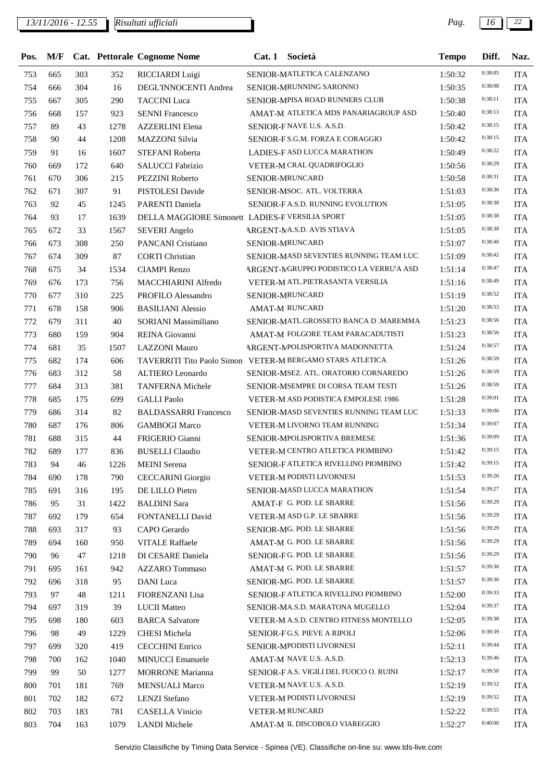| Pos. | M/F |     |      | Cat. Pettorale Cognome Nome                               | Cat.1 | Società                                 | <b>Tempo</b> | Diff.   | Naz.       |
|------|-----|-----|------|-----------------------------------------------------------|-------|-----------------------------------------|--------------|---------|------------|
| 753  | 665 | 303 | 352  | RICCIARDI Luigi                                           |       | SENIOR-MATLETICA CALENZANO              | 1:50:32      | 0:38:05 | <b>ITA</b> |
| 754  | 666 | 304 | 16   | DEGL'INNOCENTI Andrea                                     |       | SENIOR-MRUNNING SARONNO                 | 1:50:35      | 0:38:08 | <b>ITA</b> |
| 755  | 667 | 305 | 290  | <b>TACCINI</b> Luca                                       |       | SENIOR-MPISA ROAD RUNNERS CLUB          | 1:50:38      | 0:38:11 | <b>ITA</b> |
| 756  | 668 | 157 | 923  | <b>SENNI Francesco</b>                                    |       | AMAT-M ATLETICA MDS PANARIAGROUP ASD    | 1:50:40      | 0:38:13 | <b>ITA</b> |
| 757  | 89  | 43  | 1278 | <b>AZZERLINI</b> Elena                                    |       | SENIOR-FNAVE U.S. A.S.D.                | 1:50:42      | 0:38:15 | <b>ITA</b> |
| 758  | 90  | 44  | 1208 | <b>MAZZONI</b> Silvia                                     |       | SENIOR-F S.G.M. FORZA E CORAGGIO        | 1:50:42      | 0:38:15 | <b>ITA</b> |
| 759  | 91  | 16  | 1607 | STEFANI Roberta                                           |       | LADIES-F ASD LUCCA MARATHON             | 1:50:49      | 0:38:22 | <b>ITA</b> |
| 760  | 669 | 172 | 640  | <b>SALUCCI Fabrizio</b>                                   |       | VETER-M CRAL QUADRIFOGLIO               | 1:50:56      | 0:38:29 | <b>ITA</b> |
| 761  | 670 | 306 | 215  | PEZZINI Roberto                                           |       | SENIOR-MRUNCARD                         | 1:50:58      | 0:38:31 | <b>ITA</b> |
| 762  | 671 | 307 | 91   | PISTOLESI Davide                                          |       | SENIOR-MSOC. ATL. VOLTERRA              | 1:51:03      | 0:38:36 | <b>ITA</b> |
| 763  | 92  | 45  | 1245 | PARENTI Daniela                                           |       | SENIOR-FA.S.D. RUNNING EVOLUTION        | 1:51:05      | 0:38:38 | <b>ITA</b> |
| 764  | 93  | 17  | 1639 | DELLA MAGGIORE Simonett LADIES-F VERSILIA SPORT           |       |                                         | 1:51:05      | 0:38:38 | <b>ITA</b> |
| 765  | 672 | 33  | 1567 | <b>SEVERI</b> Angelo                                      |       | ARGENT-MA.S.D. AVIS STIAVA              | 1:51:05      | 0:38:38 | <b>ITA</b> |
| 766  | 673 | 308 | 250  | PANCANI Cristiano                                         |       | SENIOR-MRUNCARD                         | 1:51:07      | 0:38:40 | <b>ITA</b> |
| 767  | 674 | 309 | 87   | <b>CORTI</b> Christian                                    |       | SENIOR-MASD SEVENTIES RUNNING TEAM LUC  | 1:51:09      | 0:38:42 | <b>ITA</b> |
| 768  | 675 | 34  | 1534 | <b>CIAMPI Renzo</b>                                       |       | ARGENT-MGRUPPO PODISTICO LA VERRU'A ASD | 1:51:14      | 0:38:47 | <b>ITA</b> |
| 769  | 676 | 173 | 756  | MACCHIARINI Alfredo                                       |       | VETER-M ATL.PIETRASANTA VERSILIA        | 1:51:16      | 0:38:49 | <b>ITA</b> |
| 770  | 677 | 310 | 225  | PROFILO Alessandro                                        |       | SENIOR-MRUNCARD                         | 1:51:19      | 0:38:52 | <b>ITA</b> |
| 771  | 678 | 158 | 906  | <b>BASILIANI Alessio</b>                                  |       | <b>AMAT-M RUNCARD</b>                   | 1:51:20      | 0:38:53 | <b>ITA</b> |
| 772  | 679 | 311 | 40   | SORIANI Massimiliano                                      |       | SENIOR-MATL.GROSSETO BANCA D .MAREMMA   | 1:51:23      | 0:38:56 | <b>ITA</b> |
| 773  | 680 | 159 | 904  | REINA Giovanni                                            |       | AMAT-M FOLGORE TEAM PARACADUTISTI       | 1:51:23      | 0:38:56 | <b>ITA</b> |
| 774  | 681 | 35  | 1507 | <b>LAZZONI</b> Mauro                                      |       | ARGENT-MPOLISPORTIVA MADONNETTA         | 1:51:24      | 0:38:57 | <b>ITA</b> |
| 775  | 682 | 174 | 606  | TAVERRITI Tito Paolo Simon VETER-M BERGAMO STARS ATLETICA |       |                                         | 1:51:26      | 0:38:59 | <b>ITA</b> |
| 776  | 683 | 312 | 58   | ALTIERO Leonardo                                          |       | SENIOR-MSEZ. ATL. ORATORIO CORNAREDO    | 1:51:26      | 0:38:59 | <b>ITA</b> |
| 777  | 684 | 313 | 381  | <b>TANFERNA</b> Michele                                   |       | SENIOR-MSEMPRE DI CORSA TEAM TESTI      | 1:51:26      | 0:38:59 | <b>ITA</b> |
| 778  | 685 | 175 | 699  | <b>GALLI</b> Paolo                                        |       | VETER-M ASD PODISTICA EMPOLESE 1986     | 1:51:28      | 0:39:01 | <b>ITA</b> |
| 779  | 686 | 314 | 82   | <b>BALDASSARRI Francesco</b>                              |       | SENIOR-MASD SEVENTIES RUNNING TEAM LUC  | 1:51:33      | 0:39:06 | <b>ITA</b> |
| 780  | 687 | 176 | 806  | <b>GAMBOGI Marco</b>                                      |       | VETER-M LIVORNO TEAM RUNNING            | 1:51:34      | 0:39:07 | <b>ITA</b> |
| 781  | 688 | 315 | 44   | FRIGERIO Gianni                                           |       | SENIOR-MPOLISPORTIVA BREMESE            | 1:51:36      | 0:39:09 | <b>ITA</b> |
| 782  | 689 | 177 | 836  | <b>BUSELLI</b> Claudio                                    |       | VETER-M CENTRO ATLETICA PIOMBINO        | 1:51:42      | 0:39:15 | <b>ITA</b> |
| 783  | 94  | 46  | 1226 | <b>MEINI</b> Serena                                       |       | SENIOR-F ATLETICA RIVELLINO PIOMBINO    | 1:51:42      | 0:39:15 | <b>ITA</b> |
| 784  | 690 | 178 | 790  | <b>CECCARINI</b> Giorgio                                  |       | VETER-M PODISTI LIVORNESI               | 1:51:53      | 0:39:26 | <b>ITA</b> |
| 785  | 691 | 316 | 195  | DE LILLO Pietro                                           |       | SENIOR-MASD LUCCA MARATHON              | 1:51:54      | 0:39:27 | <b>ITA</b> |
| 786  | 95  | 31  | 1422 | <b>BALDINI</b> Sara                                       |       | AMAT-F G. POD. LE SBARRE                | 1:51:56      | 0:39:29 | <b>ITA</b> |
| 787  | 692 | 179 | 654  | FONTANELLI David                                          |       | VETER-M ASD G.P. LE SBARRE              | 1:51:56      | 0:39:29 | <b>ITA</b> |
| 788  | 693 | 317 | 93   | CAPO Gerardo                                              |       | SENIOR-MG. POD. LE SBARRE               | 1:51:56      | 0:39:29 | <b>ITA</b> |
| 789  | 694 | 160 | 950  | <b>VITALE Raffaele</b>                                    |       | AMAT-M G. POD. LE SBARRE                | 1:51:56      | 0:39:29 | <b>ITA</b> |
| 790  | 96  | 47  | 1218 | DI CESARE Daniela                                         |       | SENIOR-FG. POD. LE SBARRE               | 1:51:56      | 0:39:29 | <b>ITA</b> |
| 791  | 695 | 161 | 942  | AZZARO Tommaso                                            |       | AMAT-M G. POD. LE SBARRE                | 1:51:57      | 0:39:30 | <b>ITA</b> |
| 792  | 696 | 318 | 95   | DANI Luca                                                 |       | SENIOR-MG. POD. LE SBARRE               | 1:51:57      | 0:39:30 | <b>ITA</b> |
| 793  | 97  | 48  | 1211 | FIORENZANI Lisa                                           |       | SENIOR-FATLETICA RIVELLINO PIOMBINO     | 1:52:00      | 0:39:33 | <b>ITA</b> |
| 794  | 697 | 319 | 39   | <b>LUCII</b> Matteo                                       |       | SENIOR-MA.S.D. MARATONA MUGELLO         | 1:52:04      | 0:39:37 | <b>ITA</b> |
| 795  | 698 | 180 | 603  | <b>BARCA</b> Salvatore                                    |       | VETER-M A.S.D. CENTRO FITNESS MONTELLO  | 1:52:05      | 0:39:38 | <b>ITA</b> |
| 796  | 98  | 49  | 1229 | <b>CHESI</b> Michela                                      |       | SENIOR-FG.S. PIEVE A RIPOLI             | 1:52:06      | 0:39:39 | <b>ITA</b> |
| 797  | 699 | 320 | 419  | <b>CECCHINI</b> Enrico                                    |       | SENIOR-MPODISTI LIVORNESI               | 1:52:11      | 0:39:44 | <b>ITA</b> |
| 798  | 700 | 162 | 1040 | <b>MINUCCI</b> Emanuele                                   |       | AMAT-M NAVE U.S. A.S.D.                 | 1:52:13      | 0:39:46 | <b>ITA</b> |
| 799  | 99  | 50  | 1277 | <b>MORRONE</b> Marianna                                   |       | SENIOR-FA.S. VIGILI DEL FUOCO O. RUINI  | 1:52:17      | 0:39:50 | <b>ITA</b> |
| 800  | 701 | 181 | 769  | <b>MENSUALI Marco</b>                                     |       | VETER-M NAVE U.S. A.S.D.                | 1:52:19      | 0:39:52 | <b>ITA</b> |
| 801  | 702 | 182 | 672  | <b>LENZI</b> Stefano                                      |       | VETER-M PODISTI LIVORNESI               | 1:52:19      | 0:39:52 | <b>ITA</b> |
| 802  | 703 | 183 | 781  | <b>CASELLA Vinicio</b>                                    |       | VETER-M RUNCARD                         | 1:52:22      | 0:39:55 | <b>ITA</b> |
| 803  | 704 | 163 | 1079 | <b>LANDI</b> Michele                                      |       | AMAT-M IL DISCOBOLO VIAREGGIO           | 1:52:27      | 0:40:00 | <b>ITA</b> |
|      |     |     |      |                                                           |       |                                         |              |         |            |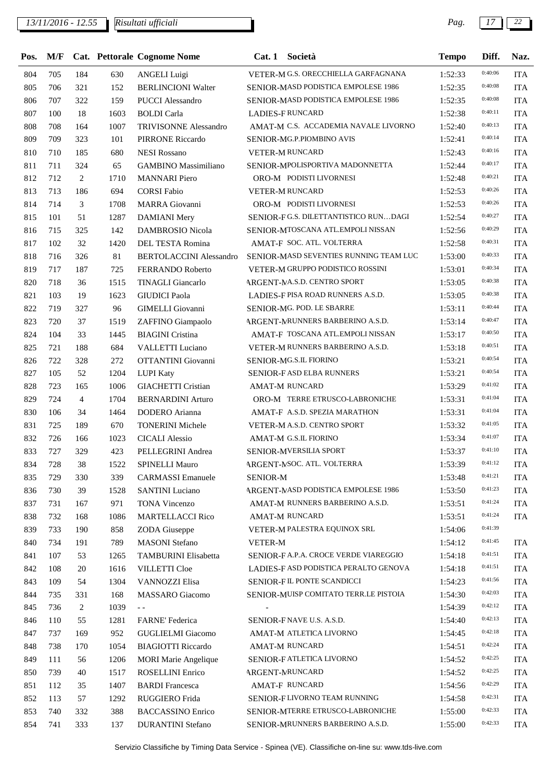## *13/11/2016 - 12.55 Pag. 17 22*

| Pos. | M/F |                |      | Cat. Pettorale Cognome Nome    | Cat.1           | Società                                | <b>Tempo</b> | Diff.   | Naz.       |
|------|-----|----------------|------|--------------------------------|-----------------|----------------------------------------|--------------|---------|------------|
| 804  | 705 | 184            | 630  | <b>ANGELI</b> Luigi            |                 | VETER-M G.S. ORECCHIELLA GARFAGNANA    | 1:52:33      | 0:40:06 | <b>ITA</b> |
| 805  | 706 | 321            | 152  | <b>BERLINCIONI Walter</b>      |                 | SENIOR-MASD PODISTICA EMPOLESE 1986    | 1:52:35      | 0:40:08 | <b>ITA</b> |
| 806  | 707 | 322            | 159  | <b>PUCCI</b> Alessandro        |                 | SENIOR-MASD PODISTICA EMPOLESE 1986    | 1:52:35      | 0:40:08 | <b>ITA</b> |
| 807  | 100 | 18             | 1603 | <b>BOLDI</b> Carla             |                 | <b>LADIES-FRUNCARD</b>                 | 1:52:38      | 0:40:11 | <b>ITA</b> |
| 808  | 708 | 164            | 1007 | TRIVISONNE Alessandro          |                 | AMAT-M C.S. ACCADEMIA NAVALE LIVORNO   | 1:52:40      | 0:40:13 | <b>ITA</b> |
| 809  | 709 | 323            | 101  | PIRRONE Riccardo               |                 | SENIOR-MG.P.PIOMBINO AVIS              | 1:52:41      | 0:40:14 | <b>ITA</b> |
| 810  | 710 | 185            | 680  | <b>NESI Rossano</b>            |                 | <b>VETER-M RUNCARD</b>                 | 1:52:43      | 0:40:16 | <b>ITA</b> |
| 811  | 711 | 324            | 65   | <b>GAMBINO</b> Massimiliano    |                 | SENIOR-MPOLISPORTIVA MADONNETTA        | 1:52:44      | 0:40:17 | <b>ITA</b> |
| 812  | 712 | $\overline{c}$ | 1710 | <b>MANNARI</b> Piero           |                 | ORO-M PODISTI LIVORNESI                | 1:52:48      | 0:40:21 | <b>ITA</b> |
| 813  | 713 | 186            | 694  | <b>CORSI Fabio</b>             |                 | VETER-M RUNCARD                        | 1:52:53      | 0:40:26 | <b>ITA</b> |
| 814  | 714 | 3              | 1708 | MARRA Giovanni                 |                 | ORO-M PODISTI LIVORNESI                | 1:52:53      | 0:40:26 | <b>ITA</b> |
| 815  | 101 | 51             | 1287 | <b>DAMIANI</b> Mery            |                 | SENIOR-FG.S. DILETTANTISTICO RUNDAGI   | 1:52:54      | 0:40:27 | <b>ITA</b> |
| 816  | 715 | 325            | 142  | DAMBROSIO Nicola               |                 | SENIOR-MTOSCANA ATL.EMPOLI NISSAN      | 1:52:56      | 0:40:29 | <b>ITA</b> |
| 817  | 102 | 32             | 1420 | DEL TESTA Romina               |                 | AMAT-F SOC. ATL. VOLTERRA              | 1:52:58      | 0:40:31 | <b>ITA</b> |
| 818  | 716 | 326            | 81   | <b>BERTOLACCINI Alessandro</b> |                 | SENIOR-MASD SEVENTIES RUNNING TEAM LUC | 1:53:00      | 0:40:33 | <b>ITA</b> |
| 819  | 717 | 187            | 725  | <b>FERRANDO Roberto</b>        |                 | VETER-M GRUPPO PODISTICO ROSSINI       | 1:53:01      | 0:40:34 | <b>ITA</b> |
| 820  | 718 | 36             | 1515 | <b>TINAGLI Giancarlo</b>       |                 | ARGENT-MA.S.D. CENTRO SPORT            | 1:53:05      | 0:40:38 | <b>ITA</b> |
| 821  | 103 | 19             | 1623 | <b>GIUDICI</b> Paola           |                 | LADIES-F PISA ROAD RUNNERS A.S.D.      | 1:53:05      | 0:40:38 | <b>ITA</b> |
| 822  | 719 | 327            | 96   | <b>GIMELLI</b> Giovanni        |                 | SENIOR-MG. POD. LE SBARRE              | 1:53:11      | 0:40:44 | <b>ITA</b> |
| 823  | 720 | 37             | 1519 | ZAFFINO Giampaolo              |                 | ARGENT-MRUNNERS BARBERINO A.S.D.       | 1:53:14      | 0:40:47 | <b>ITA</b> |
| 824  | 104 | 33             | 1445 | <b>BIAGINI</b> Cristina        |                 | AMAT-F TOSCANA ATL.EMPOLI NISSAN       | 1:53:17      | 0:40:50 | <b>ITA</b> |
| 825  | 721 | 188            | 684  | VALLETTI Luciano               |                 | VETER-M RUNNERS BARBERINO A.S.D.       | 1:53:18      | 0:40:51 | <b>ITA</b> |
| 826  | 722 | 328            | 272  | OTTANTINI Giovanni             |                 | SENIOR-MG.S.IL FIORINO                 | 1:53:21      | 0:40:54 | <b>ITA</b> |
| 827  | 105 | 52             | 1204 | <b>LUPI Katy</b>               |                 | SENIOR-FASD ELBA RUNNERS               | 1:53:21      | 0:40:54 | <b>ITA</b> |
| 828  | 723 | 165            | 1006 | <b>GIACHETTI Cristian</b>      |                 | <b>AMAT-M RUNCARD</b>                  | 1:53:29      | 0:41:02 | <b>ITA</b> |
| 829  | 724 | $\overline{4}$ | 1704 | <b>BERNARDINI Arturo</b>       |                 | ORO-M TERRE ETRUSCO-LABRONICHE         | 1:53:31      | 0:41:04 | <b>ITA</b> |
| 830  | 106 | 34             | 1464 | DODERO Arianna                 |                 | AMAT-F A.S.D. SPEZIA MARATHON          | 1:53:31      | 0:41:04 | <b>ITA</b> |
| 831  | 725 | 189            | 670  | <b>TONERINI Michele</b>        |                 | VETER-M A.S.D. CENTRO SPORT            | 1:53:32      | 0:41:05 | <b>ITA</b> |
| 832  | 726 | 166            | 1023 | <b>CICALI</b> Alessio          |                 | AMAT-M G.S.IL FIORINO                  | 1:53:34      | 0:41:07 | <b>ITA</b> |
| 833  | 727 | 329            | 423  | PELLEGRINI Andrea              |                 | SENIOR-MVERSILIA SPORT                 | 1:53:37      | 0:41:10 | <b>ITA</b> |
| 834  | 728 | 38             | 1522 | <b>SPINELLI Mauro</b>          |                 | ARGENT-NSOC. ATL. VOLTERRA             | 1:53:39      | 0:41:12 | <b>ITA</b> |
| 835  | 729 | 330            | 339  | <b>CARMASSI Emanuele</b>       | <b>SENIOR-M</b> |                                        | 1:53:48      | 0:41:21 | <b>ITA</b> |
| 836  | 730 | 39             | 1528 | <b>SANTINI</b> Luciano         |                 | ARGENT-MASD PODISTICA EMPOLESE 1986    | 1:53:50      | 0:41:23 | <b>ITA</b> |
| 837  | 731 | 167            | 971  | TONA Vincenzo                  |                 | AMAT-M RUNNERS BARBERINO A.S.D.        | 1:53:51      | 0:41:24 | <b>ITA</b> |
| 838  | 732 | 168            | 1086 | <b>MARTELLACCI Rico</b>        |                 | <b>AMAT-M RUNCARD</b>                  | 1:53:51      | 0:41:24 | <b>ITA</b> |
| 839  | 733 | 190            | 858  | ZODA Giuseppe                  |                 | VETER-M PALESTRA EQUINOX SRL           | 1:54:06      | 0:41:39 |            |
| 840  | 734 | 191            | 789  | <b>MASONI</b> Stefano          | <b>VETER-M</b>  |                                        | 1:54:12      | 0:41:45 | <b>ITA</b> |
| 841  | 107 | 53             | 1265 | <b>TAMBURINI</b> Elisabetta    |                 | SENIOR-FA.P.A. CROCE VERDE VIAREGGIO   | 1:54:18      | 0:41:51 | <b>ITA</b> |
| 842  | 108 | $20\,$         | 1616 | <b>VILLETTI Cloe</b>           |                 | LADIES-F ASD PODISTICA PERALTO GENOVA  | 1:54:18      | 0:41:51 | <b>ITA</b> |
| 843  | 109 | 54             | 1304 | VANNOZZI Elisa                 |                 | SENIOR-FIL PONTE SCANDICCI             | 1:54:23      | 0:41:56 | <b>ITA</b> |
| 844  | 735 | 331            | 168  | MASSARO Giacomo                |                 | SENIOR-MUISP COMITATO TERR.LE PISTOIA  | 1:54:30      | 0:42:03 | <b>ITA</b> |
| 845  | 736 | 2              | 1039 | $\sim$ $\sim$                  |                 |                                        | 1:54:39      | 0:42:12 | <b>ITA</b> |
| 846  | 110 | 55             | 1281 | FARNE' Federica                |                 | SENIOR-FNAVE U.S. A.S.D.               | 1:54:40      | 0:42:13 | <b>ITA</b> |
| 847  | 737 | 169            | 952  | <b>GUGLIELMI</b> Giacomo       |                 | AMAT-M ATLETICA LIVORNO                | 1:54:45      | 0:42:18 | <b>ITA</b> |
| 848  | 738 | 170            | 1054 | <b>BIAGIOTTI Riccardo</b>      |                 | AMAT-M RUNCARD                         | 1:54:51      | 0:42:24 | <b>ITA</b> |
| 849  | 111 | 56             | 1206 | <b>MORI Marie Angelique</b>    |                 | SENIOR-FATLETICA LIVORNO               | 1:54:52      | 0:42:25 | <b>ITA</b> |
| 850  | 739 | 40             | 1517 | ROSELLINI Enrico               |                 | <b>ARGENT-MRUNCARD</b>                 | 1:54:52      | 0:42:25 | <b>ITA</b> |
| 851  | 112 | 35             | 1407 | <b>BARDI</b> Francesca         |                 | AMAT-F RUNCARD                         | 1:54:56      | 0:42:29 | <b>ITA</b> |
| 852  | 113 | 57             | 1292 | RUGGIERO Frida                 |                 | SENIOR-FLIVORNO TEAM RUNNING           | 1:54:58      | 0:42:31 | <b>ITA</b> |
| 853  | 740 | 332            | 388  | <b>BACCASSINO Enrico</b>       |                 | SENIOR-MTERRE ETRUSCO-LABRONICHE       | 1:55:00      | 0:42:33 | <b>ITA</b> |
| 854  | 741 | 333            | 137  | <b>DURANTINI</b> Stefano       |                 | SENIOR-MRUNNERS BARBERINO A.S.D.       | 1:55:00      | 0:42:33 | <b>ITA</b> |
|      |     |                |      |                                |                 |                                        |              |         |            |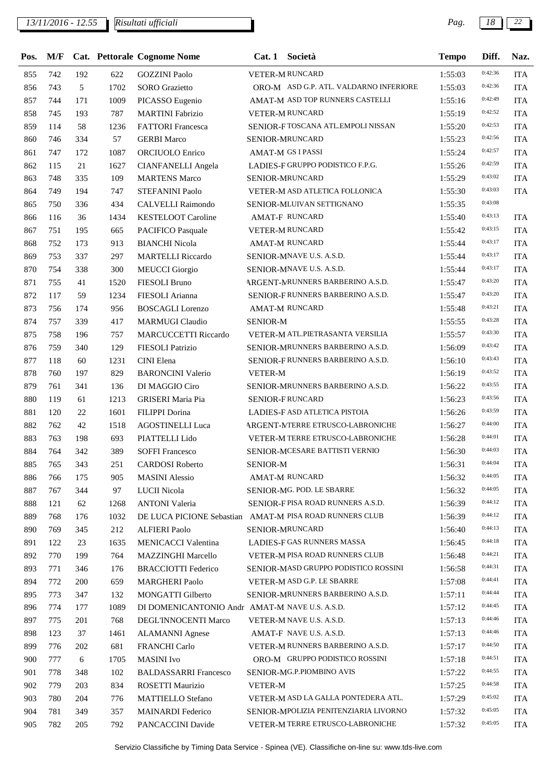| Pos. |     |            |      | M/F Cat. Pettorale Cognome Nome                         | Cat.1           | Società                                | <b>Tempo</b> | Diff.   | Naz.       |
|------|-----|------------|------|---------------------------------------------------------|-----------------|----------------------------------------|--------------|---------|------------|
| 855  | 742 | 192        | 622  | <b>GOZZINI</b> Paolo                                    |                 | VETER-M RUNCARD                        | 1:55:03      | 0:42:36 | <b>ITA</b> |
| 856  | 743 | 5          | 1702 | <b>SORO</b> Grazietto                                   |                 | ORO-M ASD G.P. ATL. VALDARNO INFERIORE | 1:55:03      | 0:42:36 | <b>ITA</b> |
| 857  | 744 | 171        | 1009 | PICASSO Eugenio                                         |                 | AMAT-M ASD TOP RUNNERS CASTELLI        | 1:55:16      | 0:42:49 | <b>ITA</b> |
| 858  | 745 | 193        | 787  | <b>MARTINI</b> Fabrizio                                 |                 | VETER-M RUNCARD                        | 1:55:19      | 0:42:52 | <b>ITA</b> |
| 859  | 114 | 58         | 1236 | <b>FATTORI</b> Francesca                                |                 | SENIOR-FTOSCANA ATL.EMPOLI NISSAN      | 1:55:20      | 0:42:53 | <b>ITA</b> |
| 860  | 746 | 334        | 57   | <b>GERBI</b> Marco                                      |                 | SENIOR-MRUNCARD                        | 1:55:23      | 0:42:56 | <b>ITA</b> |
| 861  | 747 | 172        | 1087 | ORCIUOLO Enrico                                         |                 | <b>AMAT-M GS I PASSI</b>               | 1:55:24      | 0:42:57 | <b>ITA</b> |
| 862  | 115 | 21         | 1627 | <b>CIANFANELLI Angela</b>                               |                 | LADIES-F GRUPPO PODISTICO F.P.G.       | 1:55:26      | 0:42:59 | <b>ITA</b> |
| 863  | 748 | 335        | 109  | <b>MARTENS Marco</b>                                    |                 | SENIOR-MRUNCARD                        | 1:55:29      | 0:43:02 | <b>ITA</b> |
| 864  | 749 | 194        | 747  | STEFANINI Paolo                                         |                 | VETER-M ASD ATLETICA FOLLONICA         | 1:55:30      | 0:43:03 | <b>ITA</b> |
| 865  | 750 | 336        | 434  | CALVELLI Raimondo                                       |                 | SENIOR-MLUIVAN SETTIGNANO              | 1:55:35      | 0:43:08 |            |
| 866  | 116 | 36         | 1434 | <b>KESTELOOT Caroline</b>                               |                 | AMAT-F RUNCARD                         | 1:55:40      | 0:43:13 | <b>ITA</b> |
| 867  | 751 | 195        | 665  | PACIFICO Pasquale                                       |                 | VETER-M RUNCARD                        | 1:55:42      | 0:43:15 | <b>ITA</b> |
| 868  | 752 | 173        | 913  | <b>BIANCHI Nicola</b>                                   |                 | <b>AMAT-M RUNCARD</b>                  | 1:55:44      | 0:43:17 | <b>ITA</b> |
| 869  | 753 | 337        | 297  | <b>MARTELLI Riccardo</b>                                |                 | SENIOR-MNAVE U.S. A.S.D.               | 1:55:44      | 0:43:17 | <b>ITA</b> |
| 870  | 754 | 338        | 300  | <b>MEUCCI</b> Giorgio                                   |                 | SENIOR-MNAVE U.S. A.S.D.               | 1:55:44      | 0:43:17 | <b>ITA</b> |
| 871  | 755 | 41         | 1520 | <b>FIESOLI Bruno</b>                                    |                 | ARGENT-MRUNNERS BARBERINO A.S.D.       | 1:55:47      | 0:43:20 | <b>ITA</b> |
| 872  | 117 | 59         | 1234 | FIESOLI Arianna                                         |                 | SENIOR-FRUNNERS BARBERINO A.S.D.       | 1:55:47      | 0:43:20 | <b>ITA</b> |
| 873  | 756 | 174        | 956  | <b>BOSCAGLI</b> Lorenzo                                 |                 | AMAT-M RUNCARD                         | 1:55:48      | 0:43:21 | <b>ITA</b> |
| 874  |     | 339        | 417  | <b>MARMUGI Claudio</b>                                  | <b>SENIOR-M</b> |                                        |              | 0:43:28 |            |
|      | 757 |            |      |                                                         |                 | VETER-M ATL.PIETRASANTA VERSILIA       | 1:55:55      | 0:43:30 | <b>ITA</b> |
| 875  | 758 | 196        | 757  | <b>MARCUCCETTI Riccardo</b>                             |                 |                                        | 1:55:57      | 0:43:42 | <b>ITA</b> |
| 876  | 759 | 340        | 129  | FIESOLI Patrizio                                        |                 | SENIOR-MRUNNERS BARBERINO A.S.D.       | 1:56:09      | 0:43:43 | <b>ITA</b> |
| 877  | 118 | 60         | 1231 | CINI Elena                                              |                 | SENIOR-FRUNNERS BARBERINO A.S.D.       | 1:56:10      | 0:43:52 | <b>ITA</b> |
| 878  | 760 | 197        | 829  | <b>BARONCINI Valerio</b>                                | <b>VETER-M</b>  |                                        | 1:56:19      |         | <b>ITA</b> |
| 879  | 761 | 341        | 136  | DI MAGGIO Ciro                                          |                 | SENIOR-MRUNNERS BARBERINO A.S.D.       | 1:56:22      | 0:43:55 | <b>ITA</b> |
| 880  | 119 | 61         | 1213 | <b>GRISERI</b> Maria Pia                                |                 | SENIOR-FRUNCARD                        | 1:56:23      | 0:43:56 | <b>ITA</b> |
| 881  | 120 | 22         | 1601 | FILIPPI Dorina                                          |                 | LADIES-F ASD ATLETICA PISTOIA          | 1:56:26      | 0:43:59 | <b>ITA</b> |
| 882  | 762 | 42         | 1518 | <b>AGOSTINELLI Luca</b>                                 |                 | ARGENT-MERRE ETRUSCO-LABRONICHE        | 1:56:27      | 0:44:00 | <b>ITA</b> |
| 883  | 763 | 198        | 693  | PIATTELLI Lido                                          |                 | VETER-M TERRE ETRUSCO-LABRONICHE       | 1:56:28      | 0:44:01 | <b>ITA</b> |
| 884  | 764 | 342        | 389  | <b>SOFFI Francesco</b>                                  |                 | SENIOR-MCESARE BATTISTI VERNIO         | 1:56:30      | 0:44:03 | <b>ITA</b> |
| 885  | 765 | 343        | 251  | <b>CARDOSI</b> Roberto                                  | <b>SENIOR-M</b> |                                        | 1:56:31      | 0:44:04 | <b>ITA</b> |
| 886  | 766 | 175        | 905  | <b>MASINI</b> Alessio                                   |                 | <b>AMAT-M RUNCARD</b>                  | 1:56:32      | 0:44:05 | <b>ITA</b> |
| 887  | 767 | 344        | 97   | LUCII Nicola                                            |                 | SENIOR-MG. POD. LE SBARRE              | 1:56:32      | 0:44:05 | <b>ITA</b> |
| 888  | 121 | 62         | 1268 | <b>ANTONI</b> Valeria                                   |                 | SENIOR-FPISA ROAD RUNNERS A.S.D.       | 1:56:39      | 0:44:12 | <b>ITA</b> |
| 889  | 768 | 176        | 1032 | DE LUCA PICIONE Sebastian AMAT-M PISA ROAD RUNNERS CLUB |                 |                                        | 1:56:39      | 0:44:12 | <b>ITA</b> |
| 890  | 769 | 345        | 212  | <b>ALFIERI Paolo</b>                                    |                 | SENIOR-MRUNCARD                        | 1:56:40      | 0:44:13 | <b>ITA</b> |
| 891  | 122 | 23         | 1635 | <b>MENICACCI Valentina</b>                              |                 | LADIES-F GAS RUNNERS MASSA             | 1:56:45      | 0:44:18 | <b>ITA</b> |
| 892  | 770 | 199        | 764  | <b>MAZZINGHI Marcello</b>                               |                 | VETER-M PISA ROAD RUNNERS CLUB         | 1:56:48      | 0:44:21 | <b>ITA</b> |
| 893  | 771 | 346        | 176  | <b>BRACCIOTTI Federico</b>                              |                 | SENIOR-MASD GRUPPO PODISTICO ROSSINI   | 1:56:58      | 0:44:31 | <b>ITA</b> |
| 894  | 772 | 200        | 659  | <b>MARGHERI Paolo</b>                                   |                 | VETER-M ASD G.P. LE SBARRE             | 1:57:08      | 0:44:41 | <b>ITA</b> |
| 895  | 773 | 347        | 132  | MONGATTI Gilberto                                       |                 | SENIOR-MRUNNERS BARBERINO A.S.D.       | 1:57:11      | 0:44:44 | <b>ITA</b> |
| 896  | 774 | 177        | 1089 | DI DOMENICANTONIO Andr AMAT-M NAVE U.S. A.S.D.          |                 |                                        | 1:57:12      | 0:44:45 | <b>ITA</b> |
| 897  | 775 | 201        | 768  | DEGL'INNOCENTI Marco                                    |                 | VETER-M NAVE U.S. A.S.D.               | 1:57:13      | 0:44:46 | <b>ITA</b> |
| 898  | 123 | 37         | 1461 | <b>ALAMANNI</b> Agnese                                  |                 | AMAT-F NAVE U.S. A.S.D.                | 1:57:13      | 0:44:46 | <b>ITA</b> |
| 899  | 776 | 202        | 681  | FRANCHI Carlo                                           |                 | VETER-M RUNNERS BARBERINO A.S.D.       | 1:57:17      | 0:44:50 | <b>ITA</b> |
| 900  | 777 | $\sqrt{6}$ | 1705 | <b>MASINI</b> Ivo                                       |                 | ORO-M GRUPPO PODISTICO ROSSINI         | 1:57:18      | 0:44:51 | <b>ITA</b> |
| 901  | 778 | 348        | 102  | <b>BALDASSARRI Francesco</b>                            |                 | SENIOR-MG.P.PIOMBINO AVIS              | 1:57:22      | 0:44:55 | <b>ITA</b> |
| 902  | 779 | 203        | 834  | ROSETTI Maurizio                                        | <b>VETER-M</b>  |                                        | 1:57:25      | 0:44:58 | <b>ITA</b> |
| 903  | 780 | 204        | 776  | <b>MATTIELLO Stefano</b>                                |                 | VETER-M ASD LA GALLA PONTEDERA ATL.    | 1:57:29      | 0:45:02 | <b>ITA</b> |
| 904  | 781 | 349        | 357  | <b>MAINARDI</b> Federico                                |                 | SENIOR-MPOLIZIA PENITENZIARIA LIVORNO  | 1:57:32      | 0:45:05 | <b>ITA</b> |
| 905  | 782 | 205        | 792  | PANCACCINI Davide                                       |                 | VETER-M TERRE ETRUSCO-LABRONICHE       | 1:57:32      | 0:45:05 | <b>ITA</b> |
|      |     |            |      |                                                         |                 |                                        |              |         |            |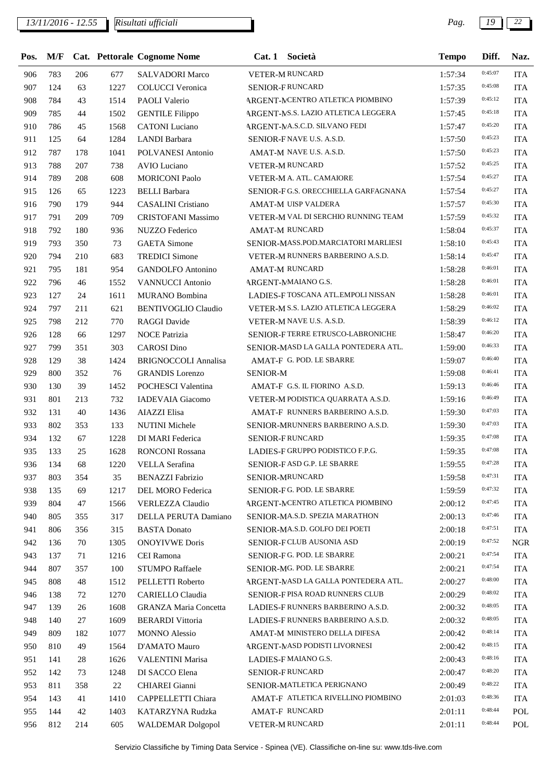## *13/11/2016 - 12.55 Pag. 19 22*

| Pos. | M/F |     |      | Cat. Pettorale Cognome Nome  | Cat.1           | Società                             | <b>Tempo</b> | Diff.   | Naz.       |
|------|-----|-----|------|------------------------------|-----------------|-------------------------------------|--------------|---------|------------|
| 906  | 783 | 206 | 677  | <b>SALVADORI Marco</b>       |                 | VETER-M RUNCARD                     | 1:57:34      | 0:45:07 | <b>ITA</b> |
| 907  | 124 | 63  | 1227 | <b>COLUCCI</b> Veronica      |                 | SENIOR-FRUNCARD                     | 1:57:35      | 0:45:08 | <b>ITA</b> |
| 908  | 784 | 43  | 1514 | PAOLI Valerio                |                 | ARGENT-MCENTRO ATLETICA PIOMBINO    | 1:57:39      | 0:45:12 | <b>ITA</b> |
| 909  | 785 | 44  | 1502 | <b>GENTILE Filippo</b>       |                 | ARGENT-NS.S. LAZIO ATLETICA LEGGERA | 1:57:45      | 0:45:18 | <b>ITA</b> |
| 910  | 786 | 45  | 1568 | <b>CATONI</b> Luciano        |                 | ARGENT-MA.S.C.D. SILVANO FEDI       | 1:57:47      | 0:45:20 | <b>ITA</b> |
| 911  | 125 | 64  | 1284 | <b>LANDI</b> Barbara         |                 | SENIOR-FNAVE U.S. A.S.D.            | 1:57:50      | 0:45:23 | <b>ITA</b> |
| 912  | 787 | 178 | 1041 | POLVANESI Antonio            |                 | AMAT-M NAVE U.S. A.S.D.             | 1:57:50      | 0:45:23 | <b>ITA</b> |
| 913  | 788 | 207 | 738  | <b>AVIO Luciano</b>          |                 | VETER-M RUNCARD                     | 1:57:52      | 0:45:25 | <b>ITA</b> |
| 914  | 789 | 208 | 608  | <b>MORICONI Paolo</b>        |                 | VETER-M A. ATL. CAMAIORE            | 1:57:54      | 0:45:27 | <b>ITA</b> |
| 915  | 126 | 65  | 1223 | <b>BELLI</b> Barbara         |                 | SENIOR-FG.S. ORECCHIELLA GARFAGNANA | 1:57:54      | 0:45:27 | <b>ITA</b> |
| 916  | 790 | 179 | 944  | <b>CASALINI</b> Cristiano    |                 | AMAT-M UISP VALDERA                 | 1:57:57      | 0:45:30 | <b>ITA</b> |
| 917  | 791 | 209 | 709  | <b>CRISTOFANI Massimo</b>    |                 | VETER-M VAL DI SERCHIO RUNNING TEAM | 1:57:59      | 0:45:32 | <b>ITA</b> |
| 918  | 792 | 180 | 936  | <b>NUZZO Federico</b>        |                 | <b>AMAT-M RUNCARD</b>               | 1:58:04      | 0:45:37 | <b>ITA</b> |
| 919  | 793 | 350 | 73   | <b>GAETA</b> Simone          |                 | SENIOR-MASS.POD.MARCIATORI MARLIESI | 1:58:10      | 0:45:43 | <b>ITA</b> |
| 920  | 794 | 210 | 683  | <b>TREDICI</b> Simone        |                 | VETER-M RUNNERS BARBERINO A.S.D.    | 1:58:14      | 0:45:47 | <b>ITA</b> |
| 921  | 795 | 181 | 954  | <b>GANDOLFO</b> Antonino     |                 | <b>AMAT-M RUNCARD</b>               | 1:58:28      | 0:46:01 | <b>ITA</b> |
| 922  | 796 | 46  | 1552 | <b>VANNUCCI</b> Antonio      |                 | ARGENT-MAAIANO G.S.                 | 1:58:28      | 0:46:01 | <b>ITA</b> |
| 923  | 127 | 24  | 1611 | MURANO Bombina               |                 | LADIES-F TOSCANA ATL.EMPOLI NISSAN  | 1:58:28      | 0:46:01 | <b>ITA</b> |
| 924  | 797 | 211 | 621  | <b>BENTIVOGLIO Claudio</b>   |                 | VETER-M S.S. LAZIO ATLETICA LEGGERA | 1:58:29      | 0:46:02 | <b>ITA</b> |
| 925  | 798 | 212 | 770  | <b>RAGGI Davide</b>          |                 | VETER-M NAVE U.S. A.S.D.            | 1:58:39      | 0:46:12 | <b>ITA</b> |
| 926  | 128 | 66  | 1297 | <b>NOCE Patrizia</b>         |                 | SENIOR-FTERRE ETRUSCO-LABRONICHE    | 1:58:47      | 0:46:20 | <b>ITA</b> |
| 927  | 799 | 351 | 303  | <b>CAROSI</b> Dino           |                 | SENIOR-MASD LA GALLA PONTEDERA ATL. | 1:59:00      | 0:46:33 | <b>ITA</b> |
| 928  | 129 | 38  | 1424 | <b>BRIGNOCCOLI Annalisa</b>  |                 | AMAT-F G. POD. LE SBARRE            | 1:59:07      | 0:46:40 | <b>ITA</b> |
| 929  | 800 | 352 | 76   | <b>GRANDIS</b> Lorenzo       | <b>SENIOR-M</b> |                                     | 1:59:08      | 0:46:41 | <b>ITA</b> |
| 930  | 130 | 39  | 1452 | POCHESCI Valentina           |                 | AMAT-F G.S. IL FIORINO A.S.D.       | 1:59:13      | 0:46:46 | <b>ITA</b> |
| 931  | 801 | 213 | 732  | <b>IADEVAIA</b> Giacomo      |                 | VETER-M PODISTICA QUARRATA A.S.D.   | 1:59:16      | 0:46:49 | <b>ITA</b> |
| 932  | 131 | 40  | 1436 | <b>AIAZZI</b> Elisa          |                 | AMAT-F RUNNERS BARBERINO A.S.D.     | 1:59:30      | 0:47:03 | <b>ITA</b> |
| 933  | 802 | 353 | 133  | <b>NUTINI</b> Michele        |                 | SENIOR-MRUNNERS BARBERINO A.S.D.    | 1:59:30      | 0:47:03 | <b>ITA</b> |
|      |     |     |      |                              |                 | <b>SENIOR-FRUNCARD</b>              |              | 0:47:08 |            |
| 934  | 132 | 67  | 1228 | DI MARI Federica             |                 | LADIES-F GRUPPO PODISTICO F.P.G.    | 1:59:35      | 0:47:08 | <b>ITA</b> |
| 935  | 133 | 25  | 1628 | <b>RONCONI Rossana</b>       |                 |                                     | 1:59:35      | 0:47:28 | <b>ITA</b> |
| 936  | 134 | 68  |      | 1220 VELLA Serafina          |                 | SENIOR-FASD G.P. LE SBARRE          | 1:59:55      | 0:47:31 | <b>ITA</b> |
| 937  | 803 | 354 | 35   | <b>BENAZZI Fabrizio</b>      |                 | SENIOR-MRUNCARD                     | 1:59:58      | 0:47:32 | <b>ITA</b> |
| 938  | 135 | 69  | 1217 | DEL MORO Federica            |                 | SENIOR-FG. POD. LE SBARRE           | 1:59:59      | 0:47:45 | <b>ITA</b> |
| 939  | 804 | 47  | 1566 | <b>VERLEZZA Claudio</b>      |                 | ARGENT-MCENTRO ATLETICA PIOMBINO    | 2:00:12      | 0:47:46 | <b>ITA</b> |
| 940  | 805 | 355 | 317  | DELLA PERUTA Damiano         |                 | SENIOR-MA.S.D. SPEZIA MARATHON      | 2:00:13      | 0:47:51 | <b>ITA</b> |
| 941  | 806 | 356 | 315  | <b>BASTA Donato</b>          |                 | SENIOR-MA.S.D. GOLFO DEI POETI      | 2:00:18      |         | <b>ITA</b> |
| 942  | 136 | 70  | 1305 | <b>ONOYIVWE Doris</b>        |                 | SENIOR-FCLUB AUSONIA ASD            | 2:00:19      | 0:47:52 | <b>NGR</b> |
| 943  | 137 | 71  | 1216 | CEI Ramona                   |                 | SENIOR-FG. POD. LE SBARRE           | 2:00:21      | 0:47:54 | <b>ITA</b> |
| 944  | 807 | 357 | 100  | <b>STUMPO Raffaele</b>       |                 | SENIOR-MG. POD. LE SBARRE           | 2:00:21      | 0:47:54 | <b>ITA</b> |
| 945  | 808 | 48  | 1512 | PELLETTI Roberto             |                 | ARGENT-MASD LA GALLA PONTEDERA ATL. | 2:00:27      | 0:48:00 | <b>ITA</b> |
| 946  | 138 | 72  | 1270 | CARIELLO Claudia             |                 | SENIOR-FPISA ROAD RUNNERS CLUB      | 2:00:29      | 0:48:02 | <b>ITA</b> |
| 947  | 139 | 26  | 1608 | <b>GRANZA Maria Concetta</b> |                 | LADIES-F RUNNERS BARBERINO A.S.D.   | 2:00:32      | 0:48:05 | <b>ITA</b> |
| 948  | 140 | 27  | 1609 | <b>BERARDI</b> Vittoria      |                 | LADIES-F RUNNERS BARBERINO A.S.D.   | 2:00:32      | 0:48:05 | <b>ITA</b> |
| 949  | 809 | 182 | 1077 | <b>MONNO</b> Alessio         |                 | AMAT-M MINISTERO DELLA DIFESA       | 2:00:42      | 0:48:14 | <b>ITA</b> |
| 950  | 810 | 49  | 1564 | D'AMATO Mauro                |                 | ARGENT-MASD PODISTI LIVORNESI       | 2:00:42      | 0:48:15 | <b>ITA</b> |
| 951  | 141 | 28  | 1626 | <b>VALENTINI Marisa</b>      |                 | LADIES-F MAIANO G.S.                | 2:00:43      | 0:48:16 | <b>ITA</b> |
| 952  | 142 | 73  | 1248 | DI SACCO Elena               |                 | SENIOR-FRUNCARD                     | 2:00:47      | 0:48:20 | <b>ITA</b> |
| 953  | 811 | 358 | 22   | CHIAREI Gianni               |                 | SENIOR-MATLETICA PERIGNANO          | 2:00:49      | 0:48:22 | <b>ITA</b> |
| 954  | 143 | 41  | 1410 | CAPPELLETTI Chiara           |                 | AMAT-F ATLETICA RIVELLINO PIOMBINO  | 2:01:03      | 0:48:36 | <b>ITA</b> |
| 955  | 144 | 42  | 1403 | KATARZYNA Rudzka             |                 | AMAT-F RUNCARD                      | 2:01:11      | 0:48:44 | POL        |
| 956  | 812 | 214 | 605  | <b>WALDEMAR Dolgopol</b>     |                 | VETER-M RUNCARD                     | 2:01:11      | 0:48:44 | POL        |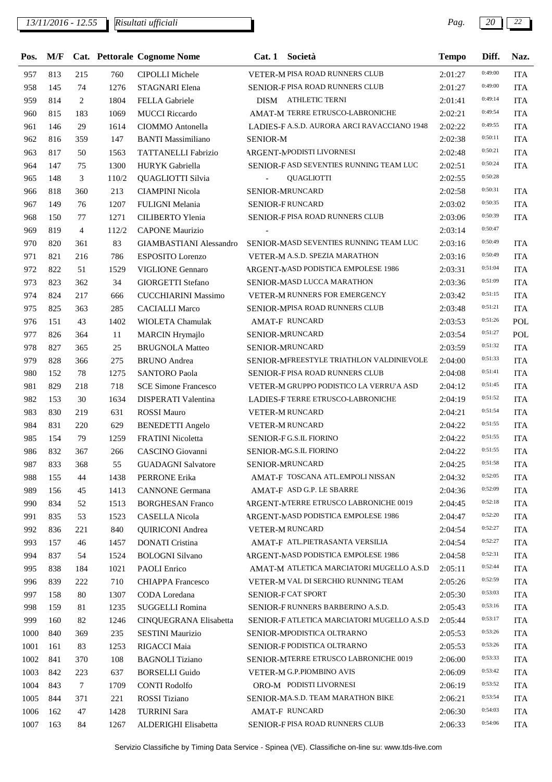*13/11/2016 - 12.55 Pag. 20 22*

| Pos. |     |                |       | M/F Cat. Pettorale Cognome Nome | Cat. 1 Società                              | <b>Tempo</b>       | Diff.   | Naz.       |
|------|-----|----------------|-------|---------------------------------|---------------------------------------------|--------------------|---------|------------|
| 957  | 813 | 215            | 760   | <b>CIPOLLI Michele</b>          | VETER-M PISA ROAD RUNNERS CLUB              | 2:01:27            | 0:49:00 | <b>ITA</b> |
| 958  | 145 | 74             | 1276  | STAGNARI Elena                  | SENIOR-FPISA ROAD RUNNERS CLUB              | 2:01:27            | 0:49:00 | <b>ITA</b> |
| 959  | 814 | $\overline{2}$ | 1804  | <b>FELLA</b> Gabriele           | DISM ATHLETIC TERNI                         | 2:01:41            | 0:49:14 | <b>ITA</b> |
| 960  | 815 | 183            | 1069  | <b>MUCCI</b> Riccardo           | AMAT-M TERRE ETRUSCO-LABRONICHE             | 2:02:21            | 0:49:54 | <b>ITA</b> |
| 961  | 146 | 29             | 1614  | CIOMMO Antonella                | LADIES-F A.S.D. AURORA ARCI RAVACCIANO 1948 | 2:02:22            | 0:49:55 | <b>ITA</b> |
| 962  | 816 | 359            | 147   | <b>BANTI Massimiliano</b>       | <b>SENIOR-M</b>                             | 2:02:38            | 0:50:11 | <b>ITA</b> |
| 963  | 817 | 50             | 1563  | TATTANELLI Fabrizio             | <b>ARGENT-MPODISTI LIVORNESI</b>            | 2:02:48            | 0:50:21 | <b>ITA</b> |
| 964  | 147 | 75             | 1300  | HURYK Gabriella                 | SENIOR-F ASD SEVENTIES RUNNING TEAM LUC     | 2:02:51            | 0:50:24 | <b>ITA</b> |
| 965  | 148 | 3              | 110/2 | QUAGLIOTTI Silvia               | <b>QUAGLIOTTI</b>                           | 2:02:55            | 0:50:28 |            |
| 966  | 818 | 360            | 213   | <b>CIAMPINI Nicola</b>          | SENIOR-MRUNCARD                             | 2:02:58            | 0:50:31 | <b>ITA</b> |
| 967  | 149 | 76             | 1207  | FULIGNI Melania                 | SENIOR-FRUNCARD                             | 2:03:02            | 0:50:35 | <b>ITA</b> |
| 968  | 150 | 77             | 1271  | CILIBERTO Ylenia                | SENIOR-FPISA ROAD RUNNERS CLUB              | 2:03:06            | 0:50:39 | <b>ITA</b> |
| 969  | 819 | $\overline{4}$ | 112/2 | <b>CAPONE Maurizio</b>          |                                             | 2:03:14            | 0:50:47 |            |
| 970  | 820 | 361            | 83    | <b>GIAMBASTIANI</b> Alessandro  | SENIOR-MASD SEVENTIES RUNNING TEAM LUC      | 2:03:16            | 0:50:49 | <b>ITA</b> |
| 971  | 821 | 216            | 786   | <b>ESPOSITO</b> Lorenzo         | VETER-M A.S.D. SPEZIA MARATHON              | 2:03:16            | 0:50:49 | <b>ITA</b> |
| 972  | 822 | 51             | 1529  | <b>VIGLIONE Gennaro</b>         | ARGENT-MASD PODISTICA EMPOLESE 1986         | 2:03:31            | 0:51:04 | <b>ITA</b> |
| 973  | 823 | 362            | 34    | GIORGETTI Stefano               | SENIOR-MASD LUCCA MARATHON                  | 2:03:36            | 0:51:09 | <b>ITA</b> |
| 974  | 824 | 217            | 666   | <b>CUCCHIARINI Massimo</b>      | VETER-M RUNNERS FOR EMERGENCY               | 2:03:42            | 0:51:15 | <b>ITA</b> |
| 975  | 825 | 363            | 285   | <b>CACIALLI Marco</b>           | SENIOR-MPISA ROAD RUNNERS CLUB              | 2:03:48            | 0:51:21 | <b>ITA</b> |
| 976  | 151 | 43             | 1402  | WIOLETA Chamulak                | AMAT-F RUNCARD                              | 2:03:53            | 0:51:26 | <b>POL</b> |
| 977  | 826 | 364            | 11    | <b>MARCIN</b> Hrymajlo          | SENIOR-MRUNCARD                             | 2:03:54            | 0:51:27 | POL        |
| 978  | 827 | 365            | 25    | <b>BRUGNOLA Matteo</b>          | SENIOR-MRUNCARD                             | 2:03:59            | 0:51:32 | <b>ITA</b> |
| 979  | 828 | 366            | 275   | <b>BRUNO</b> Andrea             | SENIOR-MFREESTYLE TRIATHLON VALDINIEVOLE    | 2:04:00            | 0:51:33 | <b>ITA</b> |
| 980  | 152 | 78             | 1275  | <b>SANTORO Paola</b>            | SENIOR-FPISA ROAD RUNNERS CLUB              | 2:04:08            | 0:51:41 | <b>ITA</b> |
| 981  | 829 | 218            | 718   | <b>SCE Simone Francesco</b>     | VETER-M GRUPPO PODISTICO LA VERRU'A ASD     | 2:04:12            | 0:51:45 | <b>ITA</b> |
| 982  | 153 | 30             | 1634  | DISPERATI Valentina             | LADIES-F TERRE ETRUSCO-LABRONICHE           | 2:04:19            | 0:51:52 | <b>ITA</b> |
| 983  | 830 | 219            | 631   | <b>ROSSI Mauro</b>              | <b>VETER-M RUNCARD</b>                      | 2:04:21            | 0:51:54 | <b>ITA</b> |
| 984  | 831 | 220            | 629   | <b>BENEDETTI</b> Angelo         | <b>VETER-M RUNCARD</b>                      | 2:04:22            | 0:51:55 | <b>ITA</b> |
| 985  | 154 | 79             | 1259  | FRATINI Nicoletta               | SENIOR-FG.S.IL FIORINO                      | 2:04:22            | 0:51:55 | <b>ITA</b> |
| 986  | 832 | 367            | 266   | CASCINO Giovanni                | SENIOR-MG.S.IL FIORINO                      | 2:04:22            | 0:51:55 | <b>ITA</b> |
| 987  | 833 | 368            | 55    | <b>GUADAGNI Salvatore</b>       | SENIOR-MRUNCARD                             | 2:04:25            | 0:51:58 | <b>ITA</b> |
|      |     |                |       |                                 | AMAT-F TOSCANA ATL.EMPOLI NISSAN            |                    | 0:52:05 |            |
| 988  | 155 | 44             | 1438  | PERRONE Erika                   | AMAT-F ASD G.P. LE SBARRE                   | 2:04:32<br>2:04:36 | 0:52:09 | <b>ITA</b> |
| 989  | 156 | 45             | 1413  | <b>CANNONE</b> Germana          | ARGENT-MTERRE ETRUSCO LABRONICHE 0019       |                    | 0:52:18 | <b>ITA</b> |
| 990  | 834 | 52             | 1513  | <b>BORGHESAN Franco</b>         | ARGENT-MASD PODISTICA EMPOLESE 1986         | 2:04:45            | 0:52:20 | <b>ITA</b> |
| 991  | 835 | 53             | 1523  | <b>CASELLA Nicola</b>           |                                             | 2:04:47            | 0:52:27 | <b>ITA</b> |
| 992  | 836 | 221            | 840   | <b>QUIRICONI</b> Andrea         | <b>VETER-M RUNCARD</b>                      | 2:04:54            | 0:52:27 | <b>ITA</b> |
| 993  | 157 | 46             | 1457  | <b>DONATI</b> Cristina          | AMAT-F ATL.PIETRASANTA VERSILIA             | 2:04:54            | 0:52:31 | <b>ITA</b> |
| 994  | 837 | 54             | 1524  | <b>BOLOGNI Silvano</b>          | <b>ARGENT-MASD PODISTICA EMPOLESE 1986</b>  | 2:04:58            | 0:52:44 | <b>ITA</b> |
| 995  | 838 | 184            | 1021  | <b>PAOLI</b> Enrico             | AMAT-M ATLETICA MARCIATORI MUGELLO A.S.D    | 2:05:11            | 0:52:59 | <b>ITA</b> |
| 996  | 839 | 222            | 710   | <b>CHIAPPA</b> Francesco        | VETER-M VAL DI SERCHIO RUNNING TEAM         | 2:05:26            | 0:53:03 | <b>ITA</b> |
| 997  | 158 | 80             | 1307  | CODA Loredana                   | SENIOR-FCAT SPORT                           | 2:05:30            |         | <b>ITA</b> |
| 998  | 159 | 81             | 1235  | SUGGELLI Romina                 | SENIOR-FRUNNERS BARBERINO A.S.D.            | 2:05:43            | 0:53:16 | <b>ITA</b> |
| 999  | 160 | 82             | 1246  | CINQUEGRANA Elisabetta          | SENIOR-F ATLETICA MARCIATORI MUGELLO A.S.D  | 2:05:44            | 0:53:17 | <b>ITA</b> |
| 1000 | 840 | 369            | 235   | <b>SESTINI Maurizio</b>         | SENIOR-MPODISTICA OLTRARNO                  | 2:05:53            | 0:53:26 | <b>ITA</b> |
| 1001 | 161 | 83             | 1253  | RIGACCI Maia                    | SENIOR-F PODISTICA OLTRARNO                 | 2:05:53            | 0:53:26 | <b>ITA</b> |
| 1002 | 841 | 370            | 108   | <b>BAGNOLI</b> Tiziano          | SENIOR-MTERRE ETRUSCO LABRONICHE 0019       | 2:06:00            | 0:53:33 | <b>ITA</b> |
| 1003 | 842 | 223            | 637   | <b>BORSELLI</b> Guido           | VETER-M G.P.PIOMBINO AVIS                   | 2:06:09            | 0:53:42 | <b>ITA</b> |
| 1004 | 843 | $\tau$         | 1709  | <b>CONTI Rodolfo</b>            | ORO-M PODISTI LIVORNESI                     | 2:06:19            | 0:53:52 | <b>ITA</b> |
| 1005 | 844 | 371            | 221   | ROSSI Tiziano                   | SENIOR-MA.S.D. TEAM MARATHON BIKE           | 2:06:21            | 0:53:54 | <b>ITA</b> |
| 1006 | 162 | 47             | 1428  | <b>TURRINI Sara</b>             | <b>AMAT-F RUNCARD</b>                       | 2:06:30            | 0:54:03 | <b>ITA</b> |
| 1007 | 163 | 84             | 1267  | ALDERIGHI Elisabetta            | SENIOR-FPISA ROAD RUNNERS CLUB              | 2:06:33            | 0:54:06 | <b>ITA</b> |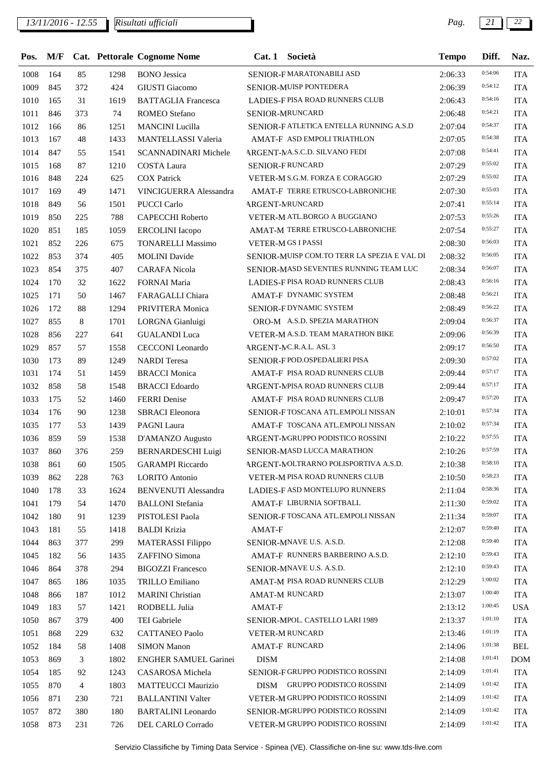*13/11/2016 - 12.55 Pag. 21 22*

| Pos.         |            |                |             | M/F Cat. Pettorale Cognome Nome                      |             | Cat. 1 Società                                              | <b>Tempo</b>       | Diff.   | Naz.                     |
|--------------|------------|----------------|-------------|------------------------------------------------------|-------------|-------------------------------------------------------------|--------------------|---------|--------------------------|
| 1008         | 164        | 85             | 1298        | <b>BONO</b> Jessica                                  |             | SENIOR-FMARATONABILI ASD                                    | 2:06:33            | 0:54:06 | <b>ITA</b>               |
| 1009         | 845        | 372            | 424         | <b>GIUSTI</b> Giacomo                                |             | SENIOR-MUISP PONTEDERA                                      | 2:06:39            | 0:54:12 | <b>ITA</b>               |
| 1010         | 165        | 31             | 1619        | <b>BATTAGLIA</b> Francesca                           |             | <b>LADIES-F PISA ROAD RUNNERS CLUB</b>                      | 2:06:43            | 0:54:16 | <b>ITA</b>               |
| 1011         | 846        | 373            | 74          | <b>ROMEO</b> Stefano                                 |             | <b>SENIOR-MRUNCARD</b>                                      | 2:06:48            | 0:54:21 | <b>ITA</b>               |
| 1012         | 166        | 86             | 1251        | <b>MANCINI</b> Lucilla                               |             | SENIOR-F ATLETICA ENTELLA RUNNING A.S.D                     | 2:07:04            | 0:54:37 | <b>ITA</b>               |
| 1013         | 167        | 48             | 1433        | MANTELLASSI Valeria                                  |             | AMAT-F ASD EMPOLI TRIATHLON                                 | 2:07:05            | 0:54:38 | <b>ITA</b>               |
| 1014         | 847        | 55             | 1541        | SCANNADINARI Michele                                 |             | ARGENT-MA.S.C.D. SILVANO FEDI                               | 2:07:08            | 0:54:41 | <b>ITA</b>               |
| 1015         | 168        | 87             | 1210        | <b>COSTA Laura</b>                                   |             | SENIOR-FRUNCARD                                             | 2:07:29            | 0:55:02 | <b>ITA</b>               |
| 1016         | 848        | 224            | 625         | <b>COX Patrick</b>                                   |             | VETER-M S.G.M. FORZA E CORAGGIO                             | 2:07:29            | 0:55:02 | <b>ITA</b>               |
| 1017         | 169        | 49             | 1471        | VINCIGUERRA Alessandra                               |             | AMAT-F TERRE ETRUSCO-LABRONICHE                             | 2:07:30            | 0:55:03 | <b>ITA</b>               |
| 1018         | 849        | 56             | 1501        | PUCCI Carlo                                          |             | <b>ARGENT-MRUNCARD</b>                                      | 2:07:41            | 0:55:14 | <b>ITA</b>               |
| 1019         | 850        | 225            | 788         | <b>CAPECCHI Roberto</b>                              |             | VETER-M ATL.BORGO A BUGGIANO                                | 2:07:53            | 0:55:26 | <b>ITA</b>               |
| 1020         | 851        | 185            | 1059        | <b>ERCOLINI</b> Iacopo                               |             | AMAT-M TERRE ETRUSCO-LABRONICHE                             | 2:07:54            | 0:55:27 | <b>ITA</b>               |
| 1021         | 852        | 226            | 675         | <b>TONARELLI Massimo</b>                             |             | <b>VETER-MGS I PASSI</b>                                    | 2:08:30            | 0:56:03 | <b>ITA</b>               |
| 1022         | 853        | 374            | 405         | <b>MOLINI</b> Davide                                 |             | SENIOR-MUISP COM.TO TERR LA SPEZIA E VAL DI                 | 2:08:32            | 0:56:05 | <b>ITA</b>               |
| 1023         | 854        | 375            | 407         | <b>CARAFA Nicola</b>                                 |             | SENIOR-MASD SEVENTIES RUNNING TEAM LUC                      | 2:08:34            | 0:56:07 | <b>ITA</b>               |
| 1024         | 170        | 32             | 1622        | <b>FORNAI Maria</b>                                  |             | <b>LADIES-F PISA ROAD RUNNERS CLUB</b>                      | 2:08:43            | 0:56:16 | <b>ITA</b>               |
| 1025         | 171        | 50             | 1467        | FARAGALLI Chiara                                     |             | AMAT-F DYNAMIC SYSTEM                                       | 2:08:48            | 0:56:21 | <b>ITA</b>               |
| 1026         | 172        | 88             | 1294        | PRIVITERA Monica                                     |             | SENIOR-F DYNAMIC SYSTEM                                     | 2:08:49            | 0:56:22 | <b>ITA</b>               |
| 1027         | 855        | 8              | 1701        | LORGNA Gianluigi                                     |             | ORO-M A.S.D. SPEZIA MARATHON                                | 2:09:04            | 0:56:37 | <b>ITA</b>               |
| 1028         | 856        | 227            | 641         | <b>GUALANDI Luca</b>                                 |             | VETER-M A.S.D. TEAM MARATHON BIKE                           | 2:09:06            | 0:56:39 | <b>ITA</b>               |
| 1029         | 857        | 57             | 1558        | CECCONI Leonardo                                     |             | ARGENT-MC.R.A.L. ASL 3                                      | 2:09:17            | 0:56:50 | <b>ITA</b>               |
| 1030         | 173        | 89             | 1249        | <b>NARDI</b> Teresa                                  |             | SENIOR-F POD OSPEDALIERI PISA                               | 2:09:30            | 0:57:02 | <b>ITA</b>               |
| 1031         | 174        | 51             | 1459        | <b>BRACCI</b> Monica                                 |             | AMAT-F PISA ROAD RUNNERS CLUB                               | 2:09:44            | 0:57:17 | <b>ITA</b>               |
| 1032         | 858        | 58             | 1548        | <b>BRACCI</b> Edoardo                                |             | ARGENT-MPISA ROAD RUNNERS CLUB                              | 2:09:44            | 0:57:17 | <b>ITA</b>               |
| 1033         | 175        | 52             | 1460        | <b>FERRI</b> Denise                                  |             | AMAT-F PISA ROAD RUNNERS CLUB                               | 2:09:47            | 0:57:20 | <b>ITA</b>               |
| 1034         | 176        | 90             | 1238        | <b>SBRACI</b> Eleonora                               |             | SENIOR-FTOSCANA ATL.EMPOLI NISSAN                           | 2:10:01            | 0:57:34 | <b>ITA</b>               |
| 1035         | 177        | 53             | 1439        | PAGNI Laura                                          |             | AMAT-F TOSCANA ATL.EMPOLI NISSAN                            | 2:10:02            | 0:57:34 | <b>ITA</b>               |
| 1036         | 859        | 59             | 1538        | D'AMANZO Augusto                                     |             | ARGENT-MGRUPPO PODISTICO ROSSINI                            | 2:10:22            | 0:57:55 | <b>ITA</b>               |
| 1037         | 860        | 376            | 259         | <b>BERNARDESCHI Luigi</b>                            |             | SENIOR-MASD LUCCA MARATHON                                  | 2:10:26            | 0:57:59 | <b>ITA</b>               |
| 1038         | 861        | 60             | 1505        | <b>GARAMPI</b> Riccardo                              |             | ARGENT-MOLTRARNO POLISPORTIVA A.S.D.                        | 2:10:38            | 0:58:10 | <b>ITA</b>               |
|              |            |                |             |                                                      |             | VETER-M PISA ROAD RUNNERS CLUB                              |                    | 0:58:23 |                          |
| 1039<br>1040 | 862<br>178 | 228<br>33      | 763<br>1624 | <b>LORITO Antonio</b><br><b>BENVENUTI Alessandra</b> |             | LADIES-F ASD MONTELUPO RUNNERS                              | 2:10:50<br>2:11:04 | 0:58:36 | <b>ITA</b><br><b>ITA</b> |
|              | 179        | 54             |             | <b>BALLONI</b> Stefania                              |             | AMAT-F LIBURNIA SOFTBALL                                    |                    | 0:59:02 |                          |
| 1041         |            |                | 1470        |                                                      |             | SENIOR-FTOSCANA ATL.EMPOLI NISSAN                           | 2:11:30            | 0:59:07 | <b>ITA</b>               |
| 1042         | 180        | 91             | 1239        | PISTOLESI Paola                                      |             |                                                             | 2:11:34            | 0:59:40 | <b>ITA</b>               |
| 1043         | 181        | 55             | 1418        | <b>BALDI</b> Krizia                                  | AMAT-F      |                                                             | 2:12:07            | 0:59:40 | <b>ITA</b>               |
| 1044         | 863        | 377            | 299         | <b>MATERASSI Filippo</b>                             |             | SENIOR-MNAVE U.S. A.S.D.<br>AMAT-F RUNNERS BARBERINO A.S.D. | 2:12:08            | 0:59:43 | <b>ITA</b>               |
| 1045         | 182        | 56             | 1435        | ZAFFINO Simona                                       |             |                                                             | 2:12:10            | 0:59:43 | <b>ITA</b>               |
| 1046         | 864        | 378            | 294         | <b>BIGOZZI Francesco</b>                             |             | SENIOR-MNAVE U.S. A.S.D.                                    | 2:12:10            | 1:00:02 | <b>ITA</b>               |
| 1047         | 865        | 186            | 1035        | TRILLO Emiliano                                      |             | AMAT-M PISA ROAD RUNNERS CLUB                               | 2:12:29            |         | <b>ITA</b>               |
| 1048         | 866        | 187            | 1012        | <b>MARINI</b> Christian                              |             | <b>AMAT-M RUNCARD</b>                                       | 2:13:07            | 1:00:40 | <b>ITA</b>               |
| 1049         | 183        | 57             | 1421        | RODBELL Julia                                        | AMAT-F      |                                                             | 2:13:12            | 1:00:45 | <b>USA</b>               |
| 1050         | 867        | 379            | 400         | TEI Gabriele                                         |             | SENIOR-MPOL. CASTELLO LARI 1989                             | 2:13:37            | 1:01:10 | <b>ITA</b>               |
| 1051         | 868        | 229            | 632         | <b>CATTANEO Paolo</b>                                |             | VETER-M RUNCARD                                             | 2:13:46            | 1:01:19 | ITA                      |
| 1052         | 184        | 58             | 1408        | <b>SIMON Manon</b>                                   |             | AMAT-F RUNCARD                                              | 2:14:06            | 1:01:38 | <b>BEL</b>               |
| 1053         | 869        | 3              | 1802        | <b>ENGHER SAMUEL Garinei</b>                         | <b>DISM</b> |                                                             | 2:14:08            | 1:01:41 | <b>DOM</b>               |
| 1054         | 185        | 92             | 1243        | CASAROSA Michela                                     |             | SENIOR-F GRUPPO PODISTICO ROSSINI                           | 2:14:09            | 1:01:41 | ITA                      |
| 1055         | 870        | $\overline{4}$ | 1803        | <b>MATTEUCCI Maurizio</b>                            |             | DISM GRUPPO PODISTICO ROSSINI                               | 2:14:09            | 1:01:42 | <b>ITA</b>               |
| 1056         | 871        | 230            | 721         | <b>BALLANTINI Valter</b>                             |             | VETER-M GRUPPO PODISTICO ROSSINI                            | 2:14:09            | 1:01:42 | <b>ITA</b>               |
| 1057         | 872        | 380            | 180         | <b>BARTALINI</b> Leonardo                            |             | SENIOR-MGRUPPO PODISTICO ROSSINI                            | 2:14:09            | 1:01:42 | <b>ITA</b>               |
| 1058         | 873        | 231            | 726         | DEL CARLO Corrado                                    |             | VETER-M GRUPPO PODISTICO ROSSINI                            | 2:14:09            | 1:01:42 | <b>ITA</b>               |